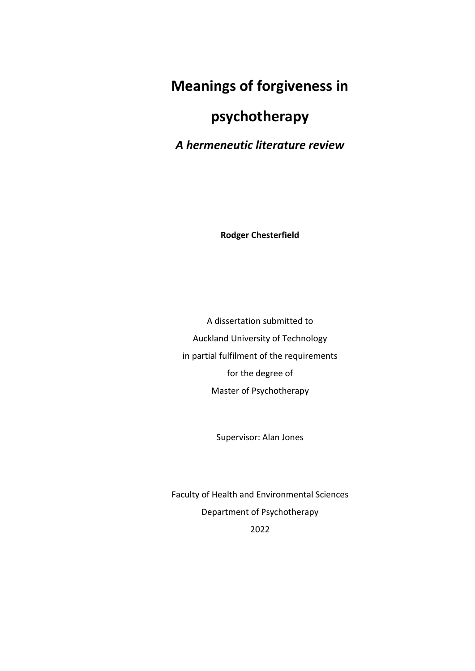# **Meanings of forgiveness in**

# **psychotherapy**

*A hermeneutic literature review*

**Rodger Chesterfield**

A dissertation submitted to Auckland University of Technology in partial fulfilment of the requirements for the degree of Master of Psychotherapy

Supervisor: Alan Jones

Faculty of Health and Environmental Sciences Department of Psychotherapy 2022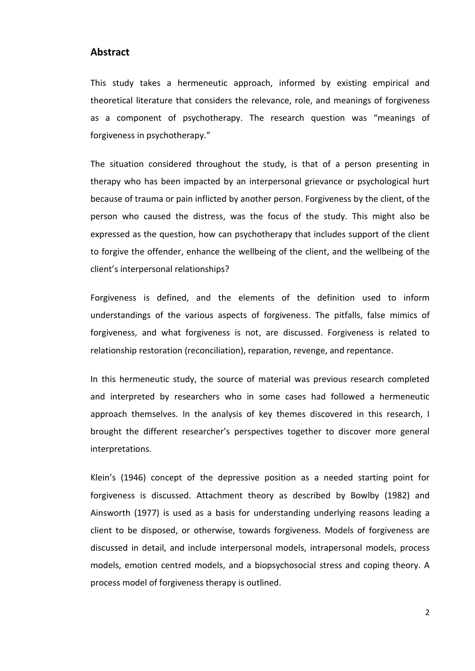## **Abstract**

This study takes a hermeneutic approach, informed by existing empirical and theoretical literature that considers the relevance, role, and meanings of forgiveness as a component of psychotherapy. The research question was "meanings of forgiveness in psychotherapy."

The situation considered throughout the study, is that of a person presenting in therapy who has been impacted by an interpersonal grievance or psychological hurt because of trauma or pain inflicted by another person. Forgiveness by the client, of the person who caused the distress, was the focus of the study. This might also be expressed as the question, how can psychotherapy that includes support of the client to forgive the offender, enhance the wellbeing of the client, and the wellbeing of the client's interpersonal relationships?

Forgiveness is defined, and the elements of the definition used to inform understandings of the various aspects of forgiveness. The pitfalls, false mimics of forgiveness, and what forgiveness is not, are discussed. Forgiveness is related to relationship restoration (reconciliation), reparation, revenge, and repentance.

In this hermeneutic study, the source of material was previous research completed and interpreted by researchers who in some cases had followed a hermeneutic approach themselves. In the analysis of key themes discovered in this research, I brought the different researcher's perspectives together to discover more general interpretations.

Klein's (1946) concept of the depressive position as a needed starting point for forgiveness is discussed. Attachment theory as described by Bowlby (1982) and Ainsworth (1977) is used as a basis for understanding underlying reasons leading a client to be disposed, or otherwise, towards forgiveness. Models of forgiveness are discussed in detail, and include interpersonal models, intrapersonal models, process models, emotion centred models, and a biopsychosocial stress and coping theory. A process model of forgiveness therapy is outlined.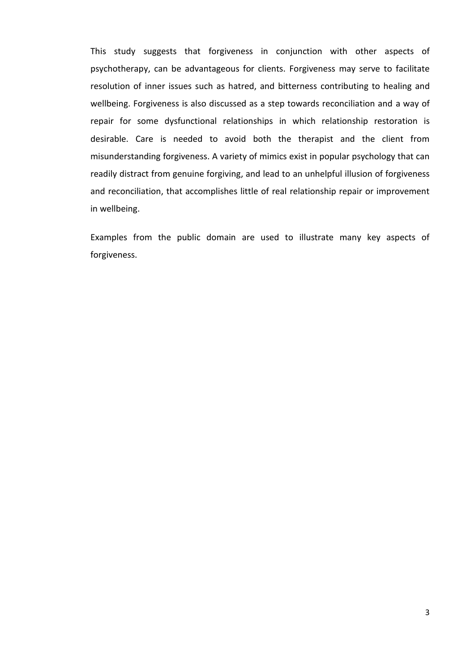This study suggests that forgiveness in conjunction with other aspects of psychotherapy, can be advantageous for clients. Forgiveness may serve to facilitate resolution of inner issues such as hatred, and bitterness contributing to healing and wellbeing. Forgiveness is also discussed as a step towards reconciliation and a way of repair for some dysfunctional relationships in which relationship restoration is desirable. Care is needed to avoid both the therapist and the client from misunderstanding forgiveness. A variety of mimics exist in popular psychology that can readily distract from genuine forgiving, and lead to an unhelpful illusion of forgiveness and reconciliation, that accomplishes little of real relationship repair or improvement in wellbeing.

Examples from the public domain are used to illustrate many key aspects of forgiveness.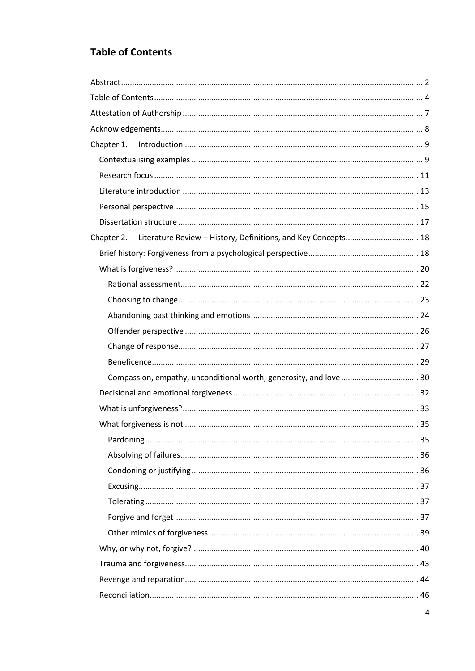## **Table of Contents**

| Literature Review - History, Definitions, and Key Concepts 18<br>Chapter 2. |  |  |
|-----------------------------------------------------------------------------|--|--|
|                                                                             |  |  |
|                                                                             |  |  |
|                                                                             |  |  |
|                                                                             |  |  |
|                                                                             |  |  |
|                                                                             |  |  |
|                                                                             |  |  |
|                                                                             |  |  |
| Compassion, empathy, unconditional worth, generosity, and love  30          |  |  |
|                                                                             |  |  |
|                                                                             |  |  |
|                                                                             |  |  |
|                                                                             |  |  |
|                                                                             |  |  |
|                                                                             |  |  |
|                                                                             |  |  |
|                                                                             |  |  |
|                                                                             |  |  |
|                                                                             |  |  |
|                                                                             |  |  |
|                                                                             |  |  |
|                                                                             |  |  |
|                                                                             |  |  |
|                                                                             |  |  |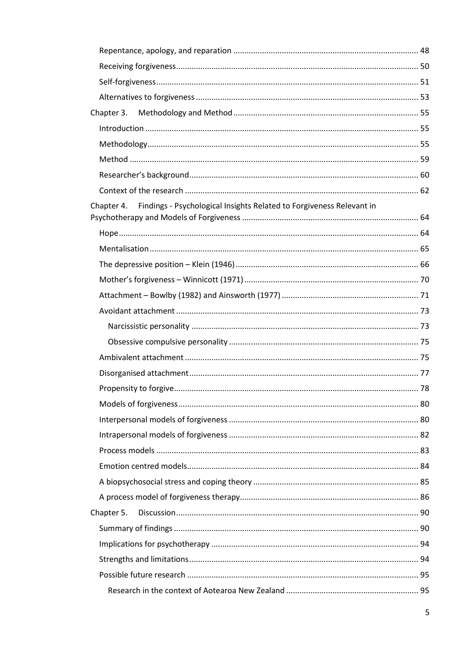| Chapter 3.                                                                      |  |
|---------------------------------------------------------------------------------|--|
|                                                                                 |  |
|                                                                                 |  |
|                                                                                 |  |
|                                                                                 |  |
|                                                                                 |  |
| Chapter 4. Findings - Psychological Insights Related to Forgiveness Relevant in |  |
|                                                                                 |  |
|                                                                                 |  |
|                                                                                 |  |
|                                                                                 |  |
|                                                                                 |  |
|                                                                                 |  |
|                                                                                 |  |
|                                                                                 |  |
|                                                                                 |  |
|                                                                                 |  |
|                                                                                 |  |
|                                                                                 |  |
|                                                                                 |  |
|                                                                                 |  |
|                                                                                 |  |
|                                                                                 |  |
|                                                                                 |  |
|                                                                                 |  |
| Chapter 5.                                                                      |  |
|                                                                                 |  |
|                                                                                 |  |
|                                                                                 |  |
|                                                                                 |  |
|                                                                                 |  |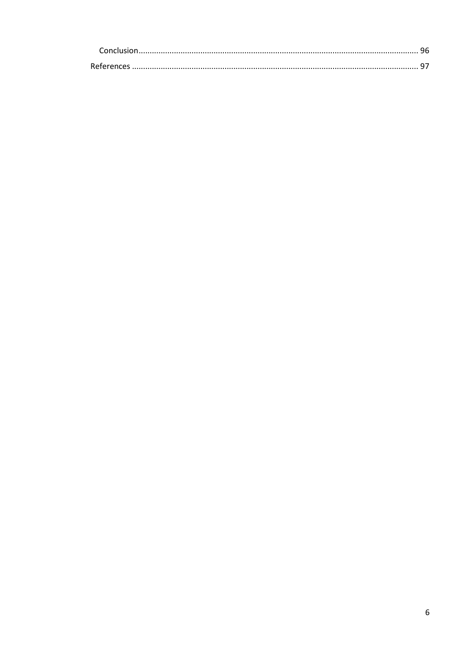| <b>References</b> |  |
|-------------------|--|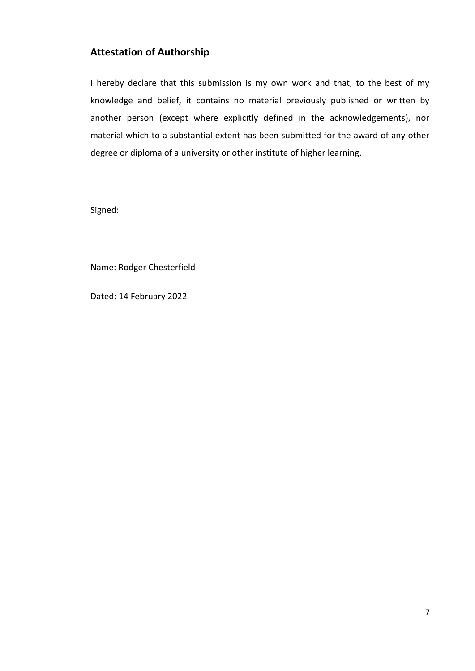## **Attestation of Authorship**

I hereby declare that this submission is my own work and that, to the best of my knowledge and belief, it contains no material previously published or written by another person (except where explicitly defined in the acknowledgements), nor material which to a substantial extent has been submitted for the award of any other degree or diploma of a university or other institute of higher learning.

Signed:

Name: Rodger Chesterfield

Dated: 14 February 2022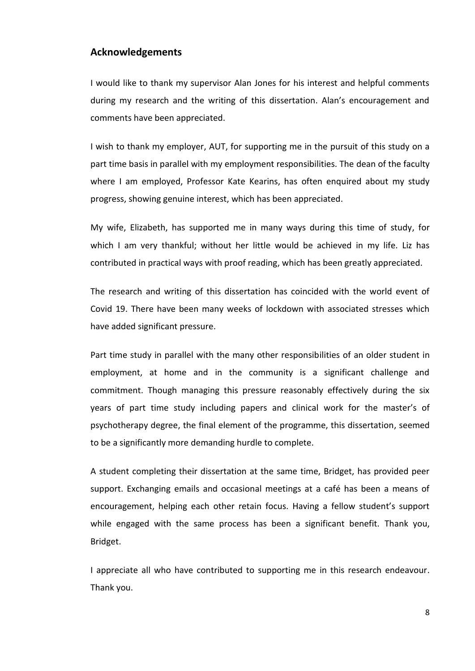## **Acknowledgements**

I would like to thank my supervisor Alan Jones for his interest and helpful comments during my research and the writing of this dissertation. Alan's encouragement and comments have been appreciated.

I wish to thank my employer, AUT, for supporting me in the pursuit of this study on a part time basis in parallel with my employment responsibilities. The dean of the faculty where I am employed, Professor Kate Kearins, has often enquired about my study progress, showing genuine interest, which has been appreciated.

My wife, Elizabeth, has supported me in many ways during this time of study, for which I am very thankful; without her little would be achieved in my life. Liz has contributed in practical ways with proof reading, which has been greatly appreciated.

The research and writing of this dissertation has coincided with the world event of Covid 19. There have been many weeks of lockdown with associated stresses which have added significant pressure.

Part time study in parallel with the many other responsibilities of an older student in employment, at home and in the community is a significant challenge and commitment. Though managing this pressure reasonably effectively during the six years of part time study including papers and clinical work for the master's of psychotherapy degree, the final element of the programme, this dissertation, seemed to be a significantly more demanding hurdle to complete.

A student completing their dissertation at the same time, Bridget, has provided peer support. Exchanging emails and occasional meetings at a café has been a means of encouragement, helping each other retain focus. Having a fellow student's support while engaged with the same process has been a significant benefit. Thank you, Bridget.

I appreciate all who have contributed to supporting me in this research endeavour. Thank you.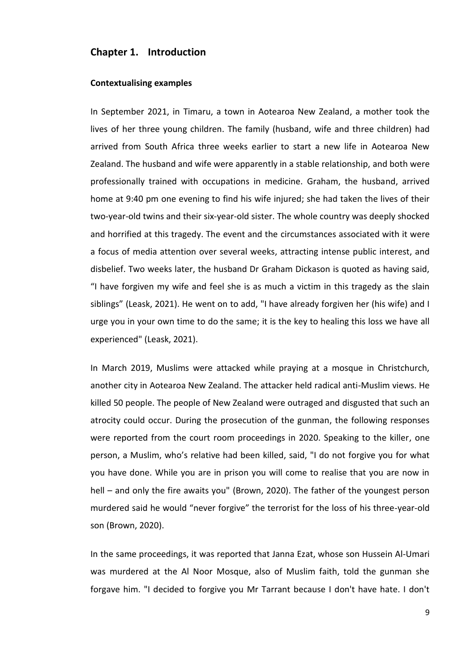## **Chapter 1. Introduction**

#### **Contextualising examples**

In September 2021, in Timaru, a town in Aotearoa New Zealand, a mother took the lives of her three young children. The family (husband, wife and three children) had arrived from South Africa three weeks earlier to start a new life in Aotearoa New Zealand. The husband and wife were apparently in a stable relationship, and both were professionally trained with occupations in medicine. Graham, the husband, arrived home at 9:40 pm one evening to find his wife injured; she had taken the lives of their two-year-old twins and their six-year-old sister. The whole country was deeply shocked and horrified at this tragedy. The event and the circumstances associated with it were a focus of media attention over several weeks, attracting intense public interest, and disbelief. Two weeks later, the husband Dr Graham Dickason is quoted as having said, "I have forgiven my wife and feel she is as much a victim in this tragedy as the slain siblings" (Leask, 2021). He went on to add, "I have already forgiven her (his wife) and I urge you in your own time to do the same; it is the key to healing this loss we have all experienced" (Leask, 2021).

In March 2019, Muslims were attacked while praying at a mosque in Christchurch, another city in Aotearoa New Zealand. The attacker held radical anti-Muslim views. He killed 50 people. The people of New Zealand were outraged and disgusted that such an atrocity could occur. During the prosecution of the gunman, the following responses were reported from the court room proceedings in 2020. Speaking to the killer, one person, a Muslim, who's relative had been killed, said, "I do not forgive you for what you have done. While you are in prison you will come to realise that you are now in hell – and only the fire awaits you" (Brown, 2020). The father of the youngest person murdered said he would "never forgive" the terrorist for the loss of his three-year-old son (Brown, 2020).

In the same proceedings, it was reported that Janna Ezat, whose son Hussein Al-Umari was murdered at the Al Noor Mosque, also of Muslim faith, told the gunman she forgave him. "I decided to forgive you Mr Tarrant because I don't have hate. I don't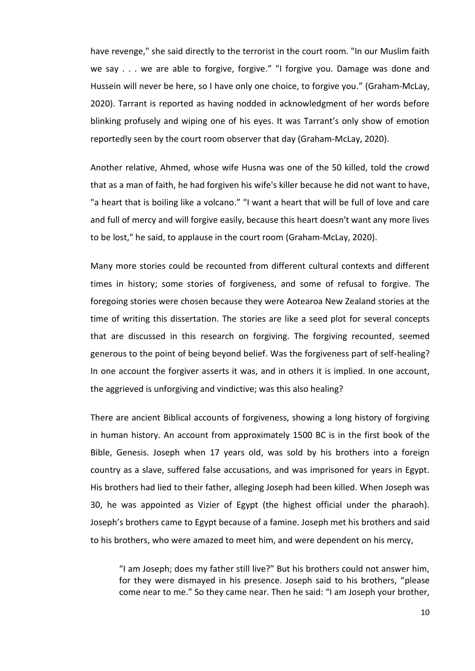have revenge," she said directly to the terrorist in the court room. "In our Muslim faith we say . . . we are able to forgive, forgive." "I forgive you. Damage was done and Hussein will never be here, so I have only one choice, to forgive you." (Graham-McLay, 2020). Tarrant is reported as having nodded in acknowledgment of her words before blinking profusely and wiping one of his eyes. It was Tarrant's only show of emotion reportedly seen by the court room observer that day (Graham-McLay, 2020).

Another relative, Ahmed, whose wife Husna was one of the 50 killed, told the crowd that as a man of faith, he had forgiven his wife's killer because he did not want to have, "a heart that is boiling like a volcano." "I want a heart that will be full of love and care and full of mercy and will forgive easily, because this heart doesn't want any more lives to be lost," he said, to applause in the court room (Graham-McLay, 2020).

Many more stories could be recounted from different cultural contexts and different times in history; some stories of forgiveness, and some of refusal to forgive. The foregoing stories were chosen because they were Aotearoa New Zealand stories at the time of writing this dissertation. The stories are like a seed plot for several concepts that are discussed in this research on forgiving. The forgiving recounted, seemed generous to the point of being beyond belief. Was the forgiveness part of self-healing? In one account the forgiver asserts it was, and in others it is implied. In one account, the aggrieved is unforgiving and vindictive; was this also healing?

There are ancient Biblical accounts of forgiveness, showing a long history of forgiving in human history. An account from approximately 1500 BC is in the first book of the Bible, Genesis. Joseph when 17 years old, was sold by his brothers into a foreign country as a slave, suffered false accusations, and was imprisoned for years in Egypt. His brothers had lied to their father, alleging Joseph had been killed. When Joseph was 30, he was appointed as Vizier of Egypt (the highest official under the pharaoh). Joseph's brothers came to Egypt because of a famine. Joseph met his brothers and said to his brothers, who were amazed to meet him, and were dependent on his mercy,

"I am Joseph; does my father still live?" But his brothers could not answer him, for they were dismayed in his presence. Joseph said to his brothers, "please come near to me." So they came near. Then he said: "I am Joseph your brother,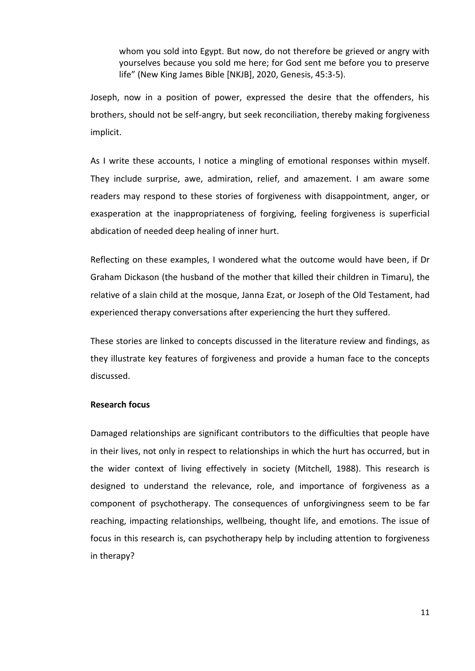whom you sold into Egypt. But now, do not therefore be grieved or angry with yourselves because you sold me here; for God sent me before you to preserve life" (New King James Bible [NKJB], 2020, Genesis, 45:3-5).

Joseph, now in a position of power, expressed the desire that the offenders, his brothers, should not be self-angry, but seek reconciliation, thereby making forgiveness implicit.

As I write these accounts, I notice a mingling of emotional responses within myself. They include surprise, awe, admiration, relief, and amazement. I am aware some readers may respond to these stories of forgiveness with disappointment, anger, or exasperation at the inappropriateness of forgiving, feeling forgiveness is superficial abdication of needed deep healing of inner hurt.

Reflecting on these examples, I wondered what the outcome would have been, if Dr Graham Dickason (the husband of the mother that killed their children in Timaru), the relative of a slain child at the mosque, Janna Ezat, or Joseph of the Old Testament, had experienced therapy conversations after experiencing the hurt they suffered.

These stories are linked to concepts discussed in the literature review and findings, as they illustrate key features of forgiveness and provide a human face to the concepts discussed.

## **Research focus**

Damaged relationships are significant contributors to the difficulties that people have in their lives, not only in respect to relationships in which the hurt has occurred, but in the wider context of living effectively in society (Mitchell, 1988). This research is designed to understand the relevance, role, and importance of forgiveness as a component of psychotherapy. The consequences of unforgivingness seem to be far reaching, impacting relationships, wellbeing, thought life, and emotions. The issue of focus in this research is, can psychotherapy help by including attention to forgiveness in therapy?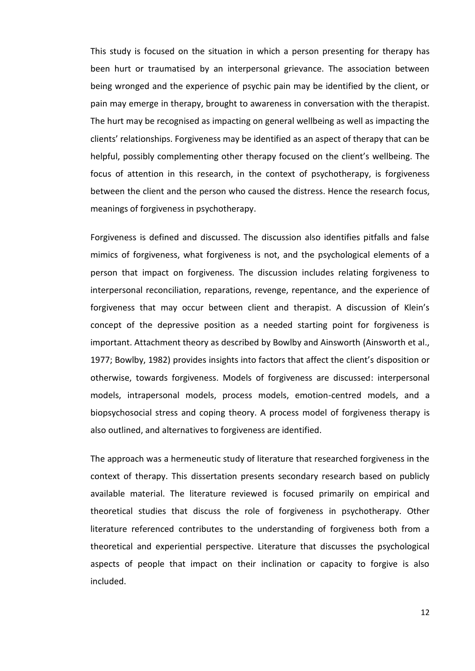This study is focused on the situation in which a person presenting for therapy has been hurt or traumatised by an interpersonal grievance. The association between being wronged and the experience of psychic pain may be identified by the client, or pain may emerge in therapy, brought to awareness in conversation with the therapist. The hurt may be recognised as impacting on general wellbeing as well as impacting the clients' relationships. Forgiveness may be identified as an aspect of therapy that can be helpful, possibly complementing other therapy focused on the client's wellbeing. The focus of attention in this research, in the context of psychotherapy, is forgiveness between the client and the person who caused the distress. Hence the research focus, meanings of forgiveness in psychotherapy.

Forgiveness is defined and discussed. The discussion also identifies pitfalls and false mimics of forgiveness, what forgiveness is not, and the psychological elements of a person that impact on forgiveness. The discussion includes relating forgiveness to interpersonal reconciliation, reparations, revenge, repentance, and the experience of forgiveness that may occur between client and therapist. A discussion of Klein's concept of the depressive position as a needed starting point for forgiveness is important. Attachment theory as described by Bowlby and Ainsworth (Ainsworth et al., 1977; Bowlby, 1982) provides insights into factors that affect the client's disposition or otherwise, towards forgiveness. Models of forgiveness are discussed: interpersonal models, intrapersonal models, process models, emotion-centred models, and a biopsychosocial stress and coping theory. A process model of forgiveness therapy is also outlined, and alternatives to forgiveness are identified.

The approach was a hermeneutic study of literature that researched forgiveness in the context of therapy. This dissertation presents secondary research based on publicly available material. The literature reviewed is focused primarily on empirical and theoretical studies that discuss the role of forgiveness in psychotherapy. Other literature referenced contributes to the understanding of forgiveness both from a theoretical and experiential perspective. Literature that discusses the psychological aspects of people that impact on their inclination or capacity to forgive is also included.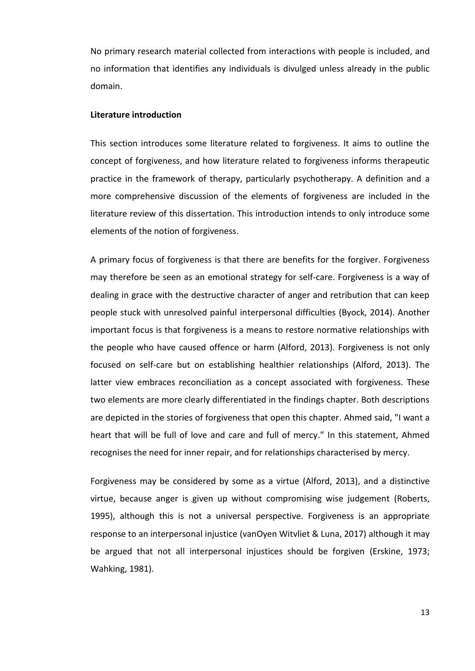No primary research material collected from interactions with people is included, and no information that identifies any individuals is divulged unless already in the public domain.

## **Literature introduction**

This section introduces some literature related to forgiveness. It aims to outline the concept of forgiveness, and how literature related to forgiveness informs therapeutic practice in the framework of therapy, particularly psychotherapy. A definition and a more comprehensive discussion of the elements of forgiveness are included in the literature review of this dissertation. This introduction intends to only introduce some elements of the notion of forgiveness.

A primary focus of forgiveness is that there are benefits for the forgiver. Forgiveness may therefore be seen as an emotional strategy for self-care. Forgiveness is a way of dealing in grace with the destructive character of anger and retribution that can keep people stuck with unresolved painful interpersonal difficulties (Byock, 2014). Another important focus is that forgiveness is a means to restore normative relationships with the people who have caused offence or harm (Alford, 2013). Forgiveness is not only focused on self-care but on establishing healthier relationships (Alford, 2013). The latter view embraces reconciliation as a concept associated with forgiveness. These two elements are more clearly differentiated in the findings chapter. Both descriptions are depicted in the stories of forgiveness that open this chapter. Ahmed said, "I want a heart that will be full of love and care and full of mercy." In this statement, Ahmed recognises the need for inner repair, and for relationships characterised by mercy.

Forgiveness may be considered by some as a virtue (Alford, 2013), and a distinctive virtue, because anger is given up without compromising wise judgement (Roberts, 1995), although this is not a universal perspective. Forgiveness is an appropriate response to an interpersonal injustice (vanOyen Witvliet & Luna, 2017) although it may be argued that not all interpersonal injustices should be forgiven (Erskine, 1973; Wahking, 1981).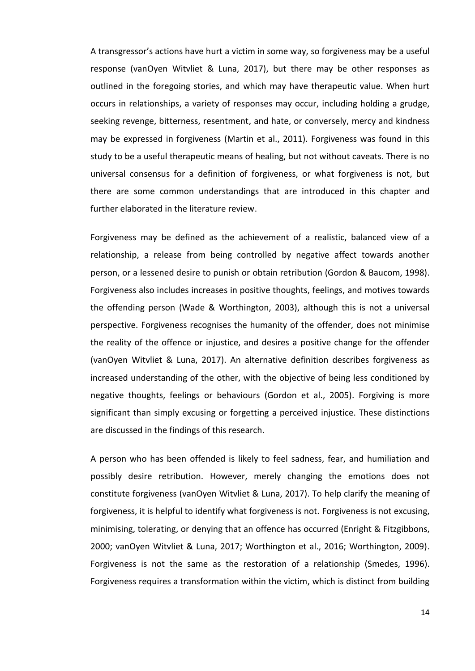A transgressor's actions have hurt a victim in some way, so forgiveness may be a useful response (vanOyen Witvliet & Luna, 2017), but there may be other responses as outlined in the foregoing stories, and which may have therapeutic value. When hurt occurs in relationships, a variety of responses may occur, including holding a grudge, seeking revenge, bitterness, resentment, and hate, or conversely, mercy and kindness may be expressed in forgiveness (Martin et al., 2011). Forgiveness was found in this study to be a useful therapeutic means of healing, but not without caveats. There is no universal consensus for a definition of forgiveness, or what forgiveness is not, but there are some common understandings that are introduced in this chapter and further elaborated in the literature review.

Forgiveness may be defined as the achievement of a realistic, balanced view of a relationship, a release from being controlled by negative affect towards another person, or a lessened desire to punish or obtain retribution (Gordon & Baucom, 1998). Forgiveness also includes increases in positive thoughts, feelings, and motives towards the offending person (Wade & Worthington, 2003), although this is not a universal perspective. Forgiveness recognises the humanity of the offender, does not minimise the reality of the offence or injustice, and desires a positive change for the offender (vanOyen Witvliet & Luna, 2017). An alternative definition describes forgiveness as increased understanding of the other, with the objective of being less conditioned by negative thoughts, feelings or behaviours (Gordon et al., 2005). Forgiving is more significant than simply excusing or forgetting a perceived injustice. These distinctions are discussed in the findings of this research.

A person who has been offended is likely to feel sadness, fear, and humiliation and possibly desire retribution. However, merely changing the emotions does not constitute forgiveness (vanOyen Witvliet & Luna, 2017). To help clarify the meaning of forgiveness, it is helpful to identify what forgiveness is not. Forgiveness is not excusing, minimising, tolerating, or denying that an offence has occurred (Enright & Fitzgibbons, 2000; vanOyen Witvliet & Luna, 2017; Worthington et al., 2016; Worthington, 2009). Forgiveness is not the same as the restoration of a relationship (Smedes, 1996). Forgiveness requires a transformation within the victim, which is distinct from building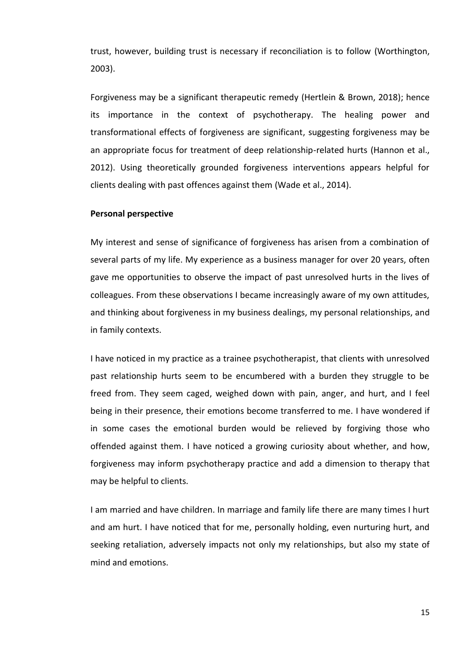trust, however, building trust is necessary if reconciliation is to follow (Worthington, 2003).

Forgiveness may be a significant therapeutic remedy (Hertlein & Brown, 2018); hence its importance in the context of psychotherapy. The healing power and transformational effects of forgiveness are significant, suggesting forgiveness may be an appropriate focus for treatment of deep relationship-related hurts (Hannon et al., 2012). Using theoretically grounded forgiveness interventions appears helpful for clients dealing with past offences against them (Wade et al., 2014).

#### **Personal perspective**

My interest and sense of significance of forgiveness has arisen from a combination of several parts of my life. My experience as a business manager for over 20 years, often gave me opportunities to observe the impact of past unresolved hurts in the lives of colleagues. From these observations I became increasingly aware of my own attitudes, and thinking about forgiveness in my business dealings, my personal relationships, and in family contexts.

I have noticed in my practice as a trainee psychotherapist, that clients with unresolved past relationship hurts seem to be encumbered with a burden they struggle to be freed from. They seem caged, weighed down with pain, anger, and hurt, and I feel being in their presence, their emotions become transferred to me. I have wondered if in some cases the emotional burden would be relieved by forgiving those who offended against them. I have noticed a growing curiosity about whether, and how, forgiveness may inform psychotherapy practice and add a dimension to therapy that may be helpful to clients.

I am married and have children. In marriage and family life there are many times I hurt and am hurt. I have noticed that for me, personally holding, even nurturing hurt, and seeking retaliation, adversely impacts not only my relationships, but also my state of mind and emotions.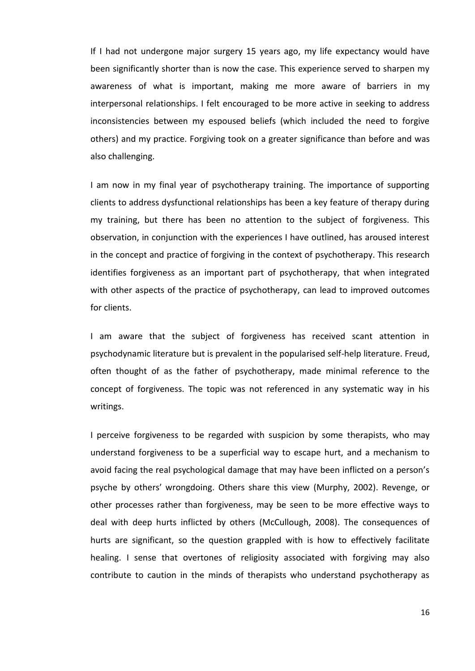If I had not undergone major surgery 15 years ago, my life expectancy would have been significantly shorter than is now the case. This experience served to sharpen my awareness of what is important, making me more aware of barriers in my interpersonal relationships. I felt encouraged to be more active in seeking to address inconsistencies between my espoused beliefs (which included the need to forgive others) and my practice. Forgiving took on a greater significance than before and was also challenging.

I am now in my final year of psychotherapy training. The importance of supporting clients to address dysfunctional relationships has been a key feature of therapy during my training, but there has been no attention to the subject of forgiveness. This observation, in conjunction with the experiences I have outlined, has aroused interest in the concept and practice of forgiving in the context of psychotherapy. This research identifies forgiveness as an important part of psychotherapy, that when integrated with other aspects of the practice of psychotherapy, can lead to improved outcomes for clients.

I am aware that the subject of forgiveness has received scant attention in psychodynamic literature but is prevalent in the popularised self-help literature. Freud, often thought of as the father of psychotherapy, made minimal reference to the concept of forgiveness. The topic was not referenced in any systematic way in his writings.

I perceive forgiveness to be regarded with suspicion by some therapists, who may understand forgiveness to be a superficial way to escape hurt, and a mechanism to avoid facing the real psychological damage that may have been inflicted on a person's psyche by others' wrongdoing. Others share this view (Murphy, 2002). Revenge, or other processes rather than forgiveness, may be seen to be more effective ways to deal with deep hurts inflicted by others (McCullough, 2008). The consequences of hurts are significant, so the question grappled with is how to effectively facilitate healing. I sense that overtones of religiosity associated with forgiving may also contribute to caution in the minds of therapists who understand psychotherapy as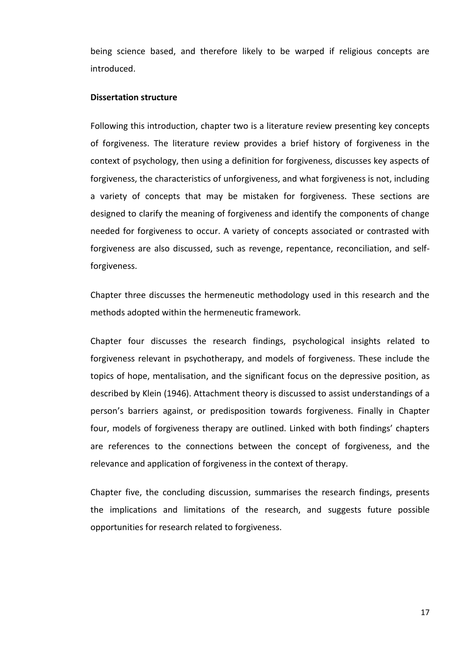being science based, and therefore likely to be warped if religious concepts are introduced.

#### **Dissertation structure**

Following this introduction, chapter two is a literature review presenting key concepts of forgiveness. The literature review provides a brief history of forgiveness in the context of psychology, then using a definition for forgiveness, discusses key aspects of forgiveness, the characteristics of unforgiveness, and what forgiveness is not, including a variety of concepts that may be mistaken for forgiveness. These sections are designed to clarify the meaning of forgiveness and identify the components of change needed for forgiveness to occur. A variety of concepts associated or contrasted with forgiveness are also discussed, such as revenge, repentance, reconciliation, and selfforgiveness.

Chapter three discusses the hermeneutic methodology used in this research and the methods adopted within the hermeneutic framework.

Chapter four discusses the research findings, psychological insights related to forgiveness relevant in psychotherapy, and models of forgiveness. These include the topics of hope, mentalisation, and the significant focus on the depressive position, as described by Klein (1946). Attachment theory is discussed to assist understandings of a person's barriers against, or predisposition towards forgiveness. Finally in Chapter four, models of forgiveness therapy are outlined. Linked with both findings' chapters are references to the connections between the concept of forgiveness, and the relevance and application of forgiveness in the context of therapy.

Chapter five, the concluding discussion, summarises the research findings, presents the implications and limitations of the research, and suggests future possible opportunities for research related to forgiveness.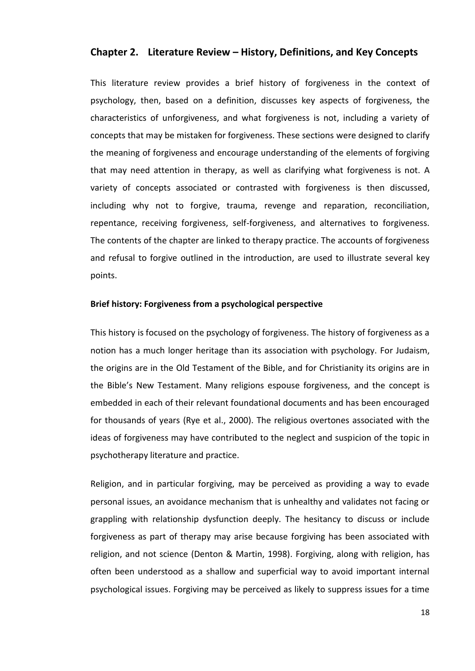## **Chapter 2. Literature Review – History, Definitions, and Key Concepts**

This literature review provides a brief history of forgiveness in the context of psychology, then, based on a definition, discusses key aspects of forgiveness, the characteristics of unforgiveness, and what forgiveness is not, including a variety of concepts that may be mistaken for forgiveness. These sections were designed to clarify the meaning of forgiveness and encourage understanding of the elements of forgiving that may need attention in therapy, as well as clarifying what forgiveness is not. A variety of concepts associated or contrasted with forgiveness is then discussed, including why not to forgive, trauma, revenge and reparation, reconciliation, repentance, receiving forgiveness, self-forgiveness, and alternatives to forgiveness. The contents of the chapter are linked to therapy practice. The accounts of forgiveness and refusal to forgive outlined in the introduction, are used to illustrate several key points.

## **Brief history: Forgiveness from a psychological perspective**

This history is focused on the psychology of forgiveness. The history of forgiveness as a notion has a much longer heritage than its association with psychology. For Judaism, the origins are in the Old Testament of the Bible, and for Christianity its origins are in the Bible's New Testament. Many religions espouse forgiveness, and the concept is embedded in each of their relevant foundational documents and has been encouraged for thousands of years (Rye et al., 2000). The religious overtones associated with the ideas of forgiveness may have contributed to the neglect and suspicion of the topic in psychotherapy literature and practice.

Religion, and in particular forgiving, may be perceived as providing a way to evade personal issues, an avoidance mechanism that is unhealthy and validates not facing or grappling with relationship dysfunction deeply. The hesitancy to discuss or include forgiveness as part of therapy may arise because forgiving has been associated with religion, and not science (Denton & Martin, 1998). Forgiving, along with religion, has often been understood as a shallow and superficial way to avoid important internal psychological issues. Forgiving may be perceived as likely to suppress issues for a time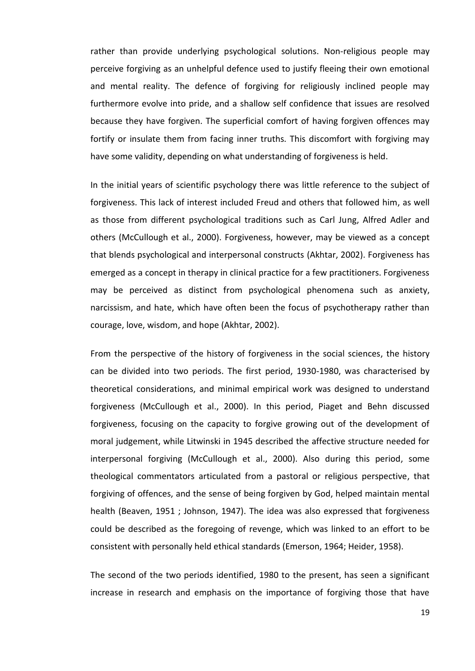rather than provide underlying psychological solutions. Non-religious people may perceive forgiving as an unhelpful defence used to justify fleeing their own emotional and mental reality. The defence of forgiving for religiously inclined people may furthermore evolve into pride, and a shallow self confidence that issues are resolved because they have forgiven. The superficial comfort of having forgiven offences may fortify or insulate them from facing inner truths. This discomfort with forgiving may have some validity, depending on what understanding of forgiveness is held.

In the initial years of scientific psychology there was little reference to the subject of forgiveness. This lack of interest included Freud and others that followed him, as well as those from different psychological traditions such as Carl Jung, Alfred Adler and others (McCullough et al., 2000). Forgiveness, however, may be viewed as a concept that blends psychological and interpersonal constructs (Akhtar, 2002). Forgiveness has emerged as a concept in therapy in clinical practice for a few practitioners. Forgiveness may be perceived as distinct from psychological phenomena such as anxiety, narcissism, and hate, which have often been the focus of psychotherapy rather than courage, love, wisdom, and hope (Akhtar, 2002).

From the perspective of the history of forgiveness in the social sciences, the history can be divided into two periods. The first period, 1930-1980, was characterised by theoretical considerations, and minimal empirical work was designed to understand forgiveness (McCullough et al., 2000). In this period, Piaget and Behn discussed forgiveness, focusing on the capacity to forgive growing out of the development of moral judgement, while Litwinski in 1945 described the affective structure needed for interpersonal forgiving (McCullough et al., 2000). Also during this period, some theological commentators articulated from a pastoral or religious perspective, that forgiving of offences, and the sense of being forgiven by God, helped maintain mental health (Beaven, 1951 ; Johnson, 1947). The idea was also expressed that forgiveness could be described as the foregoing of revenge, which was linked to an effort to be consistent with personally held ethical standards (Emerson, 1964; Heider, 1958).

The second of the two periods identified, 1980 to the present, has seen a significant increase in research and emphasis on the importance of forgiving those that have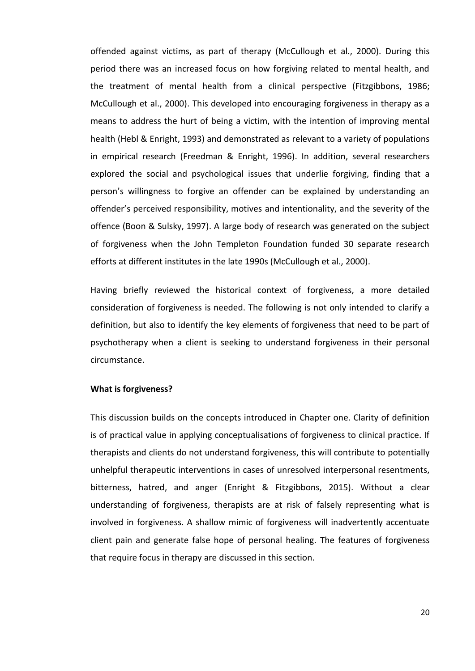offended against victims, as part of therapy (McCullough et al., 2000). During this period there was an increased focus on how forgiving related to mental health, and the treatment of mental health from a clinical perspective (Fitzgibbons, 1986; McCullough et al., 2000). This developed into encouraging forgiveness in therapy as a means to address the hurt of being a victim, with the intention of improving mental health (Hebl & Enright, 1993) and demonstrated as relevant to a variety of populations in empirical research (Freedman & Enright, 1996). In addition, several researchers explored the social and psychological issues that underlie forgiving, finding that a person's willingness to forgive an offender can be explained by understanding an offender's perceived responsibility, motives and intentionality, and the severity of the offence (Boon & Sulsky, 1997). A large body of research was generated on the subject of forgiveness when the John Templeton Foundation funded 30 separate research efforts at different institutes in the late 1990s (McCullough et al., 2000).

Having briefly reviewed the historical context of forgiveness, a more detailed consideration of forgiveness is needed. The following is not only intended to clarify a definition, but also to identify the key elements of forgiveness that need to be part of psychotherapy when a client is seeking to understand forgiveness in their personal circumstance.

## **What is forgiveness?**

This discussion builds on the concepts introduced in Chapter one. Clarity of definition is of practical value in applying conceptualisations of forgiveness to clinical practice. If therapists and clients do not understand forgiveness, this will contribute to potentially unhelpful therapeutic interventions in cases of unresolved interpersonal resentments, bitterness, hatred, and anger (Enright & Fitzgibbons, 2015). Without a clear understanding of forgiveness, therapists are at risk of falsely representing what is involved in forgiveness. A shallow mimic of forgiveness will inadvertently accentuate client pain and generate false hope of personal healing. The features of forgiveness that require focus in therapy are discussed in this section.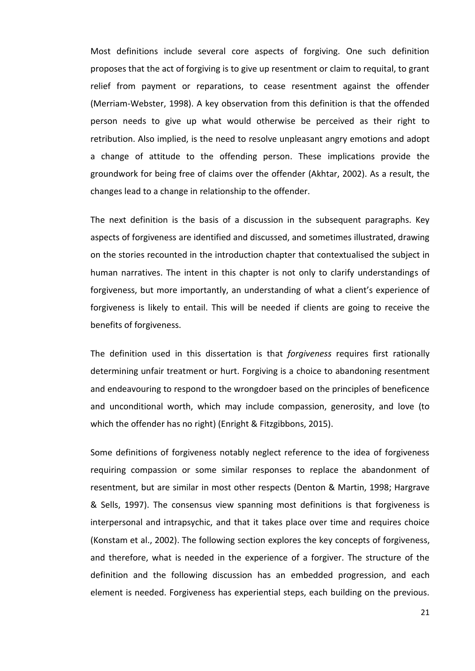Most definitions include several core aspects of forgiving. One such definition proposes that the act of forgiving is to give up resentment or claim to requital, to grant relief from payment or reparations, to cease resentment against the offender (Merriam-Webster, 1998). A key observation from this definition is that the offended person needs to give up what would otherwise be perceived as their right to retribution. Also implied, is the need to resolve unpleasant angry emotions and adopt a change of attitude to the offending person. These implications provide the groundwork for being free of claims over the offender (Akhtar, 2002). As a result, the changes lead to a change in relationship to the offender.

The next definition is the basis of a discussion in the subsequent paragraphs. Key aspects of forgiveness are identified and discussed, and sometimes illustrated, drawing on the stories recounted in the introduction chapter that contextualised the subject in human narratives. The intent in this chapter is not only to clarify understandings of forgiveness, but more importantly, an understanding of what a client's experience of forgiveness is likely to entail. This will be needed if clients are going to receive the benefits of forgiveness.

The definition used in this dissertation is that *forgiveness* requires first rationally determining unfair treatment or hurt. Forgiving is a choice to abandoning resentment and endeavouring to respond to the wrongdoer based on the principles of beneficence and unconditional worth, which may include compassion, generosity, and love (to which the offender has no right) (Enright & Fitzgibbons, 2015).

Some definitions of forgiveness notably neglect reference to the idea of forgiveness requiring compassion or some similar responses to replace the abandonment of resentment, but are similar in most other respects (Denton & Martin, 1998; Hargrave & Sells, 1997). The consensus view spanning most definitions is that forgiveness is interpersonal and intrapsychic, and that it takes place over time and requires choice (Konstam et al., 2002). The following section explores the key concepts of forgiveness, and therefore, what is needed in the experience of a forgiver. The structure of the definition and the following discussion has an embedded progression, and each element is needed. Forgiveness has experiential steps, each building on the previous.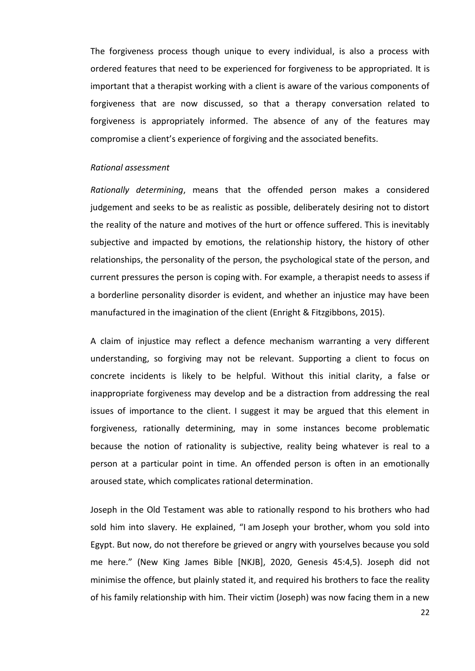The forgiveness process though unique to every individual, is also a process with ordered features that need to be experienced for forgiveness to be appropriated. It is important that a therapist working with a client is aware of the various components of forgiveness that are now discussed, so that a therapy conversation related to forgiveness is appropriately informed. The absence of any of the features may compromise a client's experience of forgiving and the associated benefits.

#### *Rational assessment*

*Rationally determining*, means that the offended person makes a considered judgement and seeks to be as realistic as possible, deliberately desiring not to distort the reality of the nature and motives of the hurt or offence suffered. This is inevitably subjective and impacted by emotions, the relationship history, the history of other relationships, the personality of the person, the psychological state of the person, and current pressures the person is coping with. For example, a therapist needs to assess if a borderline personality disorder is evident, and whether an injustice may have been manufactured in the imagination of the client (Enright & Fitzgibbons, 2015).

A claim of injustice may reflect a defence mechanism warranting a very different understanding, so forgiving may not be relevant. Supporting a client to focus on concrete incidents is likely to be helpful. Without this initial clarity, a false or inappropriate forgiveness may develop and be a distraction from addressing the real issues of importance to the client. I suggest it may be argued that this element in forgiveness, rationally determining, may in some instances become problematic because the notion of rationality is subjective, reality being whatever is real to a person at a particular point in time. An offended person is often in an emotionally aroused state, which complicates rational determination.

Joseph in the Old Testament was able to rationally respond to his brothers who had sold him into slavery. He explained, "I am Joseph your brother, whom you sold into Egypt. But now, do not therefore be grieved or angry with yourselves because you sold me here." (New King James Bible [NKJB], 2020, Genesis 45:4,5). Joseph did not minimise the offence, but plainly stated it, and required his brothers to face the reality of his family relationship with him. Their victim (Joseph) was now facing them in a new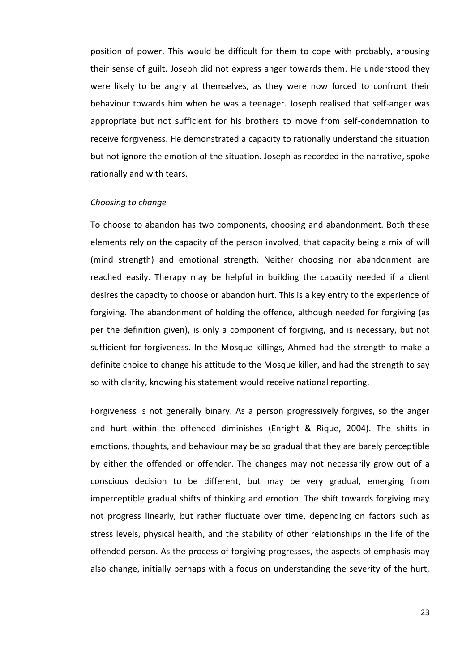position of power. This would be difficult for them to cope with probably, arousing their sense of guilt. Joseph did not express anger towards them. He understood they were likely to be angry at themselves, as they were now forced to confront their behaviour towards him when he was a teenager. Joseph realised that self-anger was appropriate but not sufficient for his brothers to move from self-condemnation to receive forgiveness. He demonstrated a capacity to rationally understand the situation but not ignore the emotion of the situation. Joseph as recorded in the narrative, spoke rationally and with tears.

#### *Choosing to change*

To choose to abandon has two components, choosing and abandonment. Both these elements rely on the capacity of the person involved, that capacity being a mix of will (mind strength) and emotional strength. Neither choosing nor abandonment are reached easily. Therapy may be helpful in building the capacity needed if a client desires the capacity to choose or abandon hurt. This is a key entry to the experience of forgiving. The abandonment of holding the offence, although needed for forgiving (as per the definition given), is only a component of forgiving, and is necessary, but not sufficient for forgiveness. In the Mosque killings, Ahmed had the strength to make a definite choice to change his attitude to the Mosque killer, and had the strength to say so with clarity, knowing his statement would receive national reporting.

Forgiveness is not generally binary. As a person progressively forgives, so the anger and hurt within the offended diminishes (Enright & Rique, 2004). The shifts in emotions, thoughts, and behaviour may be so gradual that they are barely perceptible by either the offended or offender. The changes may not necessarily grow out of a conscious decision to be different, but may be very gradual, emerging from imperceptible gradual shifts of thinking and emotion. The shift towards forgiving may not progress linearly, but rather fluctuate over time, depending on factors such as stress levels, physical health, and the stability of other relationships in the life of the offended person. As the process of forgiving progresses, the aspects of emphasis may also change, initially perhaps with a focus on understanding the severity of the hurt,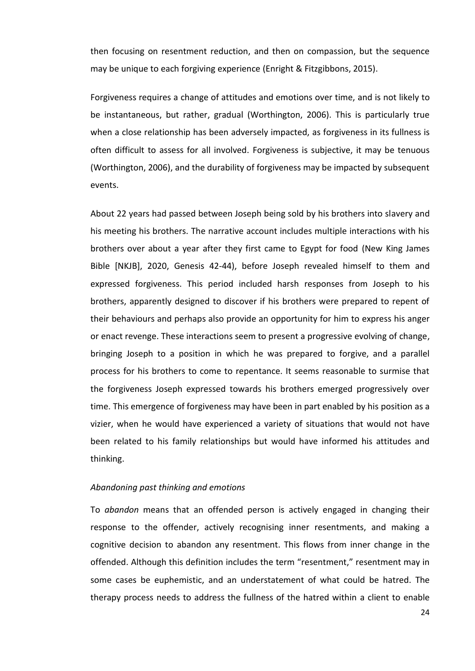then focusing on resentment reduction, and then on compassion, but the sequence may be unique to each forgiving experience (Enright & Fitzgibbons, 2015).

Forgiveness requires a change of attitudes and emotions over time, and is not likely to be instantaneous, but rather, gradual (Worthington, 2006). This is particularly true when a close relationship has been adversely impacted, as forgiveness in its fullness is often difficult to assess for all involved. Forgiveness is subjective, it may be tenuous (Worthington, 2006), and the durability of forgiveness may be impacted by subsequent events.

About 22 years had passed between Joseph being sold by his brothers into slavery and his meeting his brothers. The narrative account includes multiple interactions with his brothers over about a year after they first came to Egypt for food (New King James Bible [NKJB], 2020, Genesis 42-44), before Joseph revealed himself to them and expressed forgiveness. This period included harsh responses from Joseph to his brothers, apparently designed to discover if his brothers were prepared to repent of their behaviours and perhaps also provide an opportunity for him to express his anger or enact revenge. These interactions seem to present a progressive evolving of change, bringing Joseph to a position in which he was prepared to forgive, and a parallel process for his brothers to come to repentance. It seems reasonable to surmise that the forgiveness Joseph expressed towards his brothers emerged progressively over time. This emergence of forgiveness may have been in part enabled by his position as a vizier, when he would have experienced a variety of situations that would not have been related to his family relationships but would have informed his attitudes and thinking.

#### *Abandoning past thinking and emotions*

To *abandon* means that an offended person is actively engaged in changing their response to the offender, actively recognising inner resentments, and making a cognitive decision to abandon any resentment. This flows from inner change in the offended. Although this definition includes the term "resentment," resentment may in some cases be euphemistic, and an understatement of what could be hatred. The therapy process needs to address the fullness of the hatred within a client to enable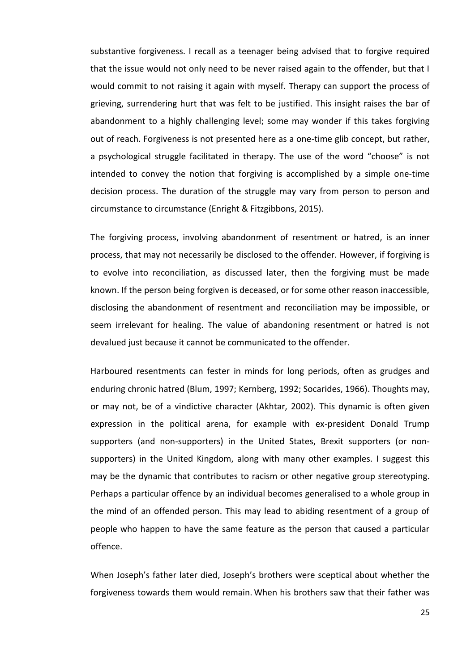substantive forgiveness. I recall as a teenager being advised that to forgive required that the issue would not only need to be never raised again to the offender, but that I would commit to not raising it again with myself. Therapy can support the process of grieving, surrendering hurt that was felt to be justified. This insight raises the bar of abandonment to a highly challenging level; some may wonder if this takes forgiving out of reach. Forgiveness is not presented here as a one-time glib concept, but rather, a psychological struggle facilitated in therapy. The use of the word "choose" is not intended to convey the notion that forgiving is accomplished by a simple one-time decision process. The duration of the struggle may vary from person to person and circumstance to circumstance (Enright & Fitzgibbons, 2015).

The forgiving process, involving abandonment of resentment or hatred, is an inner process, that may not necessarily be disclosed to the offender. However, if forgiving is to evolve into reconciliation, as discussed later, then the forgiving must be made known. If the person being forgiven is deceased, or for some other reason inaccessible, disclosing the abandonment of resentment and reconciliation may be impossible, or seem irrelevant for healing. The value of abandoning resentment or hatred is not devalued just because it cannot be communicated to the offender.

Harboured resentments can fester in minds for long periods, often as grudges and enduring chronic hatred (Blum, 1997; Kernberg, 1992; Socarides, 1966). Thoughts may, or may not, be of a vindictive character (Akhtar, 2002). This dynamic is often given expression in the political arena, for example with ex-president Donald Trump supporters (and non-supporters) in the United States, Brexit supporters (or nonsupporters) in the United Kingdom, along with many other examples. I suggest this may be the dynamic that contributes to racism or other negative group stereotyping. Perhaps a particular offence by an individual becomes generalised to a whole group in the mind of an offended person. This may lead to abiding resentment of a group of people who happen to have the same feature as the person that caused a particular offence.

When Joseph's father later died, Joseph's brothers were sceptical about whether the forgiveness towards them would remain. When his brothers saw that their father was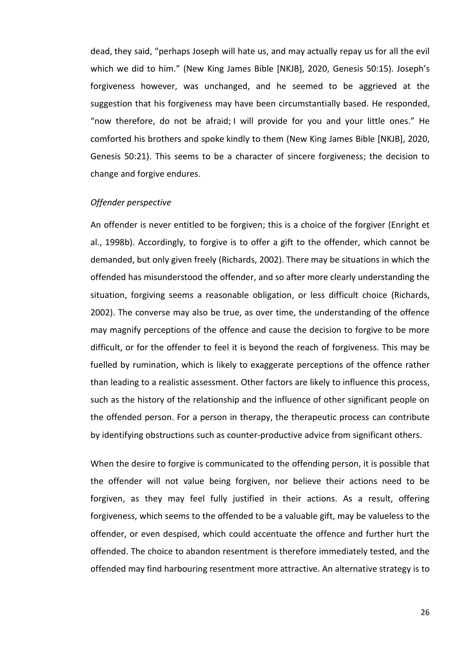dead, they said, "perhaps Joseph will hate us, and may actually repay us for all the evil which we did to him." (New King James Bible [NKJB], 2020, Genesis 50:15). Joseph's forgiveness however, was unchanged, and he seemed to be aggrieved at the suggestion that his forgiveness may have been circumstantially based. He responded, "now therefore, do not be afraid; I will provide for you and your little ones." He comforted his brothers and spoke kindly to them (New King James Bible [NKJB], 2020, Genesis 50:21). This seems to be a character of sincere forgiveness; the decision to change and forgive endures.

## *Offender perspective*

An offender is never entitled to be forgiven; this is a choice of the forgiver (Enright et al., 1998b). Accordingly, to forgive is to offer a gift to the offender, which cannot be demanded, but only given freely (Richards, 2002). There may be situations in which the offended has misunderstood the offender, and so after more clearly understanding the situation, forgiving seems a reasonable obligation, or less difficult choice (Richards, 2002). The converse may also be true, as over time, the understanding of the offence may magnify perceptions of the offence and cause the decision to forgive to be more difficult, or for the offender to feel it is beyond the reach of forgiveness. This may be fuelled by rumination, which is likely to exaggerate perceptions of the offence rather than leading to a realistic assessment. Other factors are likely to influence this process, such as the history of the relationship and the influence of other significant people on the offended person. For a person in therapy, the therapeutic process can contribute by identifying obstructions such as counter-productive advice from significant others.

When the desire to forgive is communicated to the offending person, it is possible that the offender will not value being forgiven, nor believe their actions need to be forgiven, as they may feel fully justified in their actions. As a result, offering forgiveness, which seems to the offended to be a valuable gift, may be valueless to the offender, or even despised, which could accentuate the offence and further hurt the offended. The choice to abandon resentment is therefore immediately tested, and the offended may find harbouring resentment more attractive. An alternative strategy is to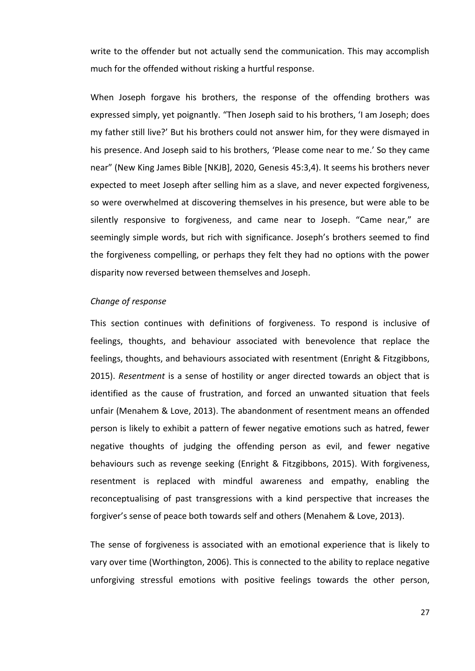write to the offender but not actually send the communication. This may accomplish much for the offended without risking a hurtful response.

When Joseph forgave his brothers, the response of the offending brothers was expressed simply, yet poignantly. "Then Joseph said to his brothers, 'I am Joseph; does my father still live?' But his brothers could not answer him, for they were dismayed in his presence. And Joseph said to his brothers, 'Please come near to me.' So they came near" (New King James Bible [NKJB], 2020, Genesis 45:3,4). It seems his brothers never expected to meet Joseph after selling him as a slave, and never expected forgiveness, so were overwhelmed at discovering themselves in his presence, but were able to be silently responsive to forgiveness, and came near to Joseph. "Came near," are seemingly simple words, but rich with significance. Joseph's brothers seemed to find the forgiveness compelling, or perhaps they felt they had no options with the power disparity now reversed between themselves and Joseph.

#### *Change of response*

This section continues with definitions of forgiveness. To respond is inclusive of feelings, thoughts, and behaviour associated with benevolence that replace the feelings, thoughts, and behaviours associated with resentment (Enright & Fitzgibbons, 2015). *Resentment* is a sense of hostility or anger directed towards an object that is identified as the cause of frustration, and forced an unwanted situation that feels unfair (Menahem & Love, 2013). The abandonment of resentment means an offended person is likely to exhibit a pattern of fewer negative emotions such as hatred, fewer negative thoughts of judging the offending person as evil, and fewer negative behaviours such as revenge seeking (Enright & Fitzgibbons, 2015). With forgiveness, resentment is replaced with mindful awareness and empathy, enabling the reconceptualising of past transgressions with a kind perspective that increases the forgiver's sense of peace both towards self and others (Menahem & Love, 2013).

The sense of forgiveness is associated with an emotional experience that is likely to vary over time (Worthington, 2006). This is connected to the ability to replace negative unforgiving stressful emotions with positive feelings towards the other person,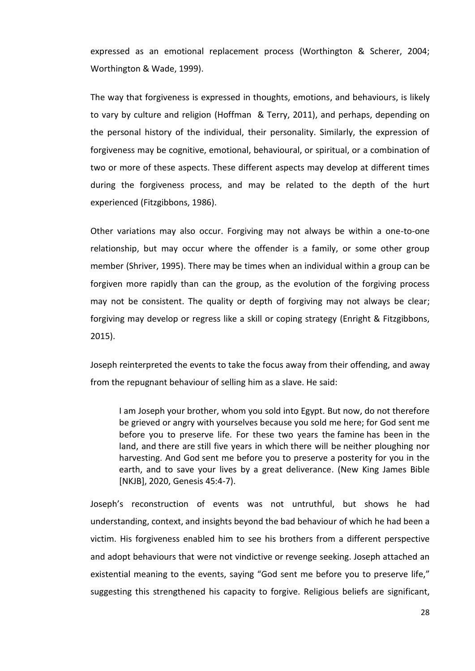expressed as an emotional replacement process (Worthington & Scherer, 2004; Worthington & Wade, 1999).

The way that forgiveness is expressed in thoughts, emotions, and behaviours, is likely to vary by culture and religion (Hoffman & Terry, 2011), and perhaps, depending on the personal history of the individual, their personality. Similarly, the expression of forgiveness may be cognitive, emotional, behavioural, or spiritual, or a combination of two or more of these aspects. These different aspects may develop at different times during the forgiveness process, and may be related to the depth of the hurt experienced (Fitzgibbons, 1986).

Other variations may also occur. Forgiving may not always be within a one-to-one relationship, but may occur where the offender is a family, or some other group member (Shriver, 1995). There may be times when an individual within a group can be forgiven more rapidly than can the group, as the evolution of the forgiving process may not be consistent. The quality or depth of forgiving may not always be clear; forgiving may develop or regress like a skill or coping strategy (Enright & Fitzgibbons, 2015).

Joseph reinterpreted the events to take the focus away from their offending, and away from the repugnant behaviour of selling him as a slave. He said:

I am Joseph your brother, whom you sold into Egypt. But now, do not therefore be grieved or angry with yourselves because you sold me here; for God sent me before you to preserve life. For these two years the famine has been in the land, and there are still five years in which there will be neither ploughing nor harvesting. And God sent me before you to preserve a posterity for you in the earth, and to save your lives by a great deliverance. (New King James Bible [NKJB], 2020, Genesis 45:4-7).

Joseph's reconstruction of events was not untruthful, but shows he had understanding, context, and insights beyond the bad behaviour of which he had been a victim. His forgiveness enabled him to see his brothers from a different perspective and adopt behaviours that were not vindictive or revenge seeking. Joseph attached an existential meaning to the events, saying "God sent me before you to preserve life," suggesting this strengthened his capacity to forgive. Religious beliefs are significant,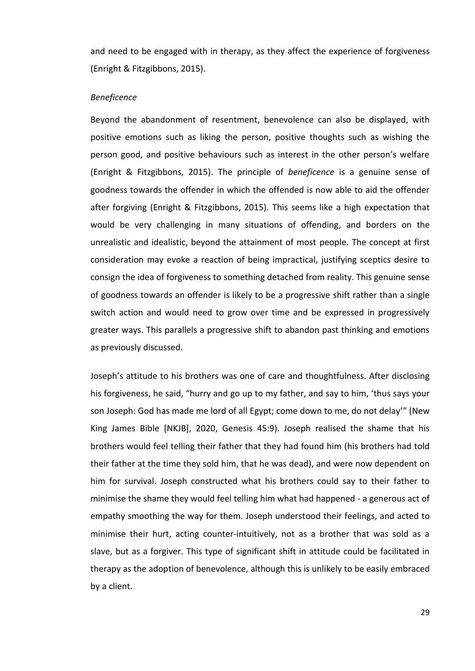and need to be engaged with in therapy, as they affect the experience of forgiveness (Enright & Fitzgibbons, 2015).

#### *Beneficence*

Beyond the abandonment of resentment, benevolence can also be displayed, with positive emotions such as liking the person, positive thoughts such as wishing the person good, and positive behaviours such as interest in the other person's welfare (Enright & Fitzgibbons, 2015). The principle of *beneficence* is a genuine sense of goodness towards the offender in which the offended is now able to aid the offender after forgiving (Enright & Fitzgibbons, 2015). This seems like a high expectation that would be very challenging in many situations of offending, and borders on the unrealistic and idealistic, beyond the attainment of most people. The concept at first consideration may evoke a reaction of being impractical, justifying sceptics desire to consign the idea of forgiveness to something detached from reality. This genuine sense of goodness towards an offender is likely to be a progressive shift rather than a single switch action and would need to grow over time and be expressed in progressively greater ways. This parallels a progressive shift to abandon past thinking and emotions as previously discussed.

Joseph's attitude to his brothers was one of care and thoughtfulness. After disclosing his forgiveness, he said, "hurry and go up to my father, and say to him, 'thus says your son Joseph: God has made me lord of all Egypt; come down to me, do not delay'" (New King James Bible [NKJB], 2020, Genesis 45:9). Joseph realised the shame that his brothers would feel telling their father that they had found him (his brothers had told their father at the time they sold him, that he was dead), and were now dependent on him for survival. Joseph constructed what his brothers could say to their father to minimise the shame they would feel telling him what had happened - a generous act of empathy smoothing the way for them. Joseph understood their feelings, and acted to minimise their hurt, acting counter-intuitively, not as a brother that was sold as a slave, but as a forgiver. This type of significant shift in attitude could be facilitated in therapy as the adoption of benevolence, although this is unlikely to be easily embraced by a client.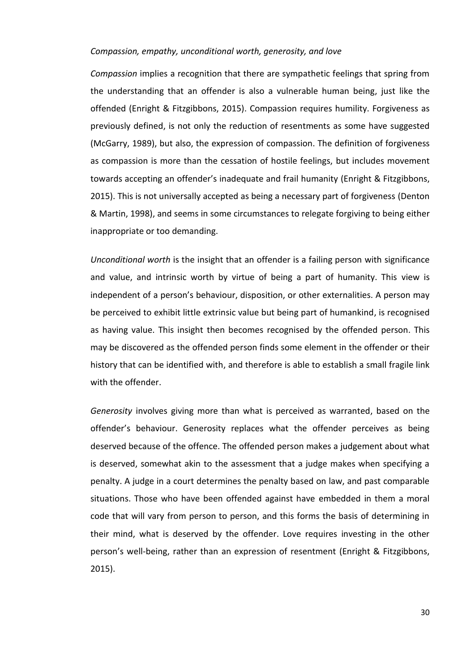#### *Compassion, empathy, unconditional worth, generosity, and love*

*Compassion* implies a recognition that there are sympathetic feelings that spring from the understanding that an offender is also a vulnerable human being, just like the offended (Enright & Fitzgibbons, 2015). Compassion requires humility. Forgiveness as previously defined, is not only the reduction of resentments as some have suggested (McGarry, 1989), but also, the expression of compassion. The definition of forgiveness as compassion is more than the cessation of hostile feelings, but includes movement towards accepting an offender's inadequate and frail humanity (Enright & Fitzgibbons, 2015). This is not universally accepted as being a necessary part of forgiveness (Denton & Martin, 1998), and seems in some circumstances to relegate forgiving to being either inappropriate or too demanding.

*Unconditional worth* is the insight that an offender is a failing person with significance and value, and intrinsic worth by virtue of being a part of humanity. This view is independent of a person's behaviour, disposition, or other externalities. A person may be perceived to exhibit little extrinsic value but being part of humankind, is recognised as having value. This insight then becomes recognised by the offended person. This may be discovered as the offended person finds some element in the offender or their history that can be identified with, and therefore is able to establish a small fragile link with the offender.

*Generosity* involves giving more than what is perceived as warranted, based on the offender's behaviour. Generosity replaces what the offender perceives as being deserved because of the offence. The offended person makes a judgement about what is deserved, somewhat akin to the assessment that a judge makes when specifying a penalty. A judge in a court determines the penalty based on law, and past comparable situations. Those who have been offended against have embedded in them a moral code that will vary from person to person, and this forms the basis of determining in their mind, what is deserved by the offender. Love requires investing in the other person's well-being, rather than an expression of resentment (Enright & Fitzgibbons, 2015).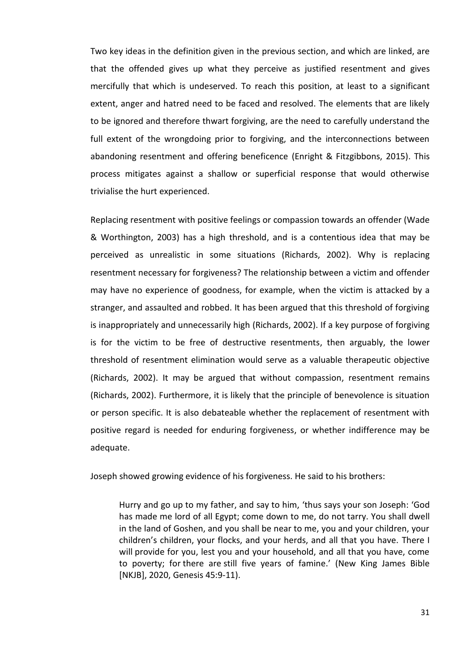Two key ideas in the definition given in the previous section, and which are linked, are that the offended gives up what they perceive as justified resentment and gives mercifully that which is undeserved. To reach this position, at least to a significant extent, anger and hatred need to be faced and resolved. The elements that are likely to be ignored and therefore thwart forgiving, are the need to carefully understand the full extent of the wrongdoing prior to forgiving, and the interconnections between abandoning resentment and offering beneficence (Enright & Fitzgibbons, 2015). This process mitigates against a shallow or superficial response that would otherwise trivialise the hurt experienced.

Replacing resentment with positive feelings or compassion towards an offender (Wade & Worthington, 2003) has a high threshold, and is a contentious idea that may be perceived as unrealistic in some situations (Richards, 2002). Why is replacing resentment necessary for forgiveness? The relationship between a victim and offender may have no experience of goodness, for example, when the victim is attacked by a stranger, and assaulted and robbed. It has been argued that this threshold of forgiving is inappropriately and unnecessarily high (Richards, 2002). If a key purpose of forgiving is for the victim to be free of destructive resentments, then arguably, the lower threshold of resentment elimination would serve as a valuable therapeutic objective (Richards, 2002). It may be argued that without compassion, resentment remains (Richards, 2002). Furthermore, it is likely that the principle of benevolence is situation or person specific. It is also debateable whether the replacement of resentment with positive regard is needed for enduring forgiveness, or whether indifference may be adequate.

Joseph showed growing evidence of his forgiveness. He said to his brothers:

Hurry and go up to my father, and say to him, 'thus says your son Joseph: 'God has made me lord of all Egypt; come down to me, do not tarry. You shall dwell in the land of Goshen, and you shall be near to me, you and your children, your children's children, your flocks, and your herds, and all that you have. There I will provide for you, lest you and your household, and all that you have, come to poverty; for there are still five years of famine.' (New King James Bible [NKJB], 2020, Genesis 45:9-11).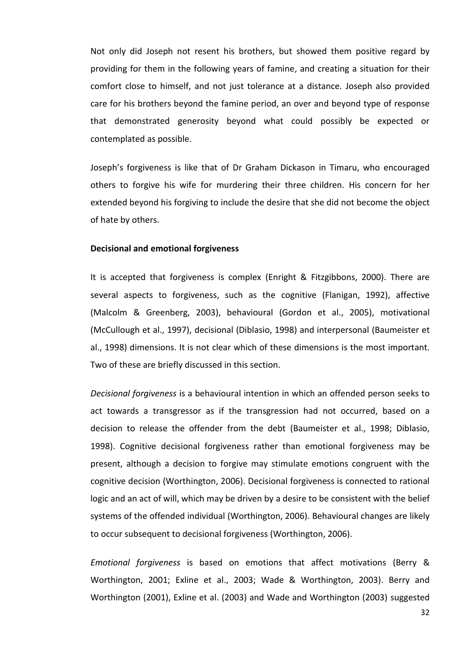Not only did Joseph not resent his brothers, but showed them positive regard by providing for them in the following years of famine, and creating a situation for their comfort close to himself, and not just tolerance at a distance. Joseph also provided care for his brothers beyond the famine period, an over and beyond type of response that demonstrated generosity beyond what could possibly be expected or contemplated as possible.

Joseph's forgiveness is like that of Dr Graham Dickason in Timaru, who encouraged others to forgive his wife for murdering their three children. His concern for her extended beyond his forgiving to include the desire that she did not become the object of hate by others.

## **Decisional and emotional forgiveness**

It is accepted that forgiveness is complex (Enright & Fitzgibbons, 2000). There are several aspects to forgiveness, such as the cognitive (Flanigan, 1992), affective (Malcolm & Greenberg, 2003), behavioural (Gordon et al., 2005), motivational (McCullough et al., 1997), decisional (Diblasio, 1998) and interpersonal (Baumeister et al., 1998) dimensions. It is not clear which of these dimensions is the most important. Two of these are briefly discussed in this section.

*Decisional forgiveness* is a behavioural intention in which an offended person seeks to act towards a transgressor as if the transgression had not occurred, based on a decision to release the offender from the debt (Baumeister et al., 1998; Diblasio, 1998). Cognitive decisional forgiveness rather than emotional forgiveness may be present, although a decision to forgive may stimulate emotions congruent with the cognitive decision (Worthington, 2006). Decisional forgiveness is connected to rational logic and an act of will, which may be driven by a desire to be consistent with the belief systems of the offended individual (Worthington, 2006). Behavioural changes are likely to occur subsequent to decisional forgiveness (Worthington, 2006).

*Emotional forgiveness* is based on emotions that affect motivations (Berry & Worthington, 2001; Exline et al., 2003; Wade & Worthington, 2003). Berry and Worthington (2001), Exline et al. (2003) and Wade and Worthington (2003) suggested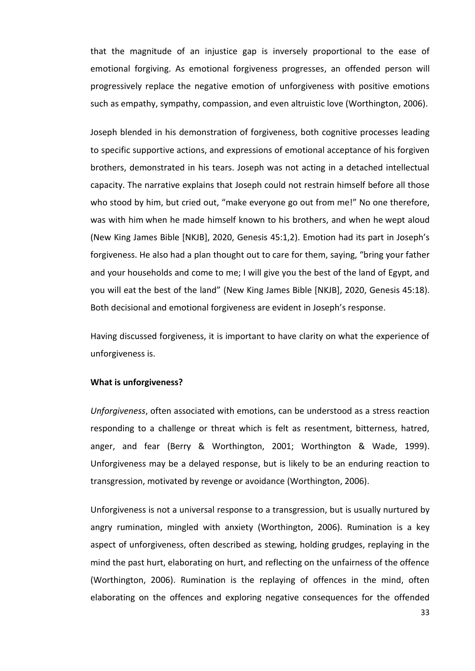that the magnitude of an injustice gap is inversely proportional to the ease of emotional forgiving. As emotional forgiveness progresses, an offended person will progressively replace the negative emotion of unforgiveness with positive emotions such as empathy, sympathy, compassion, and even altruistic love (Worthington, 2006).

Joseph blended in his demonstration of forgiveness, both cognitive processes leading to specific supportive actions, and expressions of emotional acceptance of his forgiven brothers, demonstrated in his tears. Joseph was not acting in a detached intellectual capacity. The narrative explains that Joseph could not restrain himself before all those who stood by him, but cried out, "make everyone go out from me!" No one therefore, was with him when he made himself known to his brothers, and when he wept aloud (New King James Bible [NKJB], 2020, Genesis 45:1,2). Emotion had its part in Joseph's forgiveness. He also had a plan thought out to care for them, saying, "bring your father and your households and come to me; I will give you the best of the land of Egypt, and you will eat the best of the land" (New King James Bible [NKJB], 2020, Genesis 45:18). Both decisional and emotional forgiveness are evident in Joseph's response.

Having discussed forgiveness, it is important to have clarity on what the experience of unforgiveness is.

## **What is unforgiveness?**

*Unforgiveness*, often associated with emotions, can be understood as a stress reaction responding to a challenge or threat which is felt as resentment, bitterness, hatred, anger, and fear (Berry & Worthington, 2001; Worthington & Wade, 1999). Unforgiveness may be a delayed response, but is likely to be an enduring reaction to transgression, motivated by revenge or avoidance (Worthington, 2006).

Unforgiveness is not a universal response to a transgression, but is usually nurtured by angry rumination, mingled with anxiety (Worthington, 2006). Rumination is a key aspect of unforgiveness, often described as stewing, holding grudges, replaying in the mind the past hurt, elaborating on hurt, and reflecting on the unfairness of the offence (Worthington, 2006). Rumination is the replaying of offences in the mind, often elaborating on the offences and exploring negative consequences for the offended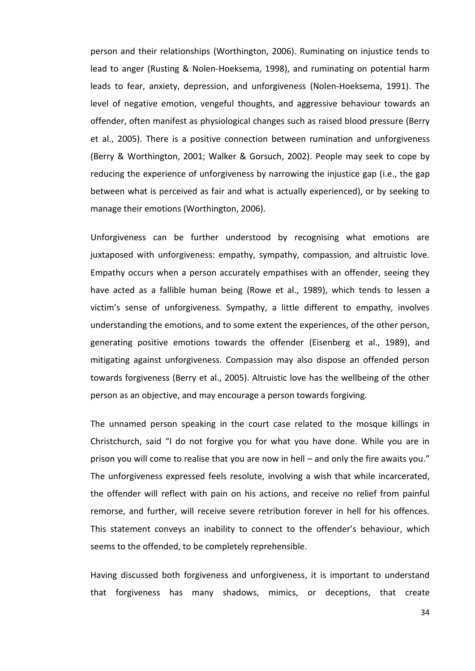person and their relationships (Worthington, 2006). Ruminating on injustice tends to lead to anger (Rusting & Nolen-Hoeksema, 1998), and ruminating on potential harm leads to fear, anxiety, depression, and unforgiveness (Nolen-Hoeksema, 1991). The level of negative emotion, vengeful thoughts, and aggressive behaviour towards an offender, often manifest as physiological changes such as raised blood pressure (Berry et al., 2005). There is a positive connection between rumination and unforgiveness (Berry & Worthington, 2001; Walker & Gorsuch, 2002). People may seek to cope by reducing the experience of unforgiveness by narrowing the injustice gap (i.e., the gap between what is perceived as fair and what is actually experienced), or by seeking to manage their emotions (Worthington, 2006).

Unforgiveness can be further understood by recognising what emotions are juxtaposed with unforgiveness: empathy, sympathy, compassion, and altruistic love. Empathy occurs when a person accurately empathises with an offender, seeing they have acted as a fallible human being (Rowe et al., 1989), which tends to lessen a victim's sense of unforgiveness. Sympathy, a little different to empathy, involves understanding the emotions, and to some extent the experiences, of the other person, generating positive emotions towards the offender (Eisenberg et al., 1989), and mitigating against unforgiveness. Compassion may also dispose an offended person towards forgiveness (Berry et al., 2005). Altruistic love has the wellbeing of the other person as an objective, and may encourage a person towards forgiving.

The unnamed person speaking in the court case related to the mosque killings in Christchurch, said "I do not forgive you for what you have done. While you are in prison you will come to realise that you are now in hell – and only the fire awaits you." The unforgiveness expressed feels resolute, involving a wish that while incarcerated, the offender will reflect with pain on his actions, and receive no relief from painful remorse, and further, will receive severe retribution forever in hell for his offences. This statement conveys an inability to connect to the offender's behaviour, which seems to the offended, to be completely reprehensible.

Having discussed both forgiveness and unforgiveness, it is important to understand that forgiveness has many shadows, mimics, or deceptions, that create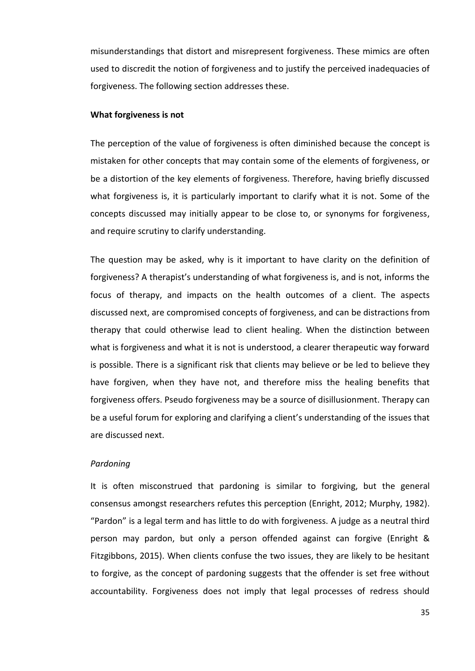misunderstandings that distort and misrepresent forgiveness. These mimics are often used to discredit the notion of forgiveness and to justify the perceived inadequacies of forgiveness. The following section addresses these.

## **What forgiveness is not**

The perception of the value of forgiveness is often diminished because the concept is mistaken for other concepts that may contain some of the elements of forgiveness, or be a distortion of the key elements of forgiveness. Therefore, having briefly discussed what forgiveness is, it is particularly important to clarify what it is not. Some of the concepts discussed may initially appear to be close to, or synonyms for forgiveness, and require scrutiny to clarify understanding.

The question may be asked, why is it important to have clarity on the definition of forgiveness? A therapist's understanding of what forgiveness is, and is not, informs the focus of therapy, and impacts on the health outcomes of a client. The aspects discussed next, are compromised concepts of forgiveness, and can be distractions from therapy that could otherwise lead to client healing. When the distinction between what is forgiveness and what it is not is understood, a clearer therapeutic way forward is possible. There is a significant risk that clients may believe or be led to believe they have forgiven, when they have not, and therefore miss the healing benefits that forgiveness offers. Pseudo forgiveness may be a source of disillusionment. Therapy can be a useful forum for exploring and clarifying a client's understanding of the issues that are discussed next.

#### *Pardoning*

It is often misconstrued that pardoning is similar to forgiving, but the general consensus amongst researchers refutes this perception (Enright, 2012; Murphy, 1982). "Pardon" is a legal term and has little to do with forgiveness. A judge as a neutral third person may pardon, but only a person offended against can forgive (Enright & Fitzgibbons, 2015). When clients confuse the two issues, they are likely to be hesitant to forgive, as the concept of pardoning suggests that the offender is set free without accountability. Forgiveness does not imply that legal processes of redress should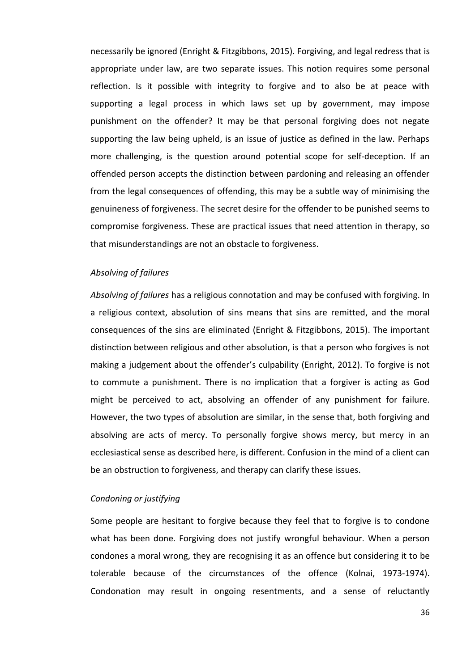necessarily be ignored (Enright & Fitzgibbons, 2015). Forgiving, and legal redress that is appropriate under law, are two separate issues. This notion requires some personal reflection. Is it possible with integrity to forgive and to also be at peace with supporting a legal process in which laws set up by government, may impose punishment on the offender? It may be that personal forgiving does not negate supporting the law being upheld, is an issue of justice as defined in the law. Perhaps more challenging, is the question around potential scope for self-deception. If an offended person accepts the distinction between pardoning and releasing an offender from the legal consequences of offending, this may be a subtle way of minimising the genuineness of forgiveness. The secret desire for the offender to be punished seems to compromise forgiveness. These are practical issues that need attention in therapy, so that misunderstandings are not an obstacle to forgiveness.

#### *Absolving of failures*

*Absolving of failures* has a religious connotation and may be confused with forgiving. In a religious context, absolution of sins means that sins are remitted, and the moral consequences of the sins are eliminated (Enright & Fitzgibbons, 2015). The important distinction between religious and other absolution, is that a person who forgives is not making a judgement about the offender's culpability (Enright, 2012). To forgive is not to commute a punishment. There is no implication that a forgiver is acting as God might be perceived to act, absolving an offender of any punishment for failure. However, the two types of absolution are similar, in the sense that, both forgiving and absolving are acts of mercy. To personally forgive shows mercy, but mercy in an ecclesiastical sense as described here, is different. Confusion in the mind of a client can be an obstruction to forgiveness, and therapy can clarify these issues.

## *Condoning or justifying*

Some people are hesitant to forgive because they feel that to forgive is to condone what has been done. Forgiving does not justify wrongful behaviour. When a person condones a moral wrong, they are recognising it as an offence but considering it to be tolerable because of the circumstances of the offence (Kolnai, 1973-1974). Condonation may result in ongoing resentments, and a sense of reluctantly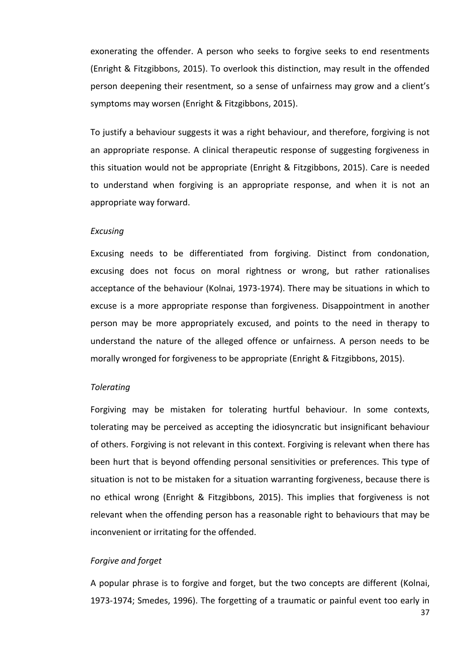exonerating the offender. A person who seeks to forgive seeks to end resentments (Enright & Fitzgibbons, 2015). To overlook this distinction, may result in the offended person deepening their resentment, so a sense of unfairness may grow and a client's symptoms may worsen (Enright & Fitzgibbons, 2015).

To justify a behaviour suggests it was a right behaviour, and therefore, forgiving is not an appropriate response. A clinical therapeutic response of suggesting forgiveness in this situation would not be appropriate (Enright & Fitzgibbons, 2015). Care is needed to understand when forgiving is an appropriate response, and when it is not an appropriate way forward.

# *Excusing*

Excusing needs to be differentiated from forgiving. Distinct from condonation, excusing does not focus on moral rightness or wrong, but rather rationalises acceptance of the behaviour (Kolnai, 1973-1974). There may be situations in which to excuse is a more appropriate response than forgiveness. Disappointment in another person may be more appropriately excused, and points to the need in therapy to understand the nature of the alleged offence or unfairness. A person needs to be morally wronged for forgiveness to be appropriate (Enright & Fitzgibbons, 2015).

## *Tolerating*

Forgiving may be mistaken for tolerating hurtful behaviour. In some contexts, tolerating may be perceived as accepting the idiosyncratic but insignificant behaviour of others. Forgiving is not relevant in this context. Forgiving is relevant when there has been hurt that is beyond offending personal sensitivities or preferences. This type of situation is not to be mistaken for a situation warranting forgiveness, because there is no ethical wrong (Enright & Fitzgibbons, 2015). This implies that forgiveness is not relevant when the offending person has a reasonable right to behaviours that may be inconvenient or irritating for the offended.

#### *Forgive and forget*

A popular phrase is to forgive and forget, but the two concepts are different (Kolnai, 1973-1974; Smedes, 1996). The forgetting of a traumatic or painful event too early in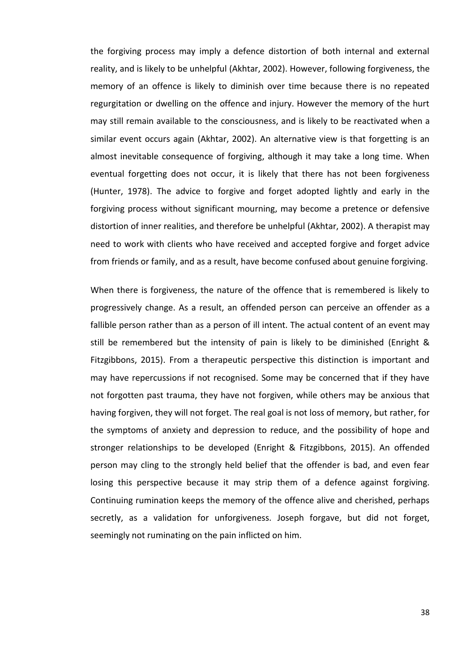the forgiving process may imply a defence distortion of both internal and external reality, and is likely to be unhelpful (Akhtar, 2002). However, following forgiveness, the memory of an offence is likely to diminish over time because there is no repeated regurgitation or dwelling on the offence and injury. However the memory of the hurt may still remain available to the consciousness, and is likely to be reactivated when a similar event occurs again (Akhtar, 2002). An alternative view is that forgetting is an almost inevitable consequence of forgiving, although it may take a long time. When eventual forgetting does not occur, it is likely that there has not been forgiveness (Hunter, 1978). The advice to forgive and forget adopted lightly and early in the forgiving process without significant mourning, may become a pretence or defensive distortion of inner realities, and therefore be unhelpful (Akhtar, 2002). A therapist may need to work with clients who have received and accepted forgive and forget advice from friends or family, and as a result, have become confused about genuine forgiving.

When there is forgiveness, the nature of the offence that is remembered is likely to progressively change. As a result, an offended person can perceive an offender as a fallible person rather than as a person of ill intent. The actual content of an event may still be remembered but the intensity of pain is likely to be diminished (Enright & Fitzgibbons, 2015). From a therapeutic perspective this distinction is important and may have repercussions if not recognised. Some may be concerned that if they have not forgotten past trauma, they have not forgiven, while others may be anxious that having forgiven, they will not forget. The real goal is not loss of memory, but rather, for the symptoms of anxiety and depression to reduce, and the possibility of hope and stronger relationships to be developed (Enright & Fitzgibbons, 2015). An offended person may cling to the strongly held belief that the offender is bad, and even fear losing this perspective because it may strip them of a defence against forgiving. Continuing rumination keeps the memory of the offence alive and cherished, perhaps secretly, as a validation for unforgiveness. Joseph forgave, but did not forget, seemingly not ruminating on the pain inflicted on him.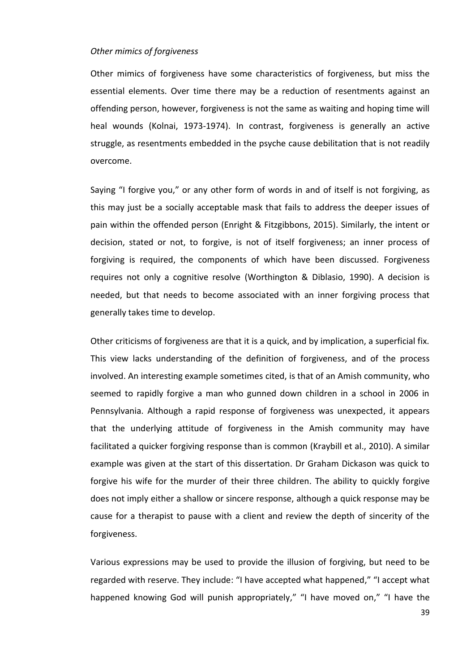#### *Other mimics of forgiveness*

Other mimics of forgiveness have some characteristics of forgiveness, but miss the essential elements. Over time there may be a reduction of resentments against an offending person, however, forgiveness is not the same as waiting and hoping time will heal wounds (Kolnai, 1973-1974). In contrast, forgiveness is generally an active struggle, as resentments embedded in the psyche cause debilitation that is not readily overcome.

Saying "I forgive you," or any other form of words in and of itself is not forgiving, as this may just be a socially acceptable mask that fails to address the deeper issues of pain within the offended person (Enright & Fitzgibbons, 2015). Similarly, the intent or decision, stated or not, to forgive, is not of itself forgiveness; an inner process of forgiving is required, the components of which have been discussed. Forgiveness requires not only a cognitive resolve (Worthington & Diblasio, 1990). A decision is needed, but that needs to become associated with an inner forgiving process that generally takes time to develop.

Other criticisms of forgiveness are that it is a quick, and by implication, a superficial fix. This view lacks understanding of the definition of forgiveness, and of the process involved. An interesting example sometimes cited, is that of an Amish community, who seemed to rapidly forgive a man who gunned down children in a school in 2006 in Pennsylvania. Although a rapid response of forgiveness was unexpected, it appears that the underlying attitude of forgiveness in the Amish community may have facilitated a quicker forgiving response than is common (Kraybill et al., 2010). A similar example was given at the start of this dissertation. Dr Graham Dickason was quick to forgive his wife for the murder of their three children. The ability to quickly forgive does not imply either a shallow or sincere response, although a quick response may be cause for a therapist to pause with a client and review the depth of sincerity of the forgiveness.

Various expressions may be used to provide the illusion of forgiving, but need to be regarded with reserve. They include: "I have accepted what happened," "I accept what happened knowing God will punish appropriately," "I have moved on," "I have the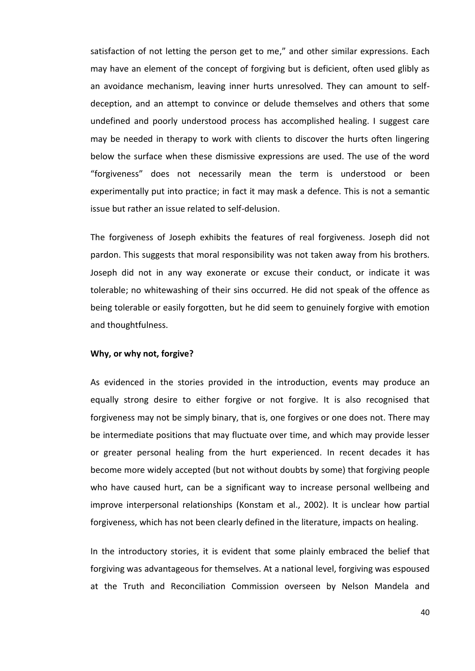satisfaction of not letting the person get to me," and other similar expressions. Each may have an element of the concept of forgiving but is deficient, often used glibly as an avoidance mechanism, leaving inner hurts unresolved. They can amount to selfdeception, and an attempt to convince or delude themselves and others that some undefined and poorly understood process has accomplished healing. I suggest care may be needed in therapy to work with clients to discover the hurts often lingering below the surface when these dismissive expressions are used. The use of the word "forgiveness" does not necessarily mean the term is understood or been experimentally put into practice; in fact it may mask a defence. This is not a semantic issue but rather an issue related to self-delusion.

The forgiveness of Joseph exhibits the features of real forgiveness. Joseph did not pardon. This suggests that moral responsibility was not taken away from his brothers. Joseph did not in any way exonerate or excuse their conduct, or indicate it was tolerable; no whitewashing of their sins occurred. He did not speak of the offence as being tolerable or easily forgotten, but he did seem to genuinely forgive with emotion and thoughtfulness.

#### **Why, or why not, forgive?**

As evidenced in the stories provided in the introduction, events may produce an equally strong desire to either forgive or not forgive. It is also recognised that forgiveness may not be simply binary, that is, one forgives or one does not. There may be intermediate positions that may fluctuate over time, and which may provide lesser or greater personal healing from the hurt experienced. In recent decades it has become more widely accepted (but not without doubts by some) that forgiving people who have caused hurt, can be a significant way to increase personal wellbeing and improve interpersonal relationships (Konstam et al., 2002). It is unclear how partial forgiveness, which has not been clearly defined in the literature, impacts on healing.

In the introductory stories, it is evident that some plainly embraced the belief that forgiving was advantageous for themselves. At a national level, forgiving was espoused at the Truth and Reconciliation Commission overseen by Nelson Mandela and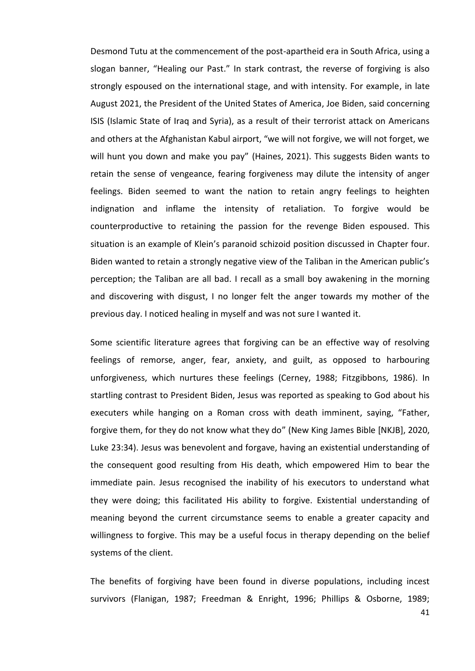Desmond Tutu at the commencement of the post-apartheid era in South Africa, using a slogan banner, "Healing our Past." In stark contrast, the reverse of forgiving is also strongly espoused on the international stage, and with intensity. For example, in late August 2021, the President of the United States of America, Joe Biden, said concerning ISIS (Islamic State of Iraq and Syria), as a result of their terrorist attack on Americans and others at the Afghanistan Kabul airport, "we will not forgive, we will not forget, we will hunt you down and make you pay" (Haines, 2021). This suggests Biden wants to retain the sense of vengeance, fearing forgiveness may dilute the intensity of anger feelings. Biden seemed to want the nation to retain angry feelings to heighten indignation and inflame the intensity of retaliation. To forgive would be counterproductive to retaining the passion for the revenge Biden espoused. This situation is an example of Klein's paranoid schizoid position discussed in Chapter four. Biden wanted to retain a strongly negative view of the Taliban in the American public's perception; the Taliban are all bad. I recall as a small boy awakening in the morning and discovering with disgust, I no longer felt the anger towards my mother of the previous day. I noticed healing in myself and was not sure I wanted it.

Some scientific literature agrees that forgiving can be an effective way of resolving feelings of remorse, anger, fear, anxiety, and guilt, as opposed to harbouring unforgiveness, which nurtures these feelings (Cerney, 1988; Fitzgibbons, 1986). In startling contrast to President Biden, Jesus was reported as speaking to God about his executers while hanging on a Roman cross with death imminent, saying, "Father, forgive them, for they do not know what they do" (New King James Bible [NKJB], 2020, Luke 23:34). Jesus was benevolent and forgave, having an existential understanding of the consequent good resulting from His death, which empowered Him to bear the immediate pain. Jesus recognised the inability of his executors to understand what they were doing; this facilitated His ability to forgive. Existential understanding of meaning beyond the current circumstance seems to enable a greater capacity and willingness to forgive. This may be a useful focus in therapy depending on the belief systems of the client.

The benefits of forgiving have been found in diverse populations, including incest survivors (Flanigan, 1987; Freedman & Enright, 1996; Phillips & Osborne, 1989;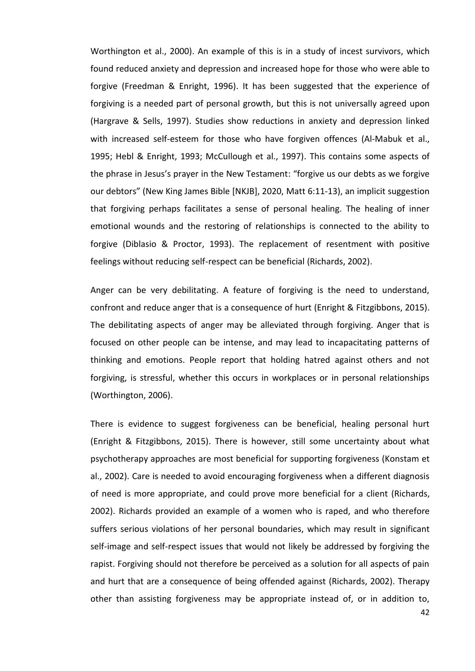Worthington et al., 2000). An example of this is in a study of incest survivors, which found reduced anxiety and depression and increased hope for those who were able to forgive (Freedman & Enright, 1996). It has been suggested that the experience of forgiving is a needed part of personal growth, but this is not universally agreed upon (Hargrave & Sells, 1997). Studies show reductions in anxiety and depression linked with increased self-esteem for those who have forgiven offences (Al-Mabuk et al., 1995; Hebl & Enright, 1993; McCullough et al., 1997). This contains some aspects of the phrase in Jesus's prayer in the New Testament: "forgive us our debts as we forgive our debtors" (New King James Bible [NKJB], 2020, Matt 6:11-13), an implicit suggestion that forgiving perhaps facilitates a sense of personal healing. The healing of inner emotional wounds and the restoring of relationships is connected to the ability to forgive (Diblasio & Proctor, 1993). The replacement of resentment with positive feelings without reducing self-respect can be beneficial (Richards, 2002).

Anger can be very debilitating. A feature of forgiving is the need to understand, confront and reduce anger that is a consequence of hurt (Enright & Fitzgibbons, 2015). The debilitating aspects of anger may be alleviated through forgiving. Anger that is focused on other people can be intense, and may lead to incapacitating patterns of thinking and emotions. People report that holding hatred against others and not forgiving, is stressful, whether this occurs in workplaces or in personal relationships (Worthington, 2006).

There is evidence to suggest forgiveness can be beneficial, healing personal hurt (Enright & Fitzgibbons, 2015). There is however, still some uncertainty about what psychotherapy approaches are most beneficial for supporting forgiveness (Konstam et al., 2002). Care is needed to avoid encouraging forgiveness when a different diagnosis of need is more appropriate, and could prove more beneficial for a client (Richards, 2002). Richards provided an example of a women who is raped, and who therefore suffers serious violations of her personal boundaries, which may result in significant self-image and self-respect issues that would not likely be addressed by forgiving the rapist. Forgiving should not therefore be perceived as a solution for all aspects of pain and hurt that are a consequence of being offended against (Richards, 2002). Therapy other than assisting forgiveness may be appropriate instead of, or in addition to,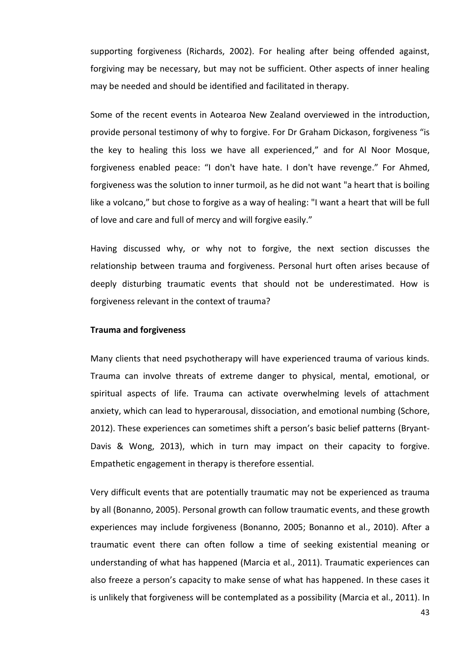supporting forgiveness (Richards, 2002). For healing after being offended against, forgiving may be necessary, but may not be sufficient. Other aspects of inner healing may be needed and should be identified and facilitated in therapy.

Some of the recent events in Aotearoa New Zealand overviewed in the introduction, provide personal testimony of why to forgive. For Dr Graham Dickason, forgiveness "is the key to healing this loss we have all experienced," and for Al Noor Mosque, forgiveness enabled peace: "I don't have hate. I don't have revenge." For Ahmed, forgiveness was the solution to inner turmoil, as he did not want "a heart that is boiling like a volcano," but chose to forgive as a way of healing: "I want a heart that will be full of love and care and full of mercy and will forgive easily."

Having discussed why, or why not to forgive, the next section discusses the relationship between trauma and forgiveness. Personal hurt often arises because of deeply disturbing traumatic events that should not be underestimated. How is forgiveness relevant in the context of trauma?

## **Trauma and forgiveness**

Many clients that need psychotherapy will have experienced trauma of various kinds. Trauma can involve threats of extreme danger to physical, mental, emotional, or spiritual aspects of life. Trauma can activate overwhelming levels of attachment anxiety, which can lead to hyperarousal, dissociation, and emotional numbing (Schore, 2012). These experiences can sometimes shift a person's basic belief patterns (Bryant-Davis & Wong, 2013), which in turn may impact on their capacity to forgive. Empathetic engagement in therapy is therefore essential.

Very difficult events that are potentially traumatic may not be experienced as trauma by all (Bonanno, 2005). Personal growth can follow traumatic events, and these growth experiences may include forgiveness (Bonanno, 2005; Bonanno et al., 2010). After a traumatic event there can often follow a time of seeking existential meaning or understanding of what has happened (Marcia et al., 2011). Traumatic experiences can also freeze a person's capacity to make sense of what has happened. In these cases it is unlikely that forgiveness will be contemplated as a possibility (Marcia et al., 2011). In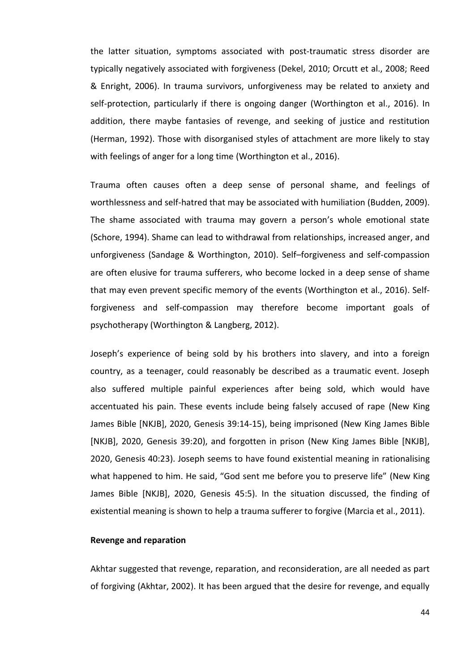the latter situation, symptoms associated with post-traumatic stress disorder are typically negatively associated with forgiveness (Dekel, 2010; Orcutt et al., 2008; Reed & Enright, 2006). In trauma survivors, unforgiveness may be related to anxiety and self-protection, particularly if there is ongoing danger (Worthington et al., 2016). In addition, there maybe fantasies of revenge, and seeking of justice and restitution (Herman, 1992). Those with disorganised styles of attachment are more likely to stay with feelings of anger for a long time (Worthington et al., 2016).

Trauma often causes often a deep sense of personal shame, and feelings of worthlessness and self-hatred that may be associated with humiliation (Budden, 2009). The shame associated with trauma may govern a person's whole emotional state (Schore, 1994). Shame can lead to withdrawal from relationships, increased anger, and unforgiveness (Sandage & Worthington, 2010). Self–forgiveness and self-compassion are often elusive for trauma sufferers, who become locked in a deep sense of shame that may even prevent specific memory of the events (Worthington et al., 2016). Selfforgiveness and self-compassion may therefore become important goals of psychotherapy (Worthington & Langberg, 2012).

Joseph's experience of being sold by his brothers into slavery, and into a foreign country, as a teenager, could reasonably be described as a traumatic event. Joseph also suffered multiple painful experiences after being sold, which would have accentuated his pain. These events include being falsely accused of rape (New King James Bible [NKJB], 2020, Genesis 39:14-15), being imprisoned (New King James Bible [NKJB], 2020, Genesis 39:20), and forgotten in prison (New King James Bible [NKJB], 2020, Genesis 40:23). Joseph seems to have found existential meaning in rationalising what happened to him. He said, "God sent me before you to preserve life" (New King James Bible [NKJB], 2020, Genesis 45:5). In the situation discussed, the finding of existential meaning is shown to help a trauma sufferer to forgive (Marcia et al., 2011).

#### **Revenge and reparation**

Akhtar suggested that revenge, reparation, and reconsideration, are all needed as part of forgiving (Akhtar, 2002). It has been argued that the desire for revenge, and equally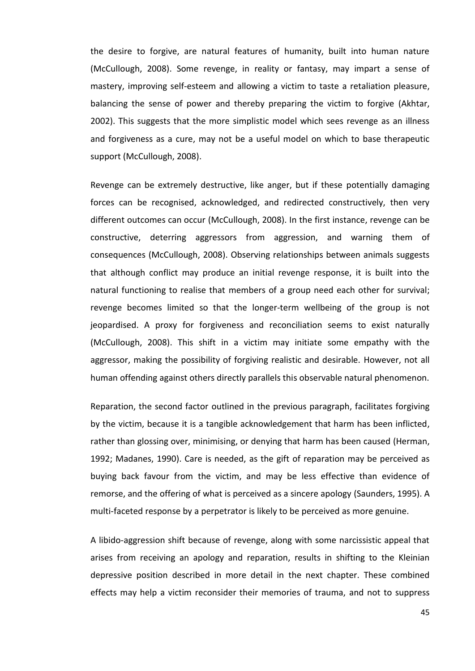the desire to forgive, are natural features of humanity, built into human nature (McCullough, 2008). Some revenge, in reality or fantasy, may impart a sense of mastery, improving self-esteem and allowing a victim to taste a retaliation pleasure, balancing the sense of power and thereby preparing the victim to forgive (Akhtar, 2002). This suggests that the more simplistic model which sees revenge as an illness and forgiveness as a cure, may not be a useful model on which to base therapeutic support (McCullough, 2008).

Revenge can be extremely destructive, like anger, but if these potentially damaging forces can be recognised, acknowledged, and redirected constructively, then very different outcomes can occur (McCullough, 2008). In the first instance, revenge can be constructive, deterring aggressors from aggression, and warning them of consequences (McCullough, 2008). Observing relationships between animals suggests that although conflict may produce an initial revenge response, it is built into the natural functioning to realise that members of a group need each other for survival; revenge becomes limited so that the longer-term wellbeing of the group is not jeopardised. A proxy for forgiveness and reconciliation seems to exist naturally (McCullough, 2008). This shift in a victim may initiate some empathy with the aggressor, making the possibility of forgiving realistic and desirable. However, not all human offending against others directly parallels this observable natural phenomenon.

Reparation, the second factor outlined in the previous paragraph, facilitates forgiving by the victim, because it is a tangible acknowledgement that harm has been inflicted, rather than glossing over, minimising, or denying that harm has been caused (Herman, 1992; Madanes, 1990). Care is needed, as the gift of reparation may be perceived as buying back favour from the victim, and may be less effective than evidence of remorse, and the offering of what is perceived as a sincere apology (Saunders, 1995). A multi-faceted response by a perpetrator is likely to be perceived as more genuine.

A libido-aggression shift because of revenge, along with some narcissistic appeal that arises from receiving an apology and reparation, results in shifting to the Kleinian depressive position described in more detail in the next chapter. These combined effects may help a victim reconsider their memories of trauma, and not to suppress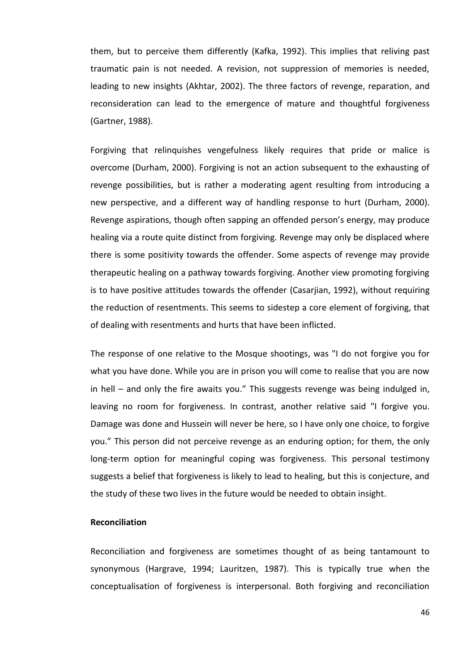them, but to perceive them differently (Kafka, 1992). This implies that reliving past traumatic pain is not needed. A revision, not suppression of memories is needed, leading to new insights (Akhtar, 2002). The three factors of revenge, reparation, and reconsideration can lead to the emergence of mature and thoughtful forgiveness (Gartner, 1988).

Forgiving that relinquishes vengefulness likely requires that pride or malice is overcome (Durham, 2000). Forgiving is not an action subsequent to the exhausting of revenge possibilities, but is rather a moderating agent resulting from introducing a new perspective, and a different way of handling response to hurt (Durham, 2000). Revenge aspirations, though often sapping an offended person's energy, may produce healing via a route quite distinct from forgiving. Revenge may only be displaced where there is some positivity towards the offender. Some aspects of revenge may provide therapeutic healing on a pathway towards forgiving. Another view promoting forgiving is to have positive attitudes towards the offender (Casarjian, 1992), without requiring the reduction of resentments. This seems to sidestep a core element of forgiving, that of dealing with resentments and hurts that have been inflicted.

The response of one relative to the Mosque shootings, was "I do not forgive you for what you have done. While you are in prison you will come to realise that you are now in hell – and only the fire awaits you." This suggests revenge was being indulged in, leaving no room for forgiveness. In contrast, another relative said "I forgive you. Damage was done and Hussein will never be here, so I have only one choice, to forgive you." This person did not perceive revenge as an enduring option; for them, the only long-term option for meaningful coping was forgiveness. This personal testimony suggests a belief that forgiveness is likely to lead to healing, but this is conjecture, and the study of these two lives in the future would be needed to obtain insight.

## **Reconciliation**

Reconciliation and forgiveness are sometimes thought of as being tantamount to synonymous (Hargrave, 1994; Lauritzen, 1987). This is typically true when the conceptualisation of forgiveness is interpersonal. Both forgiving and reconciliation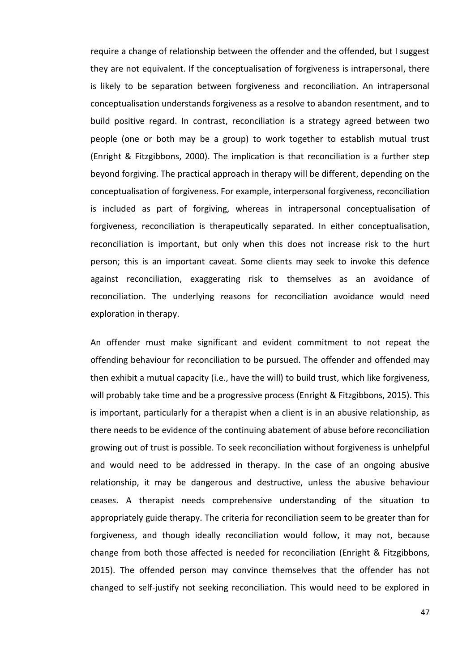require a change of relationship between the offender and the offended, but I suggest they are not equivalent. If the conceptualisation of forgiveness is intrapersonal, there is likely to be separation between forgiveness and reconciliation. An intrapersonal conceptualisation understands forgiveness as a resolve to abandon resentment, and to build positive regard. In contrast, reconciliation is a strategy agreed between two people (one or both may be a group) to work together to establish mutual trust (Enright & Fitzgibbons, 2000). The implication is that reconciliation is a further step beyond forgiving. The practical approach in therapy will be different, depending on the conceptualisation of forgiveness. For example, interpersonal forgiveness, reconciliation is included as part of forgiving, whereas in intrapersonal conceptualisation of forgiveness, reconciliation is therapeutically separated. In either conceptualisation, reconciliation is important, but only when this does not increase risk to the hurt person; this is an important caveat. Some clients may seek to invoke this defence against reconciliation, exaggerating risk to themselves as an avoidance of reconciliation. The underlying reasons for reconciliation avoidance would need exploration in therapy.

An offender must make significant and evident commitment to not repeat the offending behaviour for reconciliation to be pursued. The offender and offended may then exhibit a mutual capacity (i.e., have the will) to build trust, which like forgiveness, will probably take time and be a progressive process (Enright & Fitzgibbons, 2015). This is important, particularly for a therapist when a client is in an abusive relationship, as there needs to be evidence of the continuing abatement of abuse before reconciliation growing out of trust is possible. To seek reconciliation without forgiveness is unhelpful and would need to be addressed in therapy. In the case of an ongoing abusive relationship, it may be dangerous and destructive, unless the abusive behaviour ceases. A therapist needs comprehensive understanding of the situation to appropriately guide therapy. The criteria for reconciliation seem to be greater than for forgiveness, and though ideally reconciliation would follow, it may not, because change from both those affected is needed for reconciliation (Enright & Fitzgibbons, 2015). The offended person may convince themselves that the offender has not changed to self-justify not seeking reconciliation. This would need to be explored in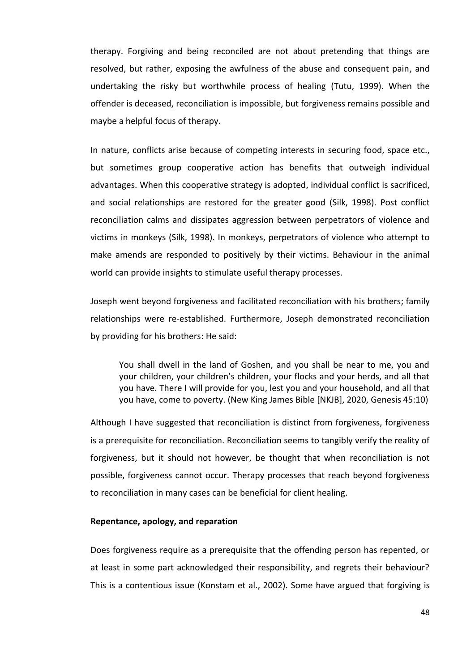therapy. Forgiving and being reconciled are not about pretending that things are resolved, but rather, exposing the awfulness of the abuse and consequent pain, and undertaking the risky but worthwhile process of healing (Tutu, 1999). When the offender is deceased, reconciliation is impossible, but forgiveness remains possible and maybe a helpful focus of therapy.

In nature, conflicts arise because of competing interests in securing food, space etc., but sometimes group cooperative action has benefits that outweigh individual advantages. When this cooperative strategy is adopted, individual conflict is sacrificed, and social relationships are restored for the greater good (Silk, 1998). Post conflict reconciliation calms and dissipates aggression between perpetrators of violence and victims in monkeys (Silk, 1998). In monkeys, perpetrators of violence who attempt to make amends are responded to positively by their victims. Behaviour in the animal world can provide insights to stimulate useful therapy processes.

Joseph went beyond forgiveness and facilitated reconciliation with his brothers; family relationships were re-established. Furthermore, Joseph demonstrated reconciliation by providing for his brothers: He said:

You shall dwell in the land of Goshen, and you shall be near to me, you and your children, your children's children, your flocks and your herds, and all that you have. There I will provide for you, lest you and your household, and all that you have, come to poverty. (New King James Bible [NKJB], 2020, Genesis 45:10)

Although I have suggested that reconciliation is distinct from forgiveness, forgiveness is a prerequisite for reconciliation. Reconciliation seems to tangibly verify the reality of forgiveness, but it should not however, be thought that when reconciliation is not possible, forgiveness cannot occur. Therapy processes that reach beyond forgiveness to reconciliation in many cases can be beneficial for client healing.

## **Repentance, apology, and reparation**

Does forgiveness require as a prerequisite that the offending person has repented, or at least in some part acknowledged their responsibility, and regrets their behaviour? This is a contentious issue (Konstam et al., 2002). Some have argued that forgiving is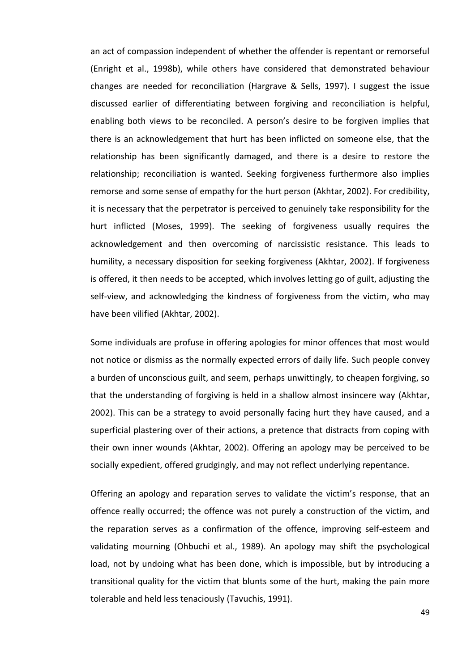an act of compassion independent of whether the offender is repentant or remorseful (Enright et al., 1998b), while others have considered that demonstrated behaviour changes are needed for reconciliation (Hargrave & Sells, 1997). I suggest the issue discussed earlier of differentiating between forgiving and reconciliation is helpful, enabling both views to be reconciled. A person's desire to be forgiven implies that there is an acknowledgement that hurt has been inflicted on someone else, that the relationship has been significantly damaged, and there is a desire to restore the relationship; reconciliation is wanted. Seeking forgiveness furthermore also implies remorse and some sense of empathy for the hurt person (Akhtar, 2002). For credibility, it is necessary that the perpetrator is perceived to genuinely take responsibility for the hurt inflicted (Moses, 1999). The seeking of forgiveness usually requires the acknowledgement and then overcoming of narcissistic resistance. This leads to humility, a necessary disposition for seeking forgiveness (Akhtar, 2002). If forgiveness is offered, it then needs to be accepted, which involves letting go of guilt, adjusting the self-view, and acknowledging the kindness of forgiveness from the victim, who may have been vilified (Akhtar, 2002).

Some individuals are profuse in offering apologies for minor offences that most would not notice or dismiss as the normally expected errors of daily life. Such people convey a burden of unconscious guilt, and seem, perhaps unwittingly, to cheapen forgiving, so that the understanding of forgiving is held in a shallow almost insincere way (Akhtar, 2002). This can be a strategy to avoid personally facing hurt they have caused, and a superficial plastering over of their actions, a pretence that distracts from coping with their own inner wounds (Akhtar, 2002). Offering an apology may be perceived to be socially expedient, offered grudgingly, and may not reflect underlying repentance.

Offering an apology and reparation serves to validate the victim's response, that an offence really occurred; the offence was not purely a construction of the victim, and the reparation serves as a confirmation of the offence, improving self-esteem and validating mourning (Ohbuchi et al., 1989). An apology may shift the psychological load, not by undoing what has been done, which is impossible, but by introducing a transitional quality for the victim that blunts some of the hurt, making the pain more tolerable and held less tenaciously (Tavuchis, 1991).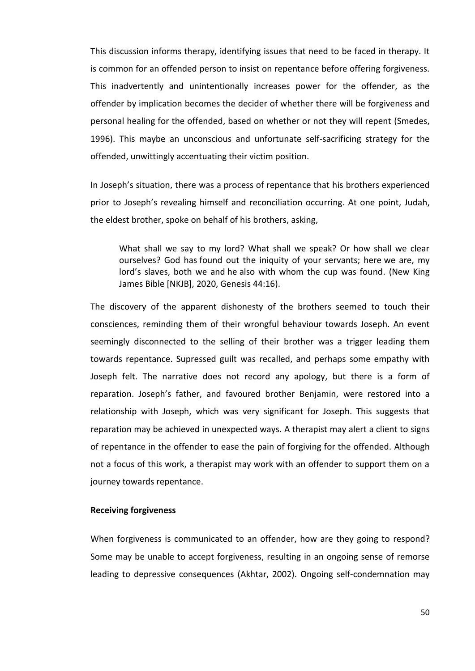This discussion informs therapy, identifying issues that need to be faced in therapy. It is common for an offended person to insist on repentance before offering forgiveness. This inadvertently and unintentionally increases power for the offender, as the offender by implication becomes the decider of whether there will be forgiveness and personal healing for the offended, based on whether or not they will repent (Smedes, 1996). This maybe an unconscious and unfortunate self-sacrificing strategy for the offended, unwittingly accentuating their victim position.

In Joseph's situation, there was a process of repentance that his brothers experienced prior to Joseph's revealing himself and reconciliation occurring. At one point, Judah, the eldest brother, spoke on behalf of his brothers, asking,

What shall we say to my lord? What shall we speak? Or how shall we clear ourselves? God has found out the iniquity of your servants; here we are, my lord's slaves, both we and he also with whom the cup was found. (New King James Bible [NKJB], 2020, Genesis 44:16).

The discovery of the apparent dishonesty of the brothers seemed to touch their consciences, reminding them of their wrongful behaviour towards Joseph. An event seemingly disconnected to the selling of their brother was a trigger leading them towards repentance. Supressed guilt was recalled, and perhaps some empathy with Joseph felt. The narrative does not record any apology, but there is a form of reparation. Joseph's father, and favoured brother Benjamin, were restored into a relationship with Joseph, which was very significant for Joseph. This suggests that reparation may be achieved in unexpected ways. A therapist may alert a client to signs of repentance in the offender to ease the pain of forgiving for the offended. Although not a focus of this work, a therapist may work with an offender to support them on a journey towards repentance.

# **Receiving forgiveness**

When forgiveness is communicated to an offender, how are they going to respond? Some may be unable to accept forgiveness, resulting in an ongoing sense of remorse leading to depressive consequences (Akhtar, 2002). Ongoing self-condemnation may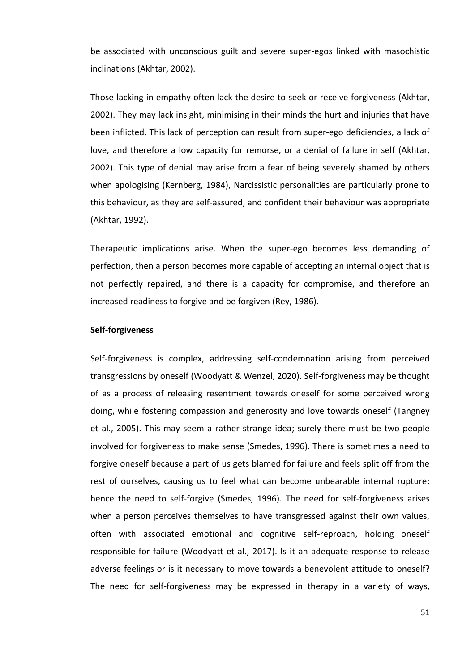be associated with unconscious guilt and severe super-egos linked with masochistic inclinations (Akhtar, 2002).

Those lacking in empathy often lack the desire to seek or receive forgiveness (Akhtar, 2002). They may lack insight, minimising in their minds the hurt and injuries that have been inflicted. This lack of perception can result from super-ego deficiencies, a lack of love, and therefore a low capacity for remorse, or a denial of failure in self (Akhtar, 2002). This type of denial may arise from a fear of being severely shamed by others when apologising (Kernberg, 1984), Narcissistic personalities are particularly prone to this behaviour, as they are self-assured, and confident their behaviour was appropriate (Akhtar, 1992).

Therapeutic implications arise. When the super-ego becomes less demanding of perfection, then a person becomes more capable of accepting an internal object that is not perfectly repaired, and there is a capacity for compromise, and therefore an increased readiness to forgive and be forgiven (Rey, 1986).

## **Self-forgiveness**

Self-forgiveness is complex, addressing self-condemnation arising from perceived transgressions by oneself (Woodyatt & Wenzel, 2020). Self-forgiveness may be thought of as a process of releasing resentment towards oneself for some perceived wrong doing, while fostering compassion and generosity and love towards oneself (Tangney et al., 2005). This may seem a rather strange idea; surely there must be two people involved for forgiveness to make sense (Smedes, 1996). There is sometimes a need to forgive oneself because a part of us gets blamed for failure and feels split off from the rest of ourselves, causing us to feel what can become unbearable internal rupture; hence the need to self-forgive (Smedes, 1996). The need for self-forgiveness arises when a person perceives themselves to have transgressed against their own values, often with associated emotional and cognitive self-reproach, holding oneself responsible for failure (Woodyatt et al., 2017). Is it an adequate response to release adverse feelings or is it necessary to move towards a benevolent attitude to oneself? The need for self-forgiveness may be expressed in therapy in a variety of ways,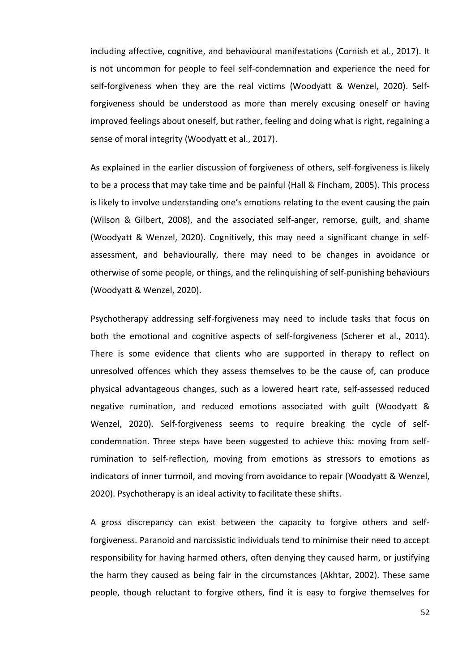including affective, cognitive, and behavioural manifestations (Cornish et al., 2017). It is not uncommon for people to feel self-condemnation and experience the need for self-forgiveness when they are the real victims (Woodyatt & Wenzel, 2020). Selfforgiveness should be understood as more than merely excusing oneself or having improved feelings about oneself, but rather, feeling and doing what is right, regaining a sense of moral integrity (Woodyatt et al., 2017).

As explained in the earlier discussion of forgiveness of others, self-forgiveness is likely to be a process that may take time and be painful (Hall & Fincham, 2005). This process is likely to involve understanding one's emotions relating to the event causing the pain (Wilson & Gilbert, 2008), and the associated self-anger, remorse, guilt, and shame (Woodyatt & Wenzel, 2020). Cognitively, this may need a significant change in selfassessment, and behaviourally, there may need to be changes in avoidance or otherwise of some people, or things, and the relinquishing of self-punishing behaviours (Woodyatt & Wenzel, 2020).

Psychotherapy addressing self-forgiveness may need to include tasks that focus on both the emotional and cognitive aspects of self-forgiveness (Scherer et al., 2011). There is some evidence that clients who are supported in therapy to reflect on unresolved offences which they assess themselves to be the cause of, can produce physical advantageous changes, such as a lowered heart rate, self-assessed reduced negative rumination, and reduced emotions associated with guilt (Woodyatt & Wenzel, 2020). Self-forgiveness seems to require breaking the cycle of selfcondemnation. Three steps have been suggested to achieve this: moving from selfrumination to self-reflection, moving from emotions as stressors to emotions as indicators of inner turmoil, and moving from avoidance to repair (Woodyatt & Wenzel, 2020). Psychotherapy is an ideal activity to facilitate these shifts.

A gross discrepancy can exist between the capacity to forgive others and selfforgiveness. Paranoid and narcissistic individuals tend to minimise their need to accept responsibility for having harmed others, often denying they caused harm, or justifying the harm they caused as being fair in the circumstances (Akhtar, 2002). These same people, though reluctant to forgive others, find it is easy to forgive themselves for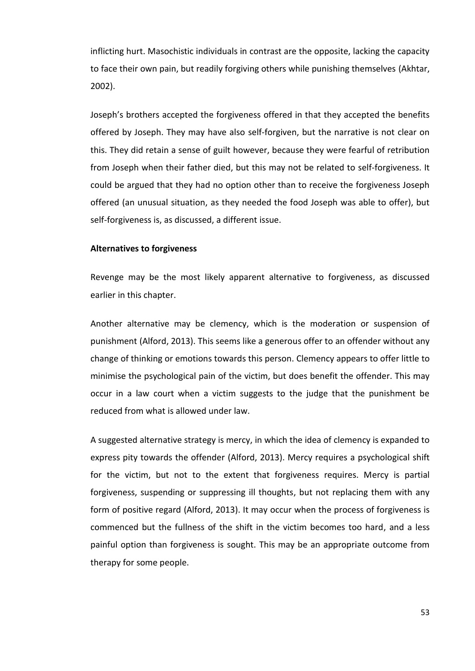inflicting hurt. Masochistic individuals in contrast are the opposite, lacking the capacity to face their own pain, but readily forgiving others while punishing themselves (Akhtar, 2002).

Joseph's brothers accepted the forgiveness offered in that they accepted the benefits offered by Joseph. They may have also self-forgiven, but the narrative is not clear on this. They did retain a sense of guilt however, because they were fearful of retribution from Joseph when their father died, but this may not be related to self-forgiveness. It could be argued that they had no option other than to receive the forgiveness Joseph offered (an unusual situation, as they needed the food Joseph was able to offer), but self-forgiveness is, as discussed, a different issue.

# **Alternatives to forgiveness**

Revenge may be the most likely apparent alternative to forgiveness, as discussed earlier in this chapter.

Another alternative may be clemency, which is the moderation or suspension of punishment (Alford, 2013). This seems like a generous offer to an offender without any change of thinking or emotions towards this person. Clemency appears to offer little to minimise the psychological pain of the victim, but does benefit the offender. This may occur in a law court when a victim suggests to the judge that the punishment be reduced from what is allowed under law.

A suggested alternative strategy is mercy, in which the idea of clemency is expanded to express pity towards the offender (Alford, 2013). Mercy requires a psychological shift for the victim, but not to the extent that forgiveness requires. Mercy is partial forgiveness, suspending or suppressing ill thoughts, but not replacing them with any form of positive regard (Alford, 2013). It may occur when the process of forgiveness is commenced but the fullness of the shift in the victim becomes too hard, and a less painful option than forgiveness is sought. This may be an appropriate outcome from therapy for some people.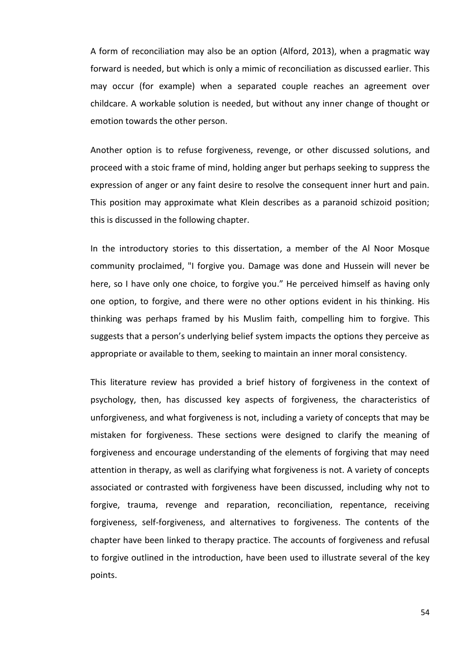A form of reconciliation may also be an option (Alford, 2013), when a pragmatic way forward is needed, but which is only a mimic of reconciliation as discussed earlier. This may occur (for example) when a separated couple reaches an agreement over childcare. A workable solution is needed, but without any inner change of thought or emotion towards the other person.

Another option is to refuse forgiveness, revenge, or other discussed solutions, and proceed with a stoic frame of mind, holding anger but perhaps seeking to suppress the expression of anger or any faint desire to resolve the consequent inner hurt and pain. This position may approximate what Klein describes as a paranoid schizoid position; this is discussed in the following chapter.

In the introductory stories to this dissertation, a member of the Al Noor Mosque community proclaimed, "I forgive you. Damage was done and Hussein will never be here, so I have only one choice, to forgive you." He perceived himself as having only one option, to forgive, and there were no other options evident in his thinking. His thinking was perhaps framed by his Muslim faith, compelling him to forgive. This suggests that a person's underlying belief system impacts the options they perceive as appropriate or available to them, seeking to maintain an inner moral consistency.

This literature review has provided a brief history of forgiveness in the context of psychology, then, has discussed key aspects of forgiveness, the characteristics of unforgiveness, and what forgiveness is not, including a variety of concepts that may be mistaken for forgiveness. These sections were designed to clarify the meaning of forgiveness and encourage understanding of the elements of forgiving that may need attention in therapy, as well as clarifying what forgiveness is not. A variety of concepts associated or contrasted with forgiveness have been discussed, including why not to forgive, trauma, revenge and reparation, reconciliation, repentance, receiving forgiveness, self-forgiveness, and alternatives to forgiveness. The contents of the chapter have been linked to therapy practice. The accounts of forgiveness and refusal to forgive outlined in the introduction, have been used to illustrate several of the key points.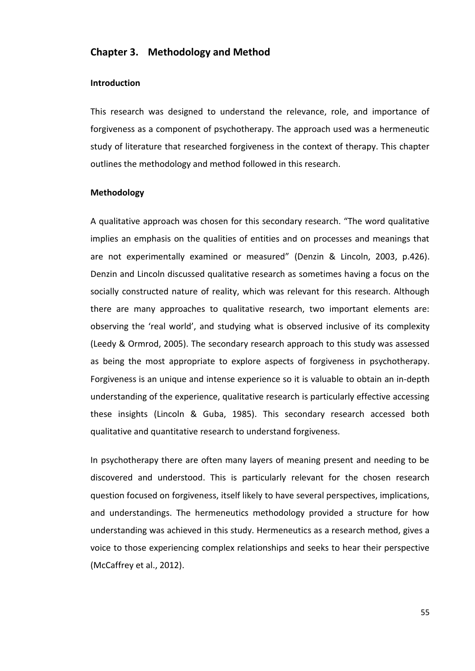# **Chapter 3. Methodology and Method**

#### **Introduction**

This research was designed to understand the relevance, role, and importance of forgiveness as a component of psychotherapy. The approach used was a hermeneutic study of literature that researched forgiveness in the context of therapy. This chapter outlines the methodology and method followed in this research.

# **Methodology**

A qualitative approach was chosen for this secondary research. "The word qualitative implies an emphasis on the qualities of entities and on processes and meanings that are not experimentally examined or measured" (Denzin & Lincoln, 2003, p.426). Denzin and Lincoln discussed qualitative research as sometimes having a focus on the socially constructed nature of reality, which was relevant for this research. Although there are many approaches to qualitative research, two important elements are: observing the 'real world', and studying what is observed inclusive of its complexity (Leedy & Ormrod, 2005). The secondary research approach to this study was assessed as being the most appropriate to explore aspects of forgiveness in psychotherapy. Forgiveness is an unique and intense experience so it is valuable to obtain an in-depth understanding of the experience, qualitative research is particularly effective accessing these insights (Lincoln & Guba, 1985). This secondary research accessed both qualitative and quantitative research to understand forgiveness.

In psychotherapy there are often many layers of meaning present and needing to be discovered and understood. This is particularly relevant for the chosen research question focused on forgiveness, itself likely to have several perspectives, implications, and understandings. The hermeneutics methodology provided a structure for how understanding was achieved in this study. Hermeneutics as a research method, gives a voice to those experiencing complex relationships and seeks to hear their perspective (McCaffrey et al., 2012).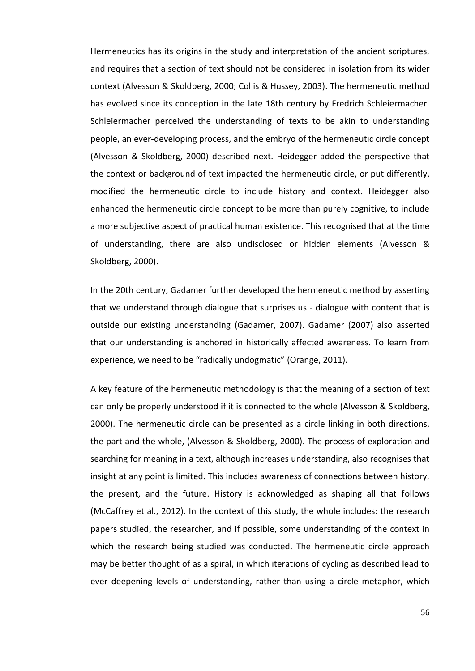Hermeneutics has its origins in the study and interpretation of the ancient scriptures, and requires that a section of text should not be considered in isolation from its wider context (Alvesson & Skoldberg, 2000; Collis & Hussey, 2003). The hermeneutic method has evolved since its conception in the late 18th century by Fredrich Schleiermacher. Schleiermacher perceived the understanding of texts to be akin to understanding people, an ever-developing process, and the embryo of the hermeneutic circle concept (Alvesson & Skoldberg, 2000) described next. Heidegger added the perspective that the context or background of text impacted the hermeneutic circle, or put differently, modified the hermeneutic circle to include history and context. Heidegger also enhanced the hermeneutic circle concept to be more than purely cognitive, to include a more subjective aspect of practical human existence. This recognised that at the time of understanding, there are also undisclosed or hidden elements (Alvesson & Skoldberg, 2000).

In the 20th century, Gadamer further developed the hermeneutic method by asserting that we understand through dialogue that surprises us - dialogue with content that is outside our existing understanding (Gadamer, 2007). Gadamer (2007) also asserted that our understanding is anchored in historically affected awareness. To learn from experience, we need to be "radically undogmatic" (Orange, 2011).

A key feature of the hermeneutic methodology is that the meaning of a section of text can only be properly understood if it is connected to the whole (Alvesson & Skoldberg, 2000). The hermeneutic circle can be presented as a circle linking in both directions, the part and the whole, (Alvesson & Skoldberg, 2000). The process of exploration and searching for meaning in a text, although increases understanding, also recognises that insight at any point is limited. This includes awareness of connections between history, the present, and the future. History is acknowledged as shaping all that follows (McCaffrey et al., 2012). In the context of this study, the whole includes: the research papers studied, the researcher, and if possible, some understanding of the context in which the research being studied was conducted. The hermeneutic circle approach may be better thought of as a spiral, in which iterations of cycling as described lead to ever deepening levels of understanding, rather than using a circle metaphor, which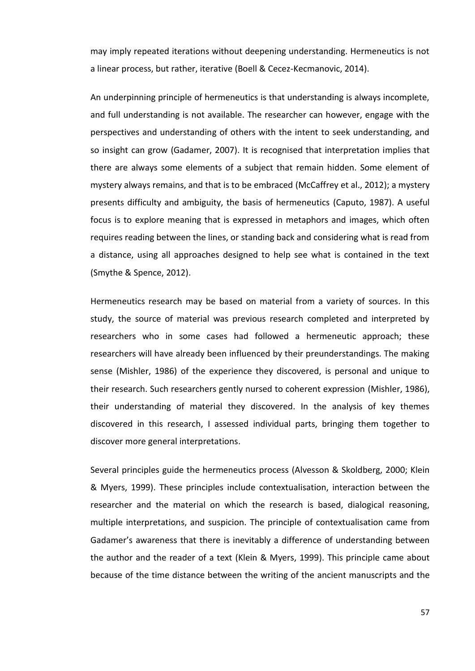may imply repeated iterations without deepening understanding. Hermeneutics is not a linear process, but rather, iterative (Boell & Cecez-Kecmanovic, 2014).

An underpinning principle of hermeneutics is that understanding is always incomplete, and full understanding is not available. The researcher can however, engage with the perspectives and understanding of others with the intent to seek understanding, and so insight can grow (Gadamer, 2007). It is recognised that interpretation implies that there are always some elements of a subject that remain hidden. Some element of mystery always remains, and that is to be embraced (McCaffrey et al., 2012); a mystery presents difficulty and ambiguity, the basis of hermeneutics (Caputo, 1987). A useful focus is to explore meaning that is expressed in metaphors and images, which often requires reading between the lines, or standing back and considering what is read from a distance, using all approaches designed to help see what is contained in the text (Smythe & Spence, 2012).

Hermeneutics research may be based on material from a variety of sources. In this study, the source of material was previous research completed and interpreted by researchers who in some cases had followed a hermeneutic approach; these researchers will have already been influenced by their preunderstandings. The making sense (Mishler, 1986) of the experience they discovered, is personal and unique to their research. Such researchers gently nursed to coherent expression (Mishler, 1986), their understanding of material they discovered. In the analysis of key themes discovered in this research, I assessed individual parts, bringing them together to discover more general interpretations.

Several principles guide the hermeneutics process (Alvesson & Skoldberg, 2000; Klein & Myers, 1999). These principles include contextualisation, interaction between the researcher and the material on which the research is based, dialogical reasoning, multiple interpretations, and suspicion. The principle of contextualisation came from Gadamer's awareness that there is inevitably a difference of understanding between the author and the reader of a text (Klein & Myers, 1999). This principle came about because of the time distance between the writing of the ancient manuscripts and the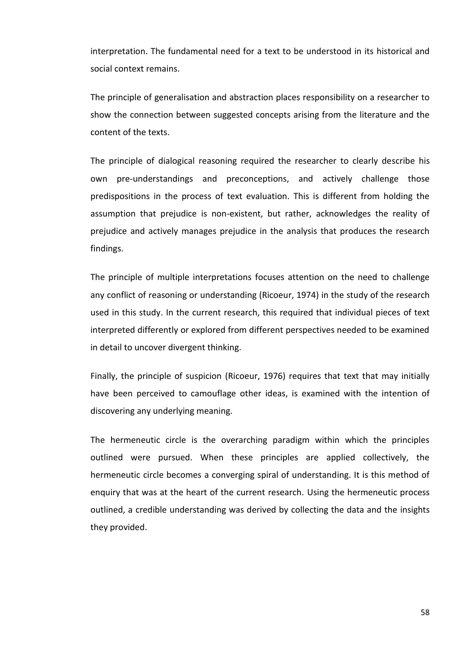interpretation. The fundamental need for a text to be understood in its historical and social context remains.

The principle of generalisation and abstraction places responsibility on a researcher to show the connection between suggested concepts arising from the literature and the content of the texts.

The principle of dialogical reasoning required the researcher to clearly describe his own pre-understandings and preconceptions, and actively challenge those predispositions in the process of text evaluation. This is different from holding the assumption that prejudice is non-existent, but rather, acknowledges the reality of prejudice and actively manages prejudice in the analysis that produces the research findings.

The principle of multiple interpretations focuses attention on the need to challenge any conflict of reasoning or understanding (Ricoeur, 1974) in the study of the research used in this study. In the current research, this required that individual pieces of text interpreted differently or explored from different perspectives needed to be examined in detail to uncover divergent thinking.

Finally, the principle of suspicion (Ricoeur, 1976) requires that text that may initially have been perceived to camouflage other ideas, is examined with the intention of discovering any underlying meaning.

The hermeneutic circle is the overarching paradigm within which the principles outlined were pursued. When these principles are applied collectively, the hermeneutic circle becomes a converging spiral of understanding. It is this method of enquiry that was at the heart of the current research. Using the hermeneutic process outlined, a credible understanding was derived by collecting the data and the insights they provided.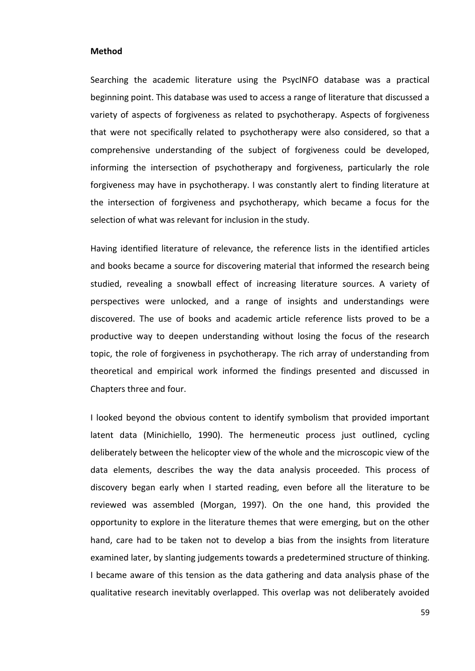#### **Method**

Searching the academic literature using the PsycINFO database was a practical beginning point. This database was used to access a range of literature that discussed a variety of aspects of forgiveness as related to psychotherapy. Aspects of forgiveness that were not specifically related to psychotherapy were also considered, so that a comprehensive understanding of the subject of forgiveness could be developed, informing the intersection of psychotherapy and forgiveness, particularly the role forgiveness may have in psychotherapy. I was constantly alert to finding literature at the intersection of forgiveness and psychotherapy, which became a focus for the selection of what was relevant for inclusion in the study.

Having identified literature of relevance, the reference lists in the identified articles and books became a source for discovering material that informed the research being studied, revealing a snowball effect of increasing literature sources. A variety of perspectives were unlocked, and a range of insights and understandings were discovered. The use of books and academic article reference lists proved to be a productive way to deepen understanding without losing the focus of the research topic, the role of forgiveness in psychotherapy. The rich array of understanding from theoretical and empirical work informed the findings presented and discussed in Chapters three and four.

I looked beyond the obvious content to identify symbolism that provided important latent data (Minichiello, 1990). The hermeneutic process just outlined, cycling deliberately between the helicopter view of the whole and the microscopic view of the data elements, describes the way the data analysis proceeded. This process of discovery began early when I started reading, even before all the literature to be reviewed was assembled (Morgan, 1997). On the one hand, this provided the opportunity to explore in the literature themes that were emerging, but on the other hand, care had to be taken not to develop a bias from the insights from literature examined later, by slanting judgements towards a predetermined structure of thinking. I became aware of this tension as the data gathering and data analysis phase of the qualitative research inevitably overlapped. This overlap was not deliberately avoided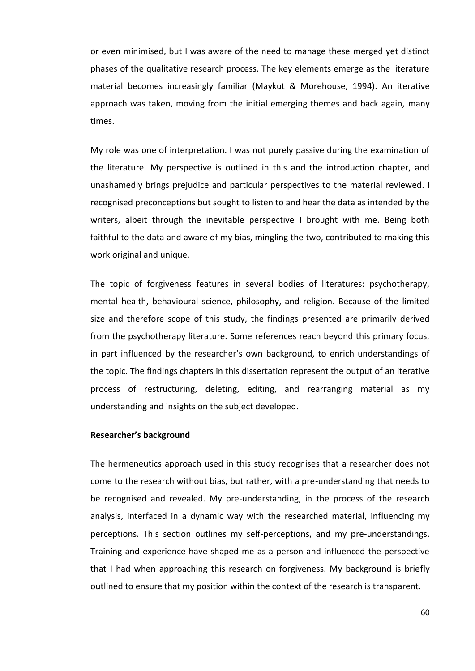or even minimised, but I was aware of the need to manage these merged yet distinct phases of the qualitative research process. The key elements emerge as the literature material becomes increasingly familiar (Maykut & Morehouse, 1994). An iterative approach was taken, moving from the initial emerging themes and back again, many times.

My role was one of interpretation. I was not purely passive during the examination of the literature. My perspective is outlined in this and the introduction chapter, and unashamedly brings prejudice and particular perspectives to the material reviewed. I recognised preconceptions but sought to listen to and hear the data as intended by the writers, albeit through the inevitable perspective I brought with me. Being both faithful to the data and aware of my bias, mingling the two, contributed to making this work original and unique.

The topic of forgiveness features in several bodies of literatures: psychotherapy, mental health, behavioural science, philosophy, and religion. Because of the limited size and therefore scope of this study, the findings presented are primarily derived from the psychotherapy literature. Some references reach beyond this primary focus, in part influenced by the researcher's own background, to enrich understandings of the topic. The findings chapters in this dissertation represent the output of an iterative process of restructuring, deleting, editing, and rearranging material as my understanding and insights on the subject developed.

## **Researcher's background**

The hermeneutics approach used in this study recognises that a researcher does not come to the research without bias, but rather, with a pre-understanding that needs to be recognised and revealed. My pre-understanding, in the process of the research analysis, interfaced in a dynamic way with the researched material, influencing my perceptions. This section outlines my self-perceptions, and my pre-understandings. Training and experience have shaped me as a person and influenced the perspective that I had when approaching this research on forgiveness. My background is briefly outlined to ensure that my position within the context of the research is transparent.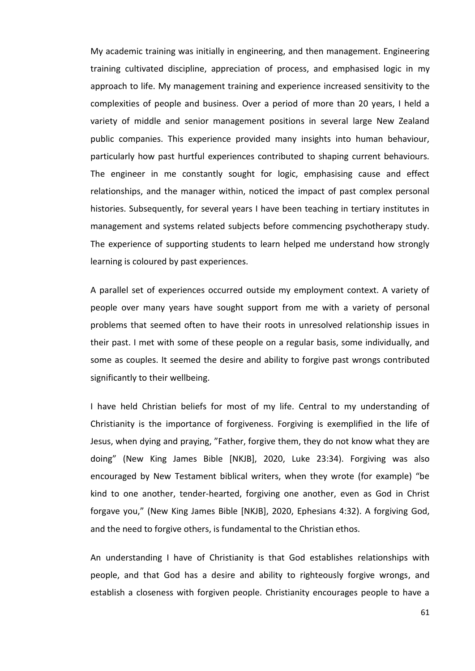My academic training was initially in engineering, and then management. Engineering training cultivated discipline, appreciation of process, and emphasised logic in my approach to life. My management training and experience increased sensitivity to the complexities of people and business. Over a period of more than 20 years, I held a variety of middle and senior management positions in several large New Zealand public companies. This experience provided many insights into human behaviour, particularly how past hurtful experiences contributed to shaping current behaviours. The engineer in me constantly sought for logic, emphasising cause and effect relationships, and the manager within, noticed the impact of past complex personal histories. Subsequently, for several years I have been teaching in tertiary institutes in management and systems related subjects before commencing psychotherapy study. The experience of supporting students to learn helped me understand how strongly learning is coloured by past experiences.

A parallel set of experiences occurred outside my employment context. A variety of people over many years have sought support from me with a variety of personal problems that seemed often to have their roots in unresolved relationship issues in their past. I met with some of these people on a regular basis, some individually, and some as couples. It seemed the desire and ability to forgive past wrongs contributed significantly to their wellbeing.

I have held Christian beliefs for most of my life. Central to my understanding of Christianity is the importance of forgiveness. Forgiving is exemplified in the life of Jesus, when dying and praying, "Father, forgive them, they do not know what they are doing" (New King James Bible [NKJB], 2020, Luke 23:34). Forgiving was also encouraged by New Testament biblical writers, when they wrote (for example) "be kind to one another, tender-hearted, forgiving one another, even as God in Christ forgave you," (New King James Bible [NKJB], 2020, Ephesians 4:32). A forgiving God, and the need to forgive others, is fundamental to the Christian ethos.

An understanding I have of Christianity is that God establishes relationships with people, and that God has a desire and ability to righteously forgive wrongs, and establish a closeness with forgiven people. Christianity encourages people to have a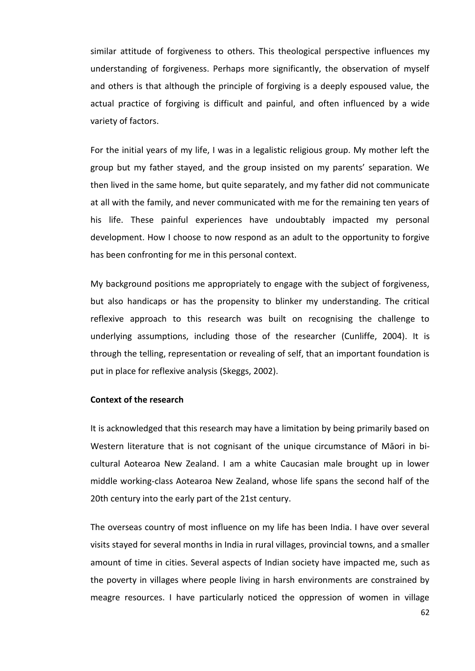similar attitude of forgiveness to others. This theological perspective influences my understanding of forgiveness. Perhaps more significantly, the observation of myself and others is that although the principle of forgiving is a deeply espoused value, the actual practice of forgiving is difficult and painful, and often influenced by a wide variety of factors.

For the initial years of my life, I was in a legalistic religious group. My mother left the group but my father stayed, and the group insisted on my parents' separation. We then lived in the same home, but quite separately, and my father did not communicate at all with the family, and never communicated with me for the remaining ten years of his life. These painful experiences have undoubtably impacted my personal development. How I choose to now respond as an adult to the opportunity to forgive has been confronting for me in this personal context.

My background positions me appropriately to engage with the subject of forgiveness, but also handicaps or has the propensity to blinker my understanding. The critical reflexive approach to this research was built on recognising the challenge to underlying assumptions, including those of the researcher (Cunliffe, 2004). It is through the telling, representation or revealing of self, that an important foundation is put in place for reflexive analysis (Skeggs, 2002).

#### **Context of the research**

It is acknowledged that this research may have a limitation by being primarily based on Western literature that is not cognisant of the unique circumstance of Māori in bicultural Aotearoa New Zealand. I am a white Caucasian male brought up in lower middle working-class Aotearoa New Zealand, whose life spans the second half of the 20th century into the early part of the 21st century.

The overseas country of most influence on my life has been India. I have over several visits stayed for several months in India in rural villages, provincial towns, and a smaller amount of time in cities. Several aspects of Indian society have impacted me, such as the poverty in villages where people living in harsh environments are constrained by meagre resources. I have particularly noticed the oppression of women in village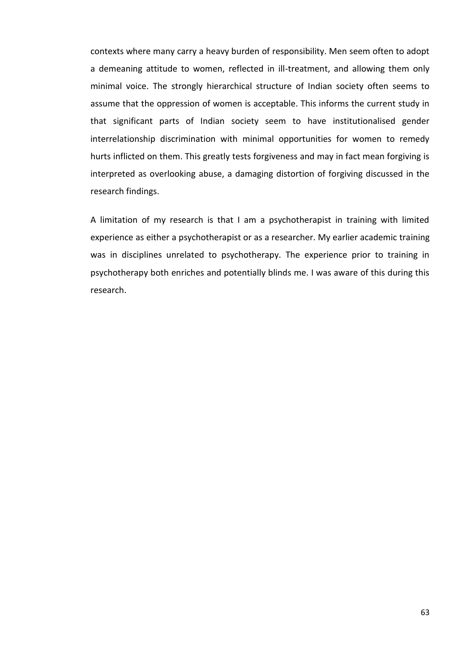contexts where many carry a heavy burden of responsibility. Men seem often to adopt a demeaning attitude to women, reflected in ill-treatment, and allowing them only minimal voice. The strongly hierarchical structure of Indian society often seems to assume that the oppression of women is acceptable. This informs the current study in that significant parts of Indian society seem to have institutionalised gender interrelationship discrimination with minimal opportunities for women to remedy hurts inflicted on them. This greatly tests forgiveness and may in fact mean forgiving is interpreted as overlooking abuse, a damaging distortion of forgiving discussed in the research findings.

A limitation of my research is that I am a psychotherapist in training with limited experience as either a psychotherapist or as a researcher. My earlier academic training was in disciplines unrelated to psychotherapy. The experience prior to training in psychotherapy both enriches and potentially blinds me. I was aware of this during this research.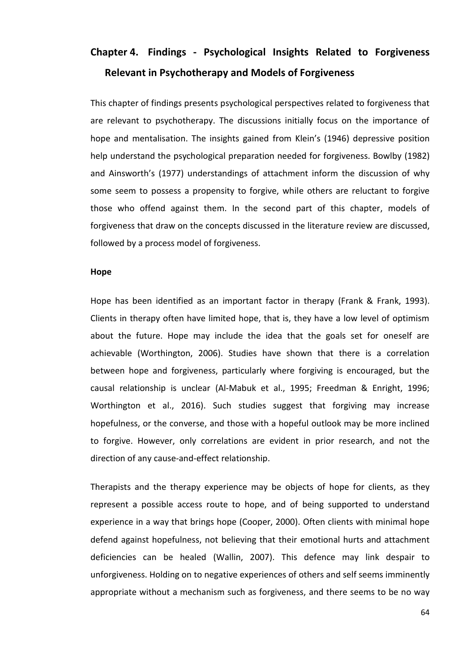# **Chapter 4. Findings - Psychological Insights Related to Forgiveness Relevant in Psychotherapy and Models of Forgiveness**

This chapter of findings presents psychological perspectives related to forgiveness that are relevant to psychotherapy. The discussions initially focus on the importance of hope and mentalisation. The insights gained from Klein's (1946) depressive position help understand the psychological preparation needed for forgiveness. Bowlby (1982) and Ainsworth's (1977) understandings of attachment inform the discussion of why some seem to possess a propensity to forgive, while others are reluctant to forgive those who offend against them. In the second part of this chapter, models of forgiveness that draw on the concepts discussed in the literature review are discussed, followed by a process model of forgiveness.

#### **Hope**

Hope has been identified as an important factor in therapy (Frank & Frank, 1993). Clients in therapy often have limited hope, that is, they have a low level of optimism about the future. Hope may include the idea that the goals set for oneself are achievable (Worthington, 2006). Studies have shown that there is a correlation between hope and forgiveness, particularly where forgiving is encouraged, but the causal relationship is unclear (Al-Mabuk et al., 1995; Freedman & Enright, 1996; Worthington et al., 2016). Such studies suggest that forgiving may increase hopefulness, or the converse, and those with a hopeful outlook may be more inclined to forgive. However, only correlations are evident in prior research, and not the direction of any cause-and-effect relationship.

Therapists and the therapy experience may be objects of hope for clients, as they represent a possible access route to hope, and of being supported to understand experience in a way that brings hope (Cooper, 2000). Often clients with minimal hope defend against hopefulness, not believing that their emotional hurts and attachment deficiencies can be healed (Wallin, 2007). This defence may link despair to unforgiveness. Holding on to negative experiences of others and self seems imminently appropriate without a mechanism such as forgiveness, and there seems to be no way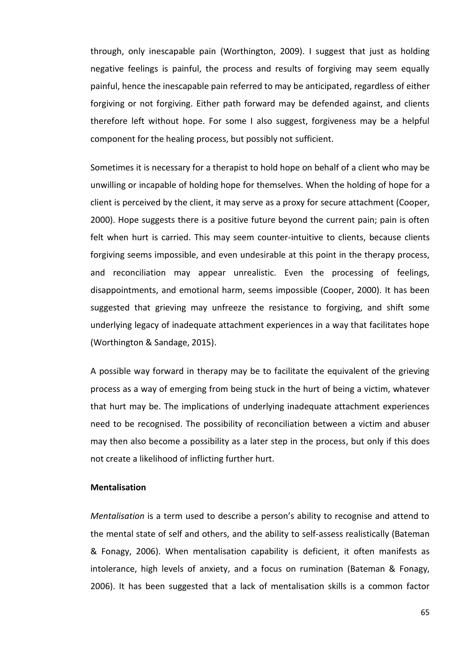through, only inescapable pain (Worthington, 2009). I suggest that just as holding negative feelings is painful, the process and results of forgiving may seem equally painful, hence the inescapable pain referred to may be anticipated, regardless of either forgiving or not forgiving. Either path forward may be defended against, and clients therefore left without hope. For some I also suggest, forgiveness may be a helpful component for the healing process, but possibly not sufficient.

Sometimes it is necessary for a therapist to hold hope on behalf of a client who may be unwilling or incapable of holding hope for themselves. When the holding of hope for a client is perceived by the client, it may serve as a proxy for secure attachment (Cooper, 2000). Hope suggests there is a positive future beyond the current pain; pain is often felt when hurt is carried. This may seem counter-intuitive to clients, because clients forgiving seems impossible, and even undesirable at this point in the therapy process, and reconciliation may appear unrealistic. Even the processing of feelings, disappointments, and emotional harm, seems impossible (Cooper, 2000). It has been suggested that grieving may unfreeze the resistance to forgiving, and shift some underlying legacy of inadequate attachment experiences in a way that facilitates hope (Worthington & Sandage, 2015).

A possible way forward in therapy may be to facilitate the equivalent of the grieving process as a way of emerging from being stuck in the hurt of being a victim, whatever that hurt may be. The implications of underlying inadequate attachment experiences need to be recognised. The possibility of reconciliation between a victim and abuser may then also become a possibility as a later step in the process, but only if this does not create a likelihood of inflicting further hurt.

### **Mentalisation**

*Mentalisation* is a term used to describe a person's ability to recognise and attend to the mental state of self and others, and the ability to self-assess realistically (Bateman & Fonagy, 2006). When mentalisation capability is deficient, it often manifests as intolerance, high levels of anxiety, and a focus on rumination (Bateman & Fonagy, 2006). It has been suggested that a lack of mentalisation skills is a common factor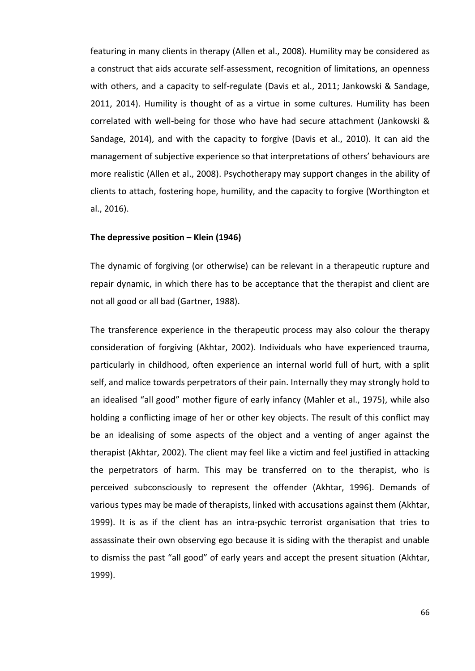featuring in many clients in therapy (Allen et al., 2008). Humility may be considered as a construct that aids accurate self-assessment, recognition of limitations, an openness with others, and a capacity to self-regulate (Davis et al., 2011; Jankowski & Sandage, 2011, 2014). Humility is thought of as a virtue in some cultures. Humility has been correlated with well-being for those who have had secure attachment (Jankowski & Sandage, 2014), and with the capacity to forgive (Davis et al., 2010). It can aid the management of subjective experience so that interpretations of others' behaviours are more realistic (Allen et al., 2008). Psychotherapy may support changes in the ability of clients to attach, fostering hope, humility, and the capacity to forgive (Worthington et al., 2016).

# **The depressive position – Klein (1946)**

The dynamic of forgiving (or otherwise) can be relevant in a therapeutic rupture and repair dynamic, in which there has to be acceptance that the therapist and client are not all good or all bad (Gartner, 1988).

The transference experience in the therapeutic process may also colour the therapy consideration of forgiving (Akhtar, 2002). Individuals who have experienced trauma, particularly in childhood, often experience an internal world full of hurt, with a split self, and malice towards perpetrators of their pain. Internally they may strongly hold to an idealised "all good" mother figure of early infancy (Mahler et al., 1975), while also holding a conflicting image of her or other key objects. The result of this conflict may be an idealising of some aspects of the object and a venting of anger against the therapist (Akhtar, 2002). The client may feel like a victim and feel justified in attacking the perpetrators of harm. This may be transferred on to the therapist, who is perceived subconsciously to represent the offender (Akhtar, 1996). Demands of various types may be made of therapists, linked with accusations against them (Akhtar, 1999). It is as if the client has an intra-psychic terrorist organisation that tries to assassinate their own observing ego because it is siding with the therapist and unable to dismiss the past "all good" of early years and accept the present situation (Akhtar, 1999).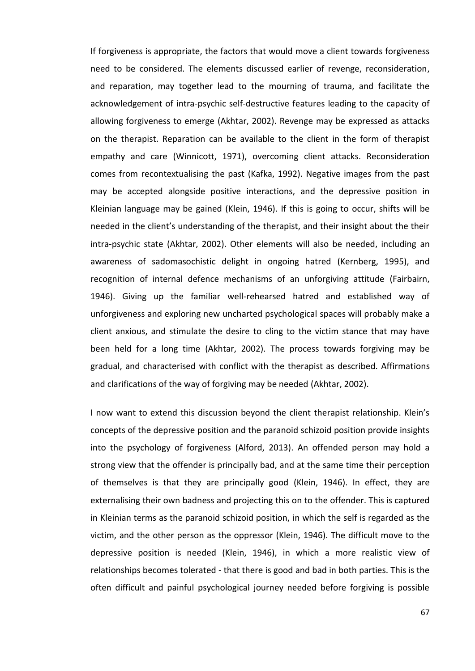If forgiveness is appropriate, the factors that would move a client towards forgiveness need to be considered. The elements discussed earlier of revenge, reconsideration, and reparation, may together lead to the mourning of trauma, and facilitate the acknowledgement of intra-psychic self-destructive features leading to the capacity of allowing forgiveness to emerge (Akhtar, 2002). Revenge may be expressed as attacks on the therapist. Reparation can be available to the client in the form of therapist empathy and care (Winnicott, 1971), overcoming client attacks. Reconsideration comes from recontextualising the past (Kafka, 1992). Negative images from the past may be accepted alongside positive interactions, and the depressive position in Kleinian language may be gained (Klein, 1946). If this is going to occur, shifts will be needed in the client's understanding of the therapist, and their insight about the their intra-psychic state (Akhtar, 2002). Other elements will also be needed, including an awareness of sadomasochistic delight in ongoing hatred (Kernberg, 1995), and recognition of internal defence mechanisms of an unforgiving attitude (Fairbairn, 1946). Giving up the familiar well-rehearsed hatred and established way of unforgiveness and exploring new uncharted psychological spaces will probably make a client anxious, and stimulate the desire to cling to the victim stance that may have been held for a long time (Akhtar, 2002). The process towards forgiving may be gradual, and characterised with conflict with the therapist as described. Affirmations and clarifications of the way of forgiving may be needed (Akhtar, 2002).

I now want to extend this discussion beyond the client therapist relationship. Klein's concepts of the depressive position and the paranoid schizoid position provide insights into the psychology of forgiveness (Alford, 2013). An offended person may hold a strong view that the offender is principally bad, and at the same time their perception of themselves is that they are principally good (Klein, 1946). In effect, they are externalising their own badness and projecting this on to the offender. This is captured in Kleinian terms as the paranoid schizoid position, in which the self is regarded as the victim, and the other person as the oppressor (Klein, 1946). The difficult move to the depressive position is needed (Klein, 1946), in which a more realistic view of relationships becomes tolerated - that there is good and bad in both parties. This is the often difficult and painful psychological journey needed before forgiving is possible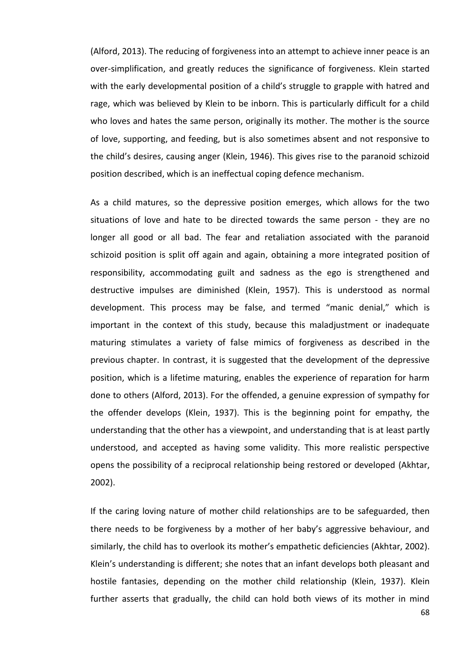(Alford, 2013). The reducing of forgiveness into an attempt to achieve inner peace is an over-simplification, and greatly reduces the significance of forgiveness. Klein started with the early developmental position of a child's struggle to grapple with hatred and rage, which was believed by Klein to be inborn. This is particularly difficult for a child who loves and hates the same person, originally its mother. The mother is the source of love, supporting, and feeding, but is also sometimes absent and not responsive to the child's desires, causing anger (Klein, 1946). This gives rise to the paranoid schizoid position described, which is an ineffectual coping defence mechanism.

As a child matures, so the depressive position emerges, which allows for the two situations of love and hate to be directed towards the same person - they are no longer all good or all bad. The fear and retaliation associated with the paranoid schizoid position is split off again and again, obtaining a more integrated position of responsibility, accommodating guilt and sadness as the ego is strengthened and destructive impulses are diminished (Klein, 1957). This is understood as normal development. This process may be false, and termed "manic denial," which is important in the context of this study, because this maladjustment or inadequate maturing stimulates a variety of false mimics of forgiveness as described in the previous chapter. In contrast, it is suggested that the development of the depressive position, which is a lifetime maturing, enables the experience of reparation for harm done to others (Alford, 2013). For the offended, a genuine expression of sympathy for the offender develops (Klein, 1937). This is the beginning point for empathy, the understanding that the other has a viewpoint, and understanding that is at least partly understood, and accepted as having some validity. This more realistic perspective opens the possibility of a reciprocal relationship being restored or developed (Akhtar, 2002).

If the caring loving nature of mother child relationships are to be safeguarded, then there needs to be forgiveness by a mother of her baby's aggressive behaviour, and similarly, the child has to overlook its mother's empathetic deficiencies (Akhtar, 2002). Klein's understanding is different; she notes that an infant develops both pleasant and hostile fantasies, depending on the mother child relationship (Klein, 1937). Klein further asserts that gradually, the child can hold both views of its mother in mind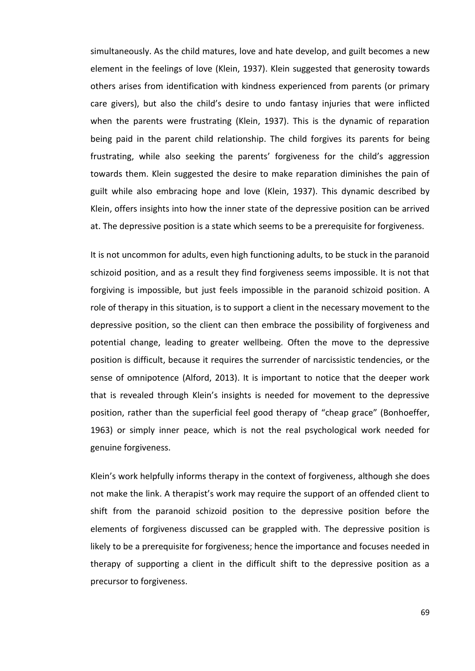simultaneously. As the child matures, love and hate develop, and guilt becomes a new element in the feelings of love (Klein, 1937). Klein suggested that generosity towards others arises from identification with kindness experienced from parents (or primary care givers), but also the child's desire to undo fantasy injuries that were inflicted when the parents were frustrating (Klein, 1937). This is the dynamic of reparation being paid in the parent child relationship. The child forgives its parents for being frustrating, while also seeking the parents' forgiveness for the child's aggression towards them. Klein suggested the desire to make reparation diminishes the pain of guilt while also embracing hope and love (Klein, 1937). This dynamic described by Klein, offers insights into how the inner state of the depressive position can be arrived at. The depressive position is a state which seems to be a prerequisite for forgiveness.

It is not uncommon for adults, even high functioning adults, to be stuck in the paranoid schizoid position, and as a result they find forgiveness seems impossible. It is not that forgiving is impossible, but just feels impossible in the paranoid schizoid position. A role of therapy in this situation, is to support a client in the necessary movement to the depressive position, so the client can then embrace the possibility of forgiveness and potential change, leading to greater wellbeing. Often the move to the depressive position is difficult, because it requires the surrender of narcissistic tendencies, or the sense of omnipotence (Alford, 2013). It is important to notice that the deeper work that is revealed through Klein's insights is needed for movement to the depressive position, rather than the superficial feel good therapy of "cheap grace" (Bonhoeffer, 1963) or simply inner peace, which is not the real psychological work needed for genuine forgiveness.

Klein's work helpfully informs therapy in the context of forgiveness, although she does not make the link. A therapist's work may require the support of an offended client to shift from the paranoid schizoid position to the depressive position before the elements of forgiveness discussed can be grappled with. The depressive position is likely to be a prerequisite for forgiveness; hence the importance and focuses needed in therapy of supporting a client in the difficult shift to the depressive position as a precursor to forgiveness.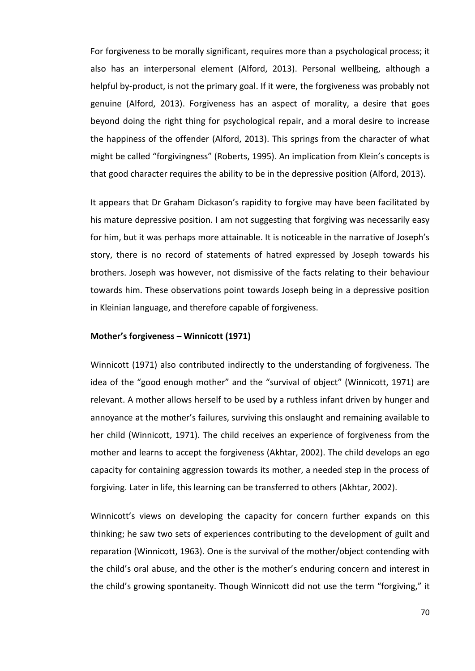For forgiveness to be morally significant, requires more than a psychological process; it also has an interpersonal element (Alford, 2013). Personal wellbeing, although a helpful by-product, is not the primary goal. If it were, the forgiveness was probably not genuine (Alford, 2013). Forgiveness has an aspect of morality, a desire that goes beyond doing the right thing for psychological repair, and a moral desire to increase the happiness of the offender (Alford, 2013). This springs from the character of what might be called "forgivingness" (Roberts, 1995). An implication from Klein's concepts is that good character requires the ability to be in the depressive position (Alford, 2013).

It appears that Dr Graham Dickason's rapidity to forgive may have been facilitated by his mature depressive position. I am not suggesting that forgiving was necessarily easy for him, but it was perhaps more attainable. It is noticeable in the narrative of Joseph's story, there is no record of statements of hatred expressed by Joseph towards his brothers. Joseph was however, not dismissive of the facts relating to their behaviour towards him. These observations point towards Joseph being in a depressive position in Kleinian language, and therefore capable of forgiveness.

# **Mother's forgiveness – Winnicott (1971)**

Winnicott (1971) also contributed indirectly to the understanding of forgiveness. The idea of the "good enough mother" and the "survival of object" (Winnicott, 1971) are relevant. A mother allows herself to be used by a ruthless infant driven by hunger and annoyance at the mother's failures, surviving this onslaught and remaining available to her child (Winnicott, 1971). The child receives an experience of forgiveness from the mother and learns to accept the forgiveness (Akhtar, 2002). The child develops an ego capacity for containing aggression towards its mother, a needed step in the process of forgiving. Later in life, this learning can be transferred to others (Akhtar, 2002).

Winnicott's views on developing the capacity for concern further expands on this thinking; he saw two sets of experiences contributing to the development of guilt and reparation (Winnicott, 1963). One is the survival of the mother/object contending with the child's oral abuse, and the other is the mother's enduring concern and interest in the child's growing spontaneity. Though Winnicott did not use the term "forgiving," it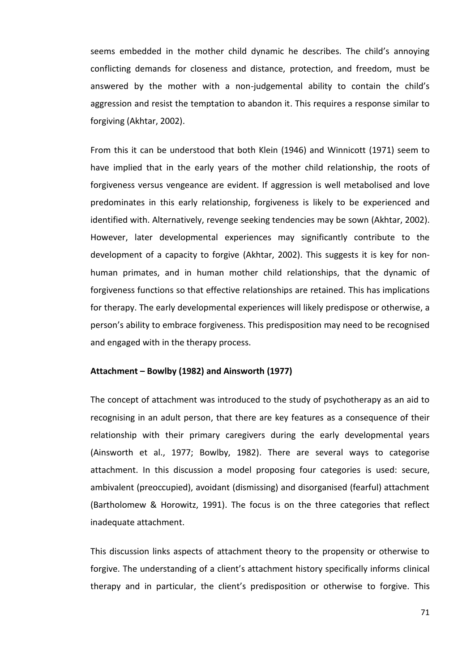seems embedded in the mother child dynamic he describes. The child's annoying conflicting demands for closeness and distance, protection, and freedom, must be answered by the mother with a non-judgemental ability to contain the child's aggression and resist the temptation to abandon it. This requires a response similar to forgiving (Akhtar, 2002).

From this it can be understood that both Klein (1946) and Winnicott (1971) seem to have implied that in the early years of the mother child relationship, the roots of forgiveness versus vengeance are evident. If aggression is well metabolised and love predominates in this early relationship, forgiveness is likely to be experienced and identified with. Alternatively, revenge seeking tendencies may be sown (Akhtar, 2002). However, later developmental experiences may significantly contribute to the development of a capacity to forgive (Akhtar, 2002). This suggests it is key for nonhuman primates, and in human mother child relationships, that the dynamic of forgiveness functions so that effective relationships are retained. This has implications for therapy. The early developmental experiences will likely predispose or otherwise, a person's ability to embrace forgiveness. This predisposition may need to be recognised and engaged with in the therapy process.

# **Attachment – Bowlby (1982) and Ainsworth (1977)**

The concept of attachment was introduced to the study of psychotherapy as an aid to recognising in an adult person, that there are key features as a consequence of their relationship with their primary caregivers during the early developmental years (Ainsworth et al., 1977; Bowlby, 1982). There are several ways to categorise attachment. In this discussion a model proposing four categories is used: secure, ambivalent (preoccupied), avoidant (dismissing) and disorganised (fearful) attachment (Bartholomew & Horowitz, 1991). The focus is on the three categories that reflect inadequate attachment.

This discussion links aspects of attachment theory to the propensity or otherwise to forgive. The understanding of a client's attachment history specifically informs clinical therapy and in particular, the client's predisposition or otherwise to forgive. This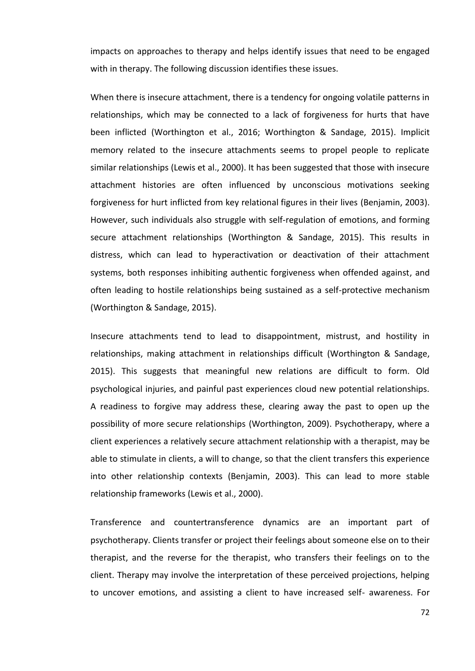impacts on approaches to therapy and helps identify issues that need to be engaged with in therapy. The following discussion identifies these issues.

When there is insecure attachment, there is a tendency for ongoing volatile patterns in relationships, which may be connected to a lack of forgiveness for hurts that have been inflicted (Worthington et al., 2016; Worthington & Sandage, 2015). Implicit memory related to the insecure attachments seems to propel people to replicate similar relationships (Lewis et al., 2000). It has been suggested that those with insecure attachment histories are often influenced by unconscious motivations seeking forgiveness for hurt inflicted from key relational figures in their lives (Benjamin, 2003). However, such individuals also struggle with self-regulation of emotions, and forming secure attachment relationships (Worthington & Sandage, 2015). This results in distress, which can lead to hyperactivation or deactivation of their attachment systems, both responses inhibiting authentic forgiveness when offended against, and often leading to hostile relationships being sustained as a self-protective mechanism (Worthington & Sandage, 2015).

Insecure attachments tend to lead to disappointment, mistrust, and hostility in relationships, making attachment in relationships difficult (Worthington & Sandage, 2015). This suggests that meaningful new relations are difficult to form. Old psychological injuries, and painful past experiences cloud new potential relationships. A readiness to forgive may address these, clearing away the past to open up the possibility of more secure relationships (Worthington, 2009). Psychotherapy, where a client experiences a relatively secure attachment relationship with a therapist, may be able to stimulate in clients, a will to change, so that the client transfers this experience into other relationship contexts (Benjamin, 2003). This can lead to more stable relationship frameworks (Lewis et al., 2000).

Transference and countertransference dynamics are an important part of psychotherapy. Clients transfer or project their feelings about someone else on to their therapist, and the reverse for the therapist, who transfers their feelings on to the client. Therapy may involve the interpretation of these perceived projections, helping to uncover emotions, and assisting a client to have increased self- awareness. For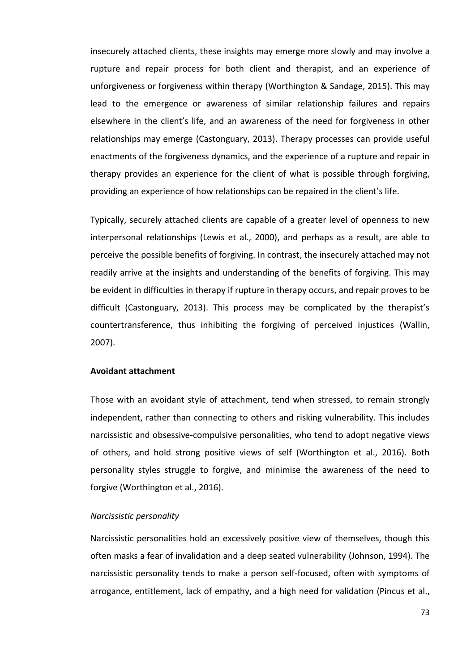insecurely attached clients, these insights may emerge more slowly and may involve a rupture and repair process for both client and therapist, and an experience of unforgiveness or forgiveness within therapy (Worthington & Sandage, 2015). This may lead to the emergence or awareness of similar relationship failures and repairs elsewhere in the client's life, and an awareness of the need for forgiveness in other relationships may emerge (Castonguary, 2013). Therapy processes can provide useful enactments of the forgiveness dynamics, and the experience of a rupture and repair in therapy provides an experience for the client of what is possible through forgiving, providing an experience of how relationships can be repaired in the client's life.

Typically, securely attached clients are capable of a greater level of openness to new interpersonal relationships (Lewis et al., 2000), and perhaps as a result, are able to perceive the possible benefits of forgiving. In contrast, the insecurely attached may not readily arrive at the insights and understanding of the benefits of forgiving. This may be evident in difficulties in therapy if rupture in therapy occurs, and repair proves to be difficult (Castonguary, 2013). This process may be complicated by the therapist's countertransference, thus inhibiting the forgiving of perceived injustices (Wallin, 2007).

# **Avoidant attachment**

Those with an avoidant style of attachment, tend when stressed, to remain strongly independent, rather than connecting to others and risking vulnerability. This includes narcissistic and obsessive-compulsive personalities, who tend to adopt negative views of others, and hold strong positive views of self (Worthington et al., 2016). Both personality styles struggle to forgive, and minimise the awareness of the need to forgive (Worthington et al., 2016).

### *Narcissistic personality*

Narcissistic personalities hold an excessively positive view of themselves, though this often masks a fear of invalidation and a deep seated vulnerability (Johnson, 1994). The narcissistic personality tends to make a person self-focused, often with symptoms of arrogance, entitlement, lack of empathy, and a high need for validation (Pincus et al.,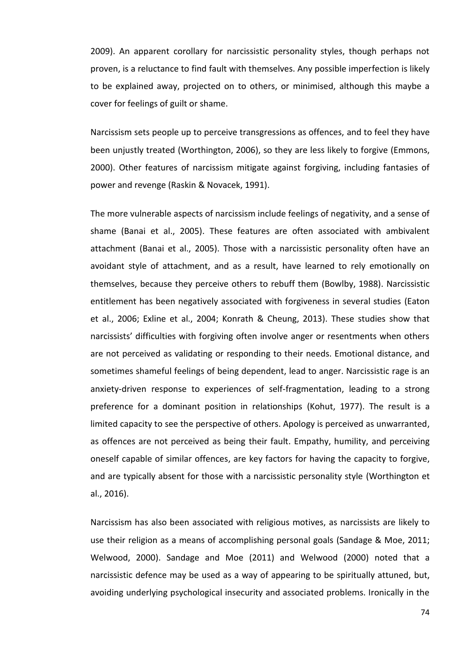2009). An apparent corollary for narcissistic personality styles, though perhaps not proven, is a reluctance to find fault with themselves. Any possible imperfection is likely to be explained away, projected on to others, or minimised, although this maybe a cover for feelings of guilt or shame.

Narcissism sets people up to perceive transgressions as offences, and to feel they have been unjustly treated (Worthington, 2006), so they are less likely to forgive (Emmons, 2000). Other features of narcissism mitigate against forgiving, including fantasies of power and revenge (Raskin & Novacek, 1991).

The more vulnerable aspects of narcissism include feelings of negativity, and a sense of shame (Banai et al., 2005). These features are often associated with ambivalent attachment (Banai et al., 2005). Those with a narcissistic personality often have an avoidant style of attachment, and as a result, have learned to rely emotionally on themselves, because they perceive others to rebuff them (Bowlby, 1988). Narcissistic entitlement has been negatively associated with forgiveness in several studies (Eaton et al., 2006; Exline et al., 2004; Konrath & Cheung, 2013). These studies show that narcissists' difficulties with forgiving often involve anger or resentments when others are not perceived as validating or responding to their needs. Emotional distance, and sometimes shameful feelings of being dependent, lead to anger. Narcissistic rage is an anxiety-driven response to experiences of self-fragmentation, leading to a strong preference for a dominant position in relationships (Kohut, 1977). The result is a limited capacity to see the perspective of others. Apology is perceived as unwarranted, as offences are not perceived as being their fault. Empathy, humility, and perceiving oneself capable of similar offences, are key factors for having the capacity to forgive, and are typically absent for those with a narcissistic personality style (Worthington et al., 2016).

Narcissism has also been associated with religious motives, as narcissists are likely to use their religion as a means of accomplishing personal goals (Sandage & Moe, 2011; Welwood, 2000). Sandage and Moe (2011) and Welwood (2000) noted that a narcissistic defence may be used as a way of appearing to be spiritually attuned, but, avoiding underlying psychological insecurity and associated problems. Ironically in the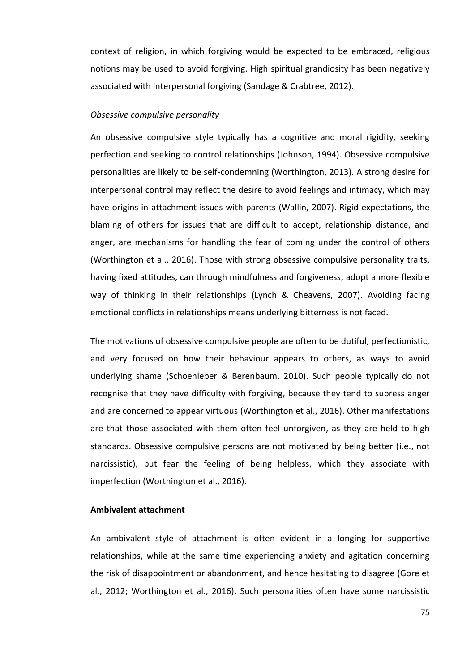context of religion, in which forgiving would be expected to be embraced, religious notions may be used to avoid forgiving. High spiritual grandiosity has been negatively associated with interpersonal forgiving (Sandage & Crabtree, 2012).

#### *Obsessive compulsive personality*

An obsessive compulsive style typically has a cognitive and moral rigidity, seeking perfection and seeking to control relationships (Johnson, 1994). Obsessive compulsive personalities are likely to be self-condemning (Worthington, 2013). A strong desire for interpersonal control may reflect the desire to avoid feelings and intimacy, which may have origins in attachment issues with parents (Wallin, 2007). Rigid expectations, the blaming of others for issues that are difficult to accept, relationship distance, and anger, are mechanisms for handling the fear of coming under the control of others (Worthington et al., 2016). Those with strong obsessive compulsive personality traits, having fixed attitudes, can through mindfulness and forgiveness, adopt a more flexible way of thinking in their relationships (Lynch & Cheavens, 2007). Avoiding facing emotional conflicts in relationships means underlying bitterness is not faced.

The motivations of obsessive compulsive people are often to be dutiful, perfectionistic, and very focused on how their behaviour appears to others, as ways to avoid underlying shame (Schoenleber & Berenbaum, 2010). Such people typically do not recognise that they have difficulty with forgiving, because they tend to supress anger and are concerned to appear virtuous (Worthington et al., 2016). Other manifestations are that those associated with them often feel unforgiven, as they are held to high standards. Obsessive compulsive persons are not motivated by being better (i.e., not narcissistic), but fear the feeling of being helpless, which they associate with imperfection (Worthington et al., 2016).

# **Ambivalent attachment**

An ambivalent style of attachment is often evident in a longing for supportive relationships, while at the same time experiencing anxiety and agitation concerning the risk of disappointment or abandonment, and hence hesitating to disagree (Gore et al., 2012; Worthington et al., 2016). Such personalities often have some narcissistic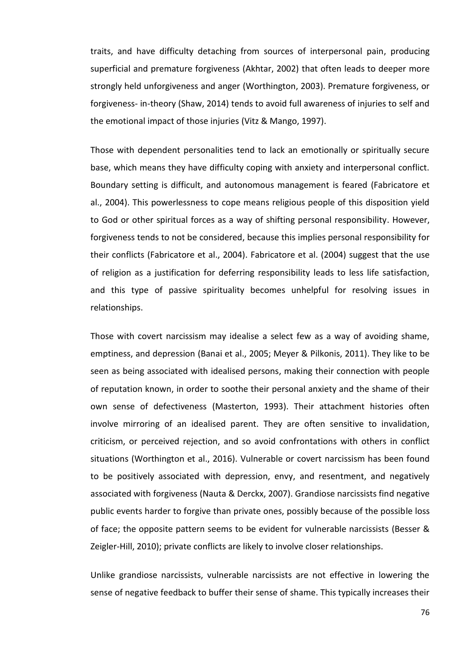traits, and have difficulty detaching from sources of interpersonal pain, producing superficial and premature forgiveness (Akhtar, 2002) that often leads to deeper more strongly held unforgiveness and anger (Worthington, 2003). Premature forgiveness, or forgiveness- in-theory (Shaw, 2014) tends to avoid full awareness of injuries to self and the emotional impact of those injuries (Vitz & Mango, 1997).

Those with dependent personalities tend to lack an emotionally or spiritually secure base, which means they have difficulty coping with anxiety and interpersonal conflict. Boundary setting is difficult, and autonomous management is feared (Fabricatore et al., 2004). This powerlessness to cope means religious people of this disposition yield to God or other spiritual forces as a way of shifting personal responsibility. However, forgiveness tends to not be considered, because this implies personal responsibility for their conflicts (Fabricatore et al., 2004). Fabricatore et al. (2004) suggest that the use of religion as a justification for deferring responsibility leads to less life satisfaction, and this type of passive spirituality becomes unhelpful for resolving issues in relationships.

Those with covert narcissism may idealise a select few as a way of avoiding shame, emptiness, and depression (Banai et al., 2005; Meyer & Pilkonis, 2011). They like to be seen as being associated with idealised persons, making their connection with people of reputation known, in order to soothe their personal anxiety and the shame of their own sense of defectiveness (Masterton, 1993). Their attachment histories often involve mirroring of an idealised parent. They are often sensitive to invalidation, criticism, or perceived rejection, and so avoid confrontations with others in conflict situations (Worthington et al., 2016). Vulnerable or covert narcissism has been found to be positively associated with depression, envy, and resentment, and negatively associated with forgiveness (Nauta & Derckx, 2007). Grandiose narcissists find negative public events harder to forgive than private ones, possibly because of the possible loss of face; the opposite pattern seems to be evident for vulnerable narcissists (Besser & Zeigler-Hill, 2010); private conflicts are likely to involve closer relationships.

Unlike grandiose narcissists, vulnerable narcissists are not effective in lowering the sense of negative feedback to buffer their sense of shame. This typically increases their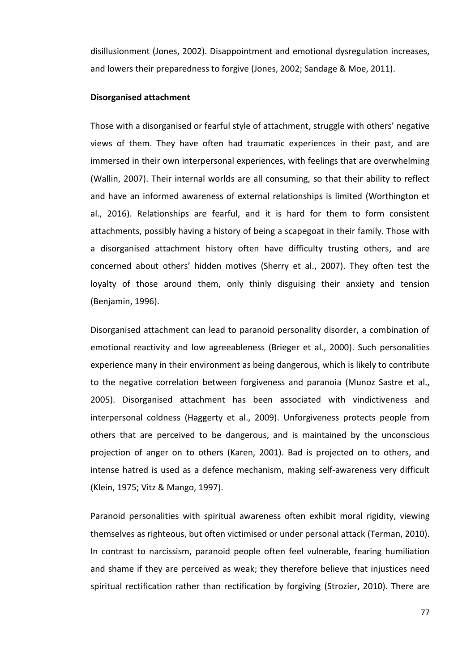disillusionment (Jones, 2002). Disappointment and emotional dysregulation increases, and lowers their preparedness to forgive (Jones, 2002; Sandage & Moe, 2011).

#### **Disorganised attachment**

Those with a disorganised or fearful style of attachment, struggle with others' negative views of them. They have often had traumatic experiences in their past, and are immersed in their own interpersonal experiences, with feelings that are overwhelming (Wallin, 2007). Their internal worlds are all consuming, so that their ability to reflect and have an informed awareness of external relationships is limited (Worthington et al., 2016). Relationships are fearful, and it is hard for them to form consistent attachments, possibly having a history of being a scapegoat in their family. Those with a disorganised attachment history often have difficulty trusting others, and are concerned about others' hidden motives (Sherry et al., 2007). They often test the loyalty of those around them, only thinly disguising their anxiety and tension (Benjamin, 1996).

Disorganised attachment can lead to paranoid personality disorder, a combination of emotional reactivity and low agreeableness (Brieger et al., 2000). Such personalities experience many in their environment as being dangerous, which is likely to contribute to the negative correlation between forgiveness and paranoia (Munoz Sastre et al., 2005). Disorganised attachment has been associated with vindictiveness and interpersonal coldness (Haggerty et al., 2009). Unforgiveness protects people from others that are perceived to be dangerous, and is maintained by the unconscious projection of anger on to others (Karen, 2001). Bad is projected on to others, and intense hatred is used as a defence mechanism, making self-awareness very difficult (Klein, 1975; Vitz & Mango, 1997).

Paranoid personalities with spiritual awareness often exhibit moral rigidity, viewing themselves as righteous, but often victimised or under personal attack (Terman, 2010). In contrast to narcissism, paranoid people often feel vulnerable, fearing humiliation and shame if they are perceived as weak; they therefore believe that injustices need spiritual rectification rather than rectification by forgiving (Strozier, 2010). There are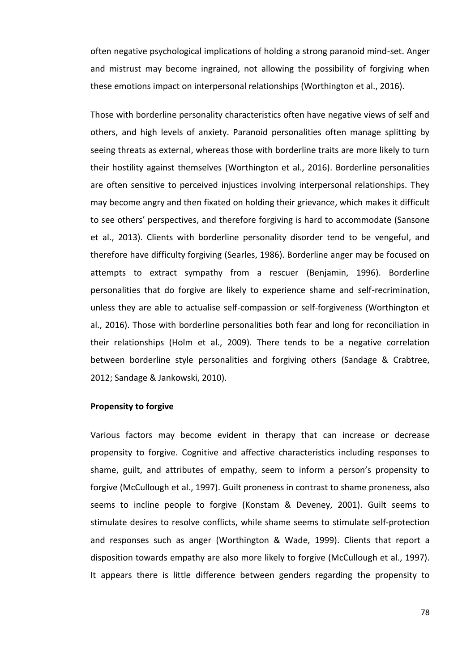often negative psychological implications of holding a strong paranoid mind-set. Anger and mistrust may become ingrained, not allowing the possibility of forgiving when these emotions impact on interpersonal relationships (Worthington et al., 2016).

Those with borderline personality characteristics often have negative views of self and others, and high levels of anxiety. Paranoid personalities often manage splitting by seeing threats as external, whereas those with borderline traits are more likely to turn their hostility against themselves (Worthington et al., 2016). Borderline personalities are often sensitive to perceived injustices involving interpersonal relationships. They may become angry and then fixated on holding their grievance, which makes it difficult to see others' perspectives, and therefore forgiving is hard to accommodate (Sansone et al., 2013). Clients with borderline personality disorder tend to be vengeful, and therefore have difficulty forgiving (Searles, 1986). Borderline anger may be focused on attempts to extract sympathy from a rescuer (Benjamin, 1996). Borderline personalities that do forgive are likely to experience shame and self-recrimination, unless they are able to actualise self-compassion or self-forgiveness (Worthington et al., 2016). Those with borderline personalities both fear and long for reconciliation in their relationships (Holm et al., 2009). There tends to be a negative correlation between borderline style personalities and forgiving others (Sandage & Crabtree, 2012; Sandage & Jankowski, 2010).

### **Propensity to forgive**

Various factors may become evident in therapy that can increase or decrease propensity to forgive. Cognitive and affective characteristics including responses to shame, guilt, and attributes of empathy, seem to inform a person's propensity to forgive (McCullough et al., 1997). Guilt proneness in contrast to shame proneness, also seems to incline people to forgive (Konstam & Deveney, 2001). Guilt seems to stimulate desires to resolve conflicts, while shame seems to stimulate self-protection and responses such as anger (Worthington & Wade, 1999). Clients that report a disposition towards empathy are also more likely to forgive (McCullough et al., 1997). It appears there is little difference between genders regarding the propensity to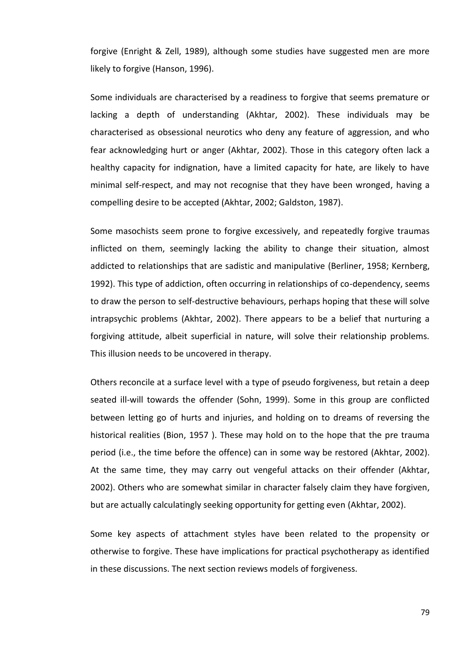forgive (Enright & Zell, 1989), although some studies have suggested men are more likely to forgive (Hanson, 1996).

Some individuals are characterised by a readiness to forgive that seems premature or lacking a depth of understanding (Akhtar, 2002). These individuals may be characterised as obsessional neurotics who deny any feature of aggression, and who fear acknowledging hurt or anger (Akhtar, 2002). Those in this category often lack a healthy capacity for indignation, have a limited capacity for hate, are likely to have minimal self-respect, and may not recognise that they have been wronged, having a compelling desire to be accepted (Akhtar, 2002; Galdston, 1987).

Some masochists seem prone to forgive excessively, and repeatedly forgive traumas inflicted on them, seemingly lacking the ability to change their situation, almost addicted to relationships that are sadistic and manipulative (Berliner, 1958; Kernberg, 1992). This type of addiction, often occurring in relationships of co-dependency, seems to draw the person to self-destructive behaviours, perhaps hoping that these will solve intrapsychic problems (Akhtar, 2002). There appears to be a belief that nurturing a forgiving attitude, albeit superficial in nature, will solve their relationship problems. This illusion needs to be uncovered in therapy.

Others reconcile at a surface level with a type of pseudo forgiveness, but retain a deep seated ill-will towards the offender (Sohn, 1999). Some in this group are conflicted between letting go of hurts and injuries, and holding on to dreams of reversing the historical realities (Bion, 1957 ). These may hold on to the hope that the pre trauma period (i.e., the time before the offence) can in some way be restored (Akhtar, 2002). At the same time, they may carry out vengeful attacks on their offender (Akhtar, 2002). Others who are somewhat similar in character falsely claim they have forgiven, but are actually calculatingly seeking opportunity for getting even (Akhtar, 2002).

Some key aspects of attachment styles have been related to the propensity or otherwise to forgive. These have implications for practical psychotherapy as identified in these discussions. The next section reviews models of forgiveness.

79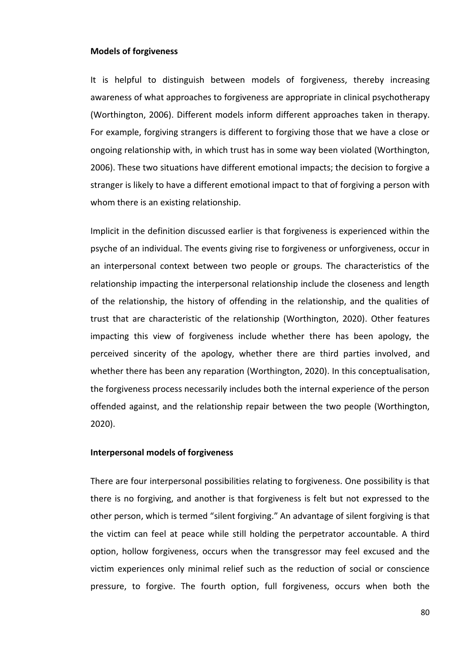#### **Models of forgiveness**

It is helpful to distinguish between models of forgiveness, thereby increasing awareness of what approaches to forgiveness are appropriate in clinical psychotherapy (Worthington, 2006). Different models inform different approaches taken in therapy. For example, forgiving strangers is different to forgiving those that we have a close or ongoing relationship with, in which trust has in some way been violated (Worthington, 2006). These two situations have different emotional impacts; the decision to forgive a stranger is likely to have a different emotional impact to that of forgiving a person with whom there is an existing relationship.

Implicit in the definition discussed earlier is that forgiveness is experienced within the psyche of an individual. The events giving rise to forgiveness or unforgiveness, occur in an interpersonal context between two people or groups. The characteristics of the relationship impacting the interpersonal relationship include the closeness and length of the relationship, the history of offending in the relationship, and the qualities of trust that are characteristic of the relationship (Worthington, 2020). Other features impacting this view of forgiveness include whether there has been apology, the perceived sincerity of the apology, whether there are third parties involved, and whether there has been any reparation (Worthington, 2020). In this conceptualisation, the forgiveness process necessarily includes both the internal experience of the person offended against, and the relationship repair between the two people (Worthington, 2020).

## **Interpersonal models of forgiveness**

There are four interpersonal possibilities relating to forgiveness. One possibility is that there is no forgiving, and another is that forgiveness is felt but not expressed to the other person, which is termed "silent forgiving." An advantage of silent forgiving is that the victim can feel at peace while still holding the perpetrator accountable. A third option, hollow forgiveness, occurs when the transgressor may feel excused and the victim experiences only minimal relief such as the reduction of social or conscience pressure, to forgive. The fourth option, full forgiveness, occurs when both the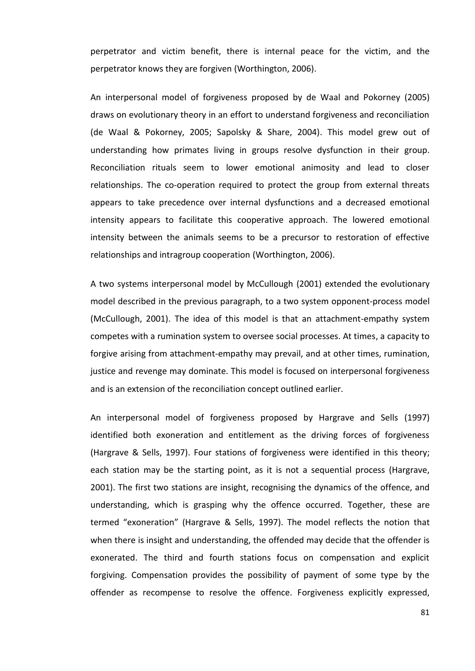perpetrator and victim benefit, there is internal peace for the victim, and the perpetrator knows they are forgiven (Worthington, 2006).

An interpersonal model of forgiveness proposed by de Waal and Pokorney (2005) draws on evolutionary theory in an effort to understand forgiveness and reconciliation (de Waal & Pokorney, 2005; Sapolsky & Share, 2004). This model grew out of understanding how primates living in groups resolve dysfunction in their group. Reconciliation rituals seem to lower emotional animosity and lead to closer relationships. The co-operation required to protect the group from external threats appears to take precedence over internal dysfunctions and a decreased emotional intensity appears to facilitate this cooperative approach. The lowered emotional intensity between the animals seems to be a precursor to restoration of effective relationships and intragroup cooperation (Worthington, 2006).

A two systems interpersonal model by McCullough (2001) extended the evolutionary model described in the previous paragraph, to a two system opponent-process model (McCullough, 2001). The idea of this model is that an attachment-empathy system competes with a rumination system to oversee social processes. At times, a capacity to forgive arising from attachment-empathy may prevail, and at other times, rumination, justice and revenge may dominate. This model is focused on interpersonal forgiveness and is an extension of the reconciliation concept outlined earlier.

An interpersonal model of forgiveness proposed by Hargrave and Sells (1997) identified both exoneration and entitlement as the driving forces of forgiveness (Hargrave & Sells, 1997). Four stations of forgiveness were identified in this theory; each station may be the starting point, as it is not a sequential process (Hargrave, 2001). The first two stations are insight, recognising the dynamics of the offence, and understanding, which is grasping why the offence occurred. Together, these are termed "exoneration" (Hargrave & Sells, 1997). The model reflects the notion that when there is insight and understanding, the offended may decide that the offender is exonerated. The third and fourth stations focus on compensation and explicit forgiving. Compensation provides the possibility of payment of some type by the offender as recompense to resolve the offence. Forgiveness explicitly expressed,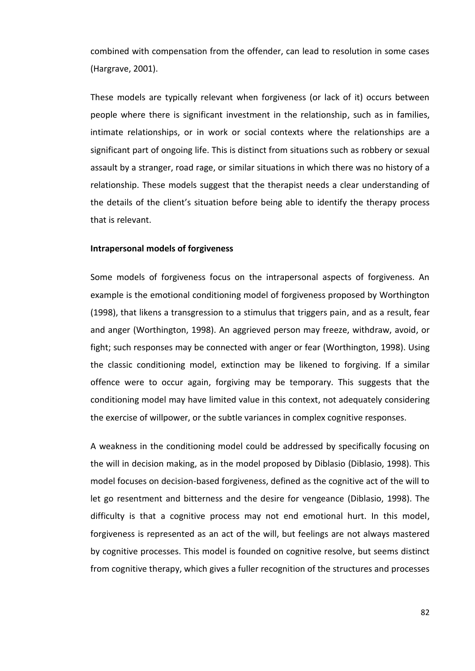combined with compensation from the offender, can lead to resolution in some cases (Hargrave, 2001).

These models are typically relevant when forgiveness (or lack of it) occurs between people where there is significant investment in the relationship, such as in families, intimate relationships, or in work or social contexts where the relationships are a significant part of ongoing life. This is distinct from situations such as robbery or sexual assault by a stranger, road rage, or similar situations in which there was no history of a relationship. These models suggest that the therapist needs a clear understanding of the details of the client's situation before being able to identify the therapy process that is relevant.

## **Intrapersonal models of forgiveness**

Some models of forgiveness focus on the intrapersonal aspects of forgiveness. An example is the emotional conditioning model of forgiveness proposed by Worthington (1998), that likens a transgression to a stimulus that triggers pain, and as a result, fear and anger (Worthington, 1998). An aggrieved person may freeze, withdraw, avoid, or fight; such responses may be connected with anger or fear (Worthington, 1998). Using the classic conditioning model, extinction may be likened to forgiving. If a similar offence were to occur again, forgiving may be temporary. This suggests that the conditioning model may have limited value in this context, not adequately considering the exercise of willpower, or the subtle variances in complex cognitive responses.

A weakness in the conditioning model could be addressed by specifically focusing on the will in decision making, as in the model proposed by Diblasio (Diblasio, 1998). This model focuses on decision-based forgiveness, defined as the cognitive act of the will to let go resentment and bitterness and the desire for vengeance (Diblasio, 1998). The difficulty is that a cognitive process may not end emotional hurt. In this model, forgiveness is represented as an act of the will, but feelings are not always mastered by cognitive processes. This model is founded on cognitive resolve, but seems distinct from cognitive therapy, which gives a fuller recognition of the structures and processes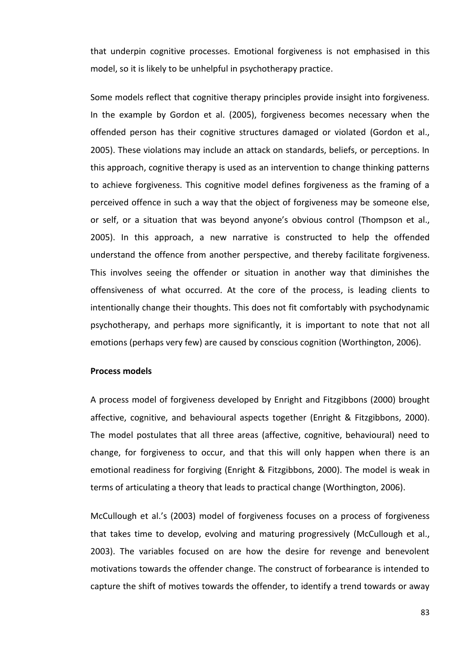that underpin cognitive processes. Emotional forgiveness is not emphasised in this model, so it is likely to be unhelpful in psychotherapy practice.

Some models reflect that cognitive therapy principles provide insight into forgiveness. In the example by Gordon et al. (2005), forgiveness becomes necessary when the offended person has their cognitive structures damaged or violated (Gordon et al., 2005). These violations may include an attack on standards, beliefs, or perceptions. In this approach, cognitive therapy is used as an intervention to change thinking patterns to achieve forgiveness. This cognitive model defines forgiveness as the framing of a perceived offence in such a way that the object of forgiveness may be someone else, or self, or a situation that was beyond anyone's obvious control (Thompson et al., 2005). In this approach, a new narrative is constructed to help the offended understand the offence from another perspective, and thereby facilitate forgiveness. This involves seeing the offender or situation in another way that diminishes the offensiveness of what occurred. At the core of the process, is leading clients to intentionally change their thoughts. This does not fit comfortably with psychodynamic psychotherapy, and perhaps more significantly, it is important to note that not all emotions (perhaps very few) are caused by conscious cognition (Worthington, 2006).

## **Process models**

A process model of forgiveness developed by Enright and Fitzgibbons (2000) brought affective, cognitive, and behavioural aspects together (Enright & Fitzgibbons, 2000). The model postulates that all three areas (affective, cognitive, behavioural) need to change, for forgiveness to occur, and that this will only happen when there is an emotional readiness for forgiving (Enright & Fitzgibbons, 2000). The model is weak in terms of articulating a theory that leads to practical change (Worthington, 2006).

McCullough et al.'s (2003) model of forgiveness focuses on a process of forgiveness that takes time to develop, evolving and maturing progressively (McCullough et al., 2003). The variables focused on are how the desire for revenge and benevolent motivations towards the offender change. The construct of forbearance is intended to capture the shift of motives towards the offender, to identify a trend towards or away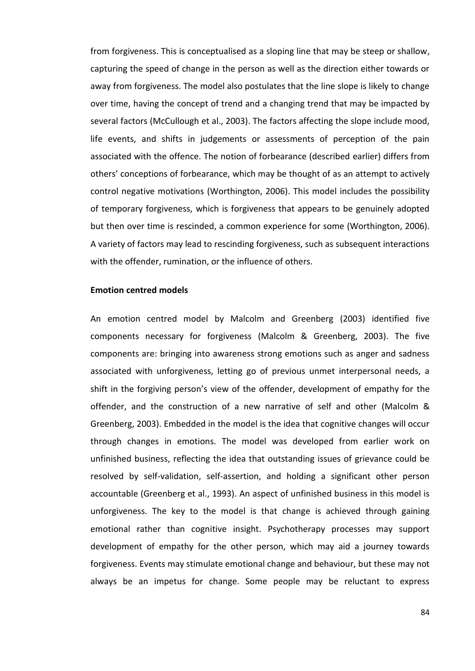from forgiveness. This is conceptualised as a sloping line that may be steep or shallow, capturing the speed of change in the person as well as the direction either towards or away from forgiveness. The model also postulates that the line slope is likely to change over time, having the concept of trend and a changing trend that may be impacted by several factors (McCullough et al., 2003). The factors affecting the slope include mood, life events, and shifts in judgements or assessments of perception of the pain associated with the offence. The notion of forbearance (described earlier) differs from others' conceptions of forbearance, which may be thought of as an attempt to actively control negative motivations (Worthington, 2006). This model includes the possibility of temporary forgiveness, which is forgiveness that appears to be genuinely adopted but then over time is rescinded, a common experience for some (Worthington, 2006). A variety of factors may lead to rescinding forgiveness, such as subsequent interactions with the offender, rumination, or the influence of others.

#### **Emotion centred models**

An emotion centred model by Malcolm and Greenberg (2003) identified five components necessary for forgiveness (Malcolm & Greenberg, 2003). The five components are: bringing into awareness strong emotions such as anger and sadness associated with unforgiveness, letting go of previous unmet interpersonal needs, a shift in the forgiving person's view of the offender, development of empathy for the offender, and the construction of a new narrative of self and other (Malcolm & Greenberg, 2003). Embedded in the model is the idea that cognitive changes will occur through changes in emotions. The model was developed from earlier work on unfinished business, reflecting the idea that outstanding issues of grievance could be resolved by self-validation, self-assertion, and holding a significant other person accountable (Greenberg et al., 1993). An aspect of unfinished business in this model is unforgiveness. The key to the model is that change is achieved through gaining emotional rather than cognitive insight. Psychotherapy processes may support development of empathy for the other person, which may aid a journey towards forgiveness. Events may stimulate emotional change and behaviour, but these may not always be an impetus for change. Some people may be reluctant to express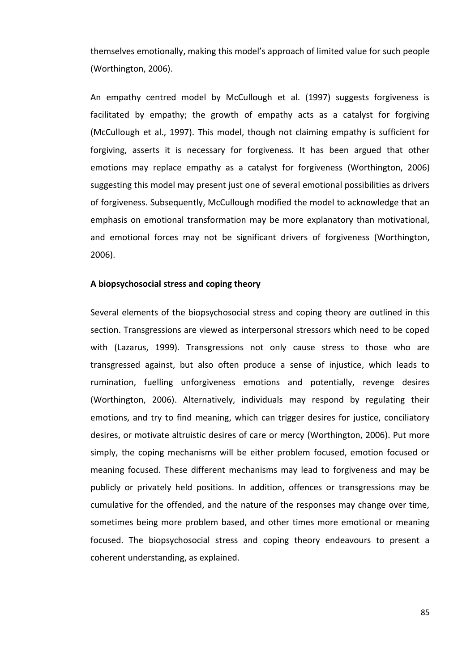themselves emotionally, making this model's approach of limited value for such people (Worthington, 2006).

An empathy centred model by McCullough et al. (1997) suggests forgiveness is facilitated by empathy; the growth of empathy acts as a catalyst for forgiving (McCullough et al., 1997). This model, though not claiming empathy is sufficient for forgiving, asserts it is necessary for forgiveness. It has been argued that other emotions may replace empathy as a catalyst for forgiveness (Worthington, 2006) suggesting this model may present just one of several emotional possibilities as drivers of forgiveness. Subsequently, McCullough modified the model to acknowledge that an emphasis on emotional transformation may be more explanatory than motivational, and emotional forces may not be significant drivers of forgiveness (Worthington, 2006).

### **A biopsychosocial stress and coping theory**

Several elements of the biopsychosocial stress and coping theory are outlined in this section. Transgressions are viewed as interpersonal stressors which need to be coped with (Lazarus, 1999). Transgressions not only cause stress to those who are transgressed against, but also often produce a sense of injustice, which leads to rumination, fuelling unforgiveness emotions and potentially, revenge desires (Worthington, 2006). Alternatively, individuals may respond by regulating their emotions, and try to find meaning, which can trigger desires for justice, conciliatory desires, or motivate altruistic desires of care or mercy (Worthington, 2006). Put more simply, the coping mechanisms will be either problem focused, emotion focused or meaning focused. These different mechanisms may lead to forgiveness and may be publicly or privately held positions. In addition, offences or transgressions may be cumulative for the offended, and the nature of the responses may change over time, sometimes being more problem based, and other times more emotional or meaning focused. The biopsychosocial stress and coping theory endeavours to present a coherent understanding, as explained.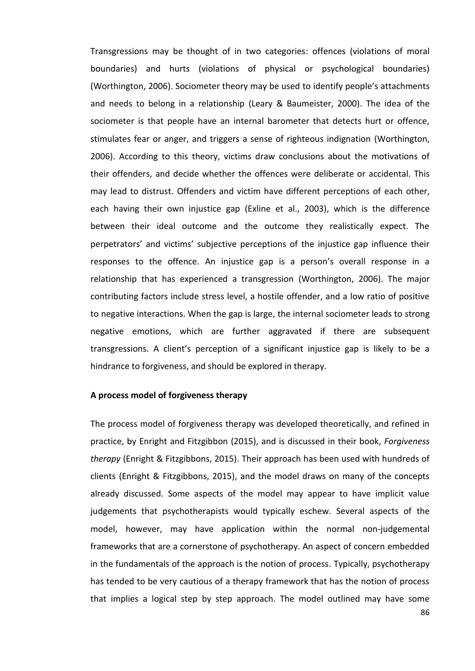Transgressions may be thought of in two categories: offences (violations of moral boundaries) and hurts (violations of physical or psychological boundaries) (Worthington, 2006). Sociometer theory may be used to identify people's attachments and needs to belong in a relationship (Leary & Baumeister, 2000). The idea of the sociometer is that people have an internal barometer that detects hurt or offence, stimulates fear or anger, and triggers a sense of righteous indignation (Worthington, 2006). According to this theory, victims draw conclusions about the motivations of their offenders, and decide whether the offences were deliberate or accidental. This may lead to distrust. Offenders and victim have different perceptions of each other, each having their own injustice gap (Exline et al., 2003), which is the difference between their ideal outcome and the outcome they realistically expect. The perpetrators' and victims' subjective perceptions of the injustice gap influence their responses to the offence. An injustice gap is a person's overall response in a relationship that has experienced a transgression (Worthington, 2006). The major contributing factors include stress level, a hostile offender, and a low ratio of positive to negative interactions. When the gap is large, the internal sociometer leads to strong negative emotions, which are further aggravated if there are subsequent transgressions. A client's perception of a significant injustice gap is likely to be a hindrance to forgiveness, and should be explored in therapy.

### **A process model of forgiveness therapy**

The process model of forgiveness therapy was developed theoretically, and refined in practice, by Enright and Fitzgibbon (2015), and is discussed in their book, *Forgiveness therapy* (Enright & Fitzgibbons, 2015). Their approach has been used with hundreds of clients (Enright & Fitzgibbons, 2015), and the model draws on many of the concepts already discussed. Some aspects of the model may appear to have implicit value judgements that psychotherapists would typically eschew. Several aspects of the model, however, may have application within the normal non-judgemental frameworks that are a cornerstone of psychotherapy. An aspect of concern embedded in the fundamentals of the approach is the notion of process. Typically, psychotherapy has tended to be very cautious of a therapy framework that has the notion of process that implies a logical step by step approach. The model outlined may have some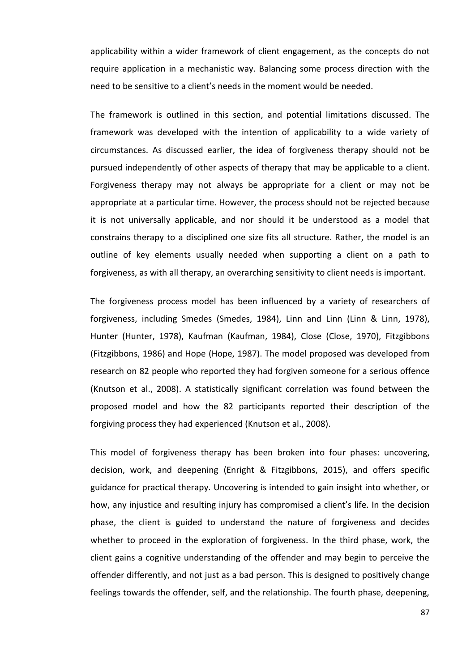applicability within a wider framework of client engagement, as the concepts do not require application in a mechanistic way. Balancing some process direction with the need to be sensitive to a client's needs in the moment would be needed.

The framework is outlined in this section, and potential limitations discussed. The framework was developed with the intention of applicability to a wide variety of circumstances. As discussed earlier, the idea of forgiveness therapy should not be pursued independently of other aspects of therapy that may be applicable to a client. Forgiveness therapy may not always be appropriate for a client or may not be appropriate at a particular time. However, the process should not be rejected because it is not universally applicable, and nor should it be understood as a model that constrains therapy to a disciplined one size fits all structure. Rather, the model is an outline of key elements usually needed when supporting a client on a path to forgiveness, as with all therapy, an overarching sensitivity to client needs is important.

The forgiveness process model has been influenced by a variety of researchers of forgiveness, including Smedes (Smedes, 1984), Linn and Linn (Linn & Linn, 1978), Hunter (Hunter, 1978), Kaufman (Kaufman, 1984), Close (Close, 1970), Fitzgibbons (Fitzgibbons, 1986) and Hope (Hope, 1987). The model proposed was developed from research on 82 people who reported they had forgiven someone for a serious offence (Knutson et al., 2008). A statistically significant correlation was found between the proposed model and how the 82 participants reported their description of the forgiving process they had experienced (Knutson et al., 2008).

This model of forgiveness therapy has been broken into four phases: uncovering, decision, work, and deepening (Enright & Fitzgibbons, 2015), and offers specific guidance for practical therapy. Uncovering is intended to gain insight into whether, or how, any injustice and resulting injury has compromised a client's life. In the decision phase, the client is guided to understand the nature of forgiveness and decides whether to proceed in the exploration of forgiveness. In the third phase, work, the client gains a cognitive understanding of the offender and may begin to perceive the offender differently, and not just as a bad person. This is designed to positively change feelings towards the offender, self, and the relationship. The fourth phase, deepening,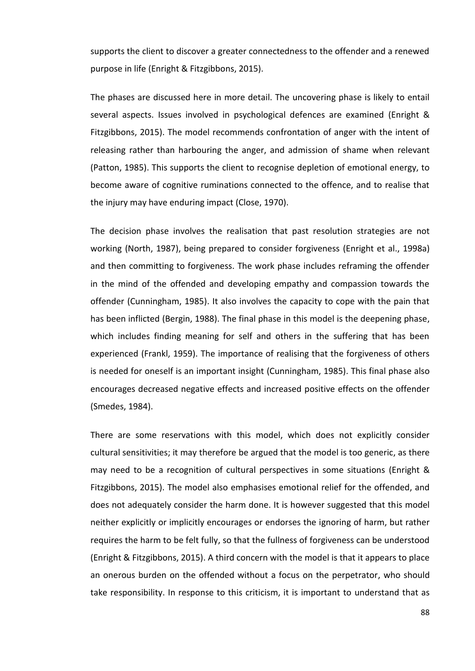supports the client to discover a greater connectedness to the offender and a renewed purpose in life (Enright & Fitzgibbons, 2015).

The phases are discussed here in more detail. The uncovering phase is likely to entail several aspects. Issues involved in psychological defences are examined (Enright & Fitzgibbons, 2015). The model recommends confrontation of anger with the intent of releasing rather than harbouring the anger, and admission of shame when relevant (Patton, 1985). This supports the client to recognise depletion of emotional energy, to become aware of cognitive ruminations connected to the offence, and to realise that the injury may have enduring impact (Close, 1970).

The decision phase involves the realisation that past resolution strategies are not working (North, 1987), being prepared to consider forgiveness (Enright et al., 1998a) and then committing to forgiveness. The work phase includes reframing the offender in the mind of the offended and developing empathy and compassion towards the offender (Cunningham, 1985). It also involves the capacity to cope with the pain that has been inflicted (Bergin, 1988). The final phase in this model is the deepening phase, which includes finding meaning for self and others in the suffering that has been experienced (Frankl, 1959). The importance of realising that the forgiveness of others is needed for oneself is an important insight (Cunningham, 1985). This final phase also encourages decreased negative effects and increased positive effects on the offender (Smedes, 1984).

There are some reservations with this model, which does not explicitly consider cultural sensitivities; it may therefore be argued that the model is too generic, as there may need to be a recognition of cultural perspectives in some situations (Enright & Fitzgibbons, 2015). The model also emphasises emotional relief for the offended, and does not adequately consider the harm done. It is however suggested that this model neither explicitly or implicitly encourages or endorses the ignoring of harm, but rather requires the harm to be felt fully, so that the fullness of forgiveness can be understood (Enright & Fitzgibbons, 2015). A third concern with the model is that it appears to place an onerous burden on the offended without a focus on the perpetrator, who should take responsibility. In response to this criticism, it is important to understand that as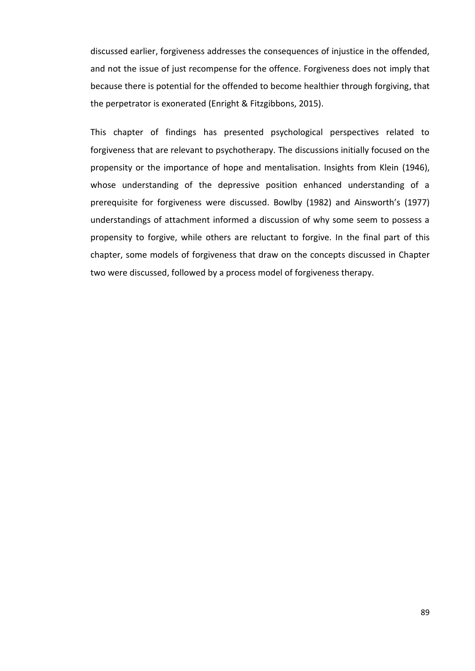discussed earlier, forgiveness addresses the consequences of injustice in the offended, and not the issue of just recompense for the offence. Forgiveness does not imply that because there is potential for the offended to become healthier through forgiving, that the perpetrator is exonerated (Enright & Fitzgibbons, 2015).

This chapter of findings has presented psychological perspectives related to forgiveness that are relevant to psychotherapy. The discussions initially focused on the propensity or the importance of hope and mentalisation. Insights from Klein (1946), whose understanding of the depressive position enhanced understanding of a prerequisite for forgiveness were discussed. Bowlby (1982) and Ainsworth's (1977) understandings of attachment informed a discussion of why some seem to possess a propensity to forgive, while others are reluctant to forgive. In the final part of this chapter, some models of forgiveness that draw on the concepts discussed in Chapter two were discussed, followed by a process model of forgiveness therapy.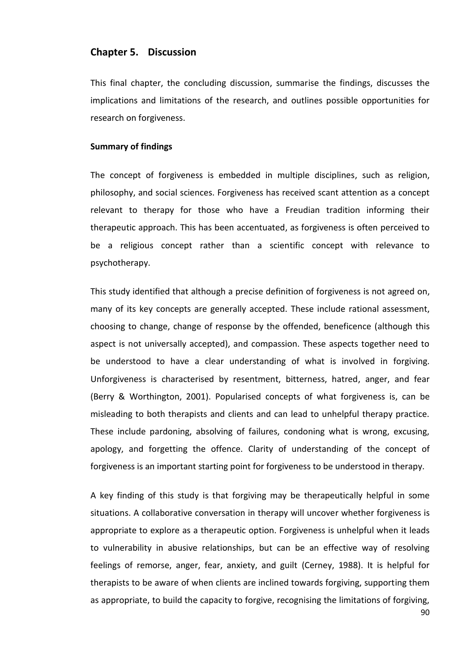# **Chapter 5. Discussion**

This final chapter, the concluding discussion, summarise the findings, discusses the implications and limitations of the research, and outlines possible opportunities for research on forgiveness.

## **Summary of findings**

The concept of forgiveness is embedded in multiple disciplines, such as religion, philosophy, and social sciences. Forgiveness has received scant attention as a concept relevant to therapy for those who have a Freudian tradition informing their therapeutic approach. This has been accentuated, as forgiveness is often perceived to be a religious concept rather than a scientific concept with relevance to psychotherapy.

This study identified that although a precise definition of forgiveness is not agreed on, many of its key concepts are generally accepted. These include rational assessment, choosing to change, change of response by the offended, beneficence (although this aspect is not universally accepted), and compassion. These aspects together need to be understood to have a clear understanding of what is involved in forgiving. Unforgiveness is characterised by resentment, bitterness, hatred, anger, and fear (Berry & Worthington, 2001). Popularised concepts of what forgiveness is, can be misleading to both therapists and clients and can lead to unhelpful therapy practice. These include pardoning, absolving of failures, condoning what is wrong, excusing, apology, and forgetting the offence. Clarity of understanding of the concept of forgiveness is an important starting point for forgiveness to be understood in therapy.

A key finding of this study is that forgiving may be therapeutically helpful in some situations. A collaborative conversation in therapy will uncover whether forgiveness is appropriate to explore as a therapeutic option. Forgiveness is unhelpful when it leads to vulnerability in abusive relationships, but can be an effective way of resolving feelings of remorse, anger, fear, anxiety, and guilt (Cerney, 1988). It is helpful for therapists to be aware of when clients are inclined towards forgiving, supporting them as appropriate, to build the capacity to forgive, recognising the limitations of forgiving,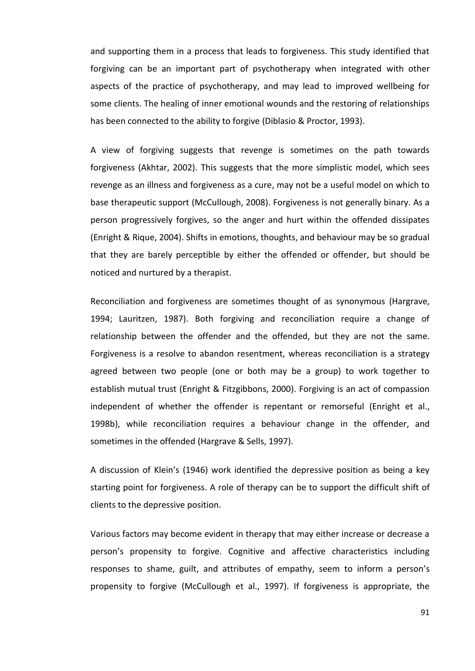and supporting them in a process that leads to forgiveness. This study identified that forgiving can be an important part of psychotherapy when integrated with other aspects of the practice of psychotherapy, and may lead to improved wellbeing for some clients. The healing of inner emotional wounds and the restoring of relationships has been connected to the ability to forgive (Diblasio & Proctor, 1993).

A view of forgiving suggests that revenge is sometimes on the path towards forgiveness (Akhtar, 2002). This suggests that the more simplistic model, which sees revenge as an illness and forgiveness as a cure, may not be a useful model on which to base therapeutic support (McCullough, 2008). Forgiveness is not generally binary. As a person progressively forgives, so the anger and hurt within the offended dissipates (Enright & Rique, 2004). Shifts in emotions, thoughts, and behaviour may be so gradual that they are barely perceptible by either the offended or offender, but should be noticed and nurtured by a therapist.

Reconciliation and forgiveness are sometimes thought of as synonymous (Hargrave, 1994; Lauritzen, 1987). Both forgiving and reconciliation require a change of relationship between the offender and the offended, but they are not the same. Forgiveness is a resolve to abandon resentment, whereas reconciliation is a strategy agreed between two people (one or both may be a group) to work together to establish mutual trust (Enright & Fitzgibbons, 2000). Forgiving is an act of compassion independent of whether the offender is repentant or remorseful (Enright et al., 1998b), while reconciliation requires a behaviour change in the offender, and sometimes in the offended (Hargrave & Sells, 1997).

A discussion of Klein's (1946) work identified the depressive position as being a key starting point for forgiveness. A role of therapy can be to support the difficult shift of clients to the depressive position.

Various factors may become evident in therapy that may either increase or decrease a person's propensity to forgive. Cognitive and affective characteristics including responses to shame, guilt, and attributes of empathy, seem to inform a person's propensity to forgive (McCullough et al., 1997). If forgiveness is appropriate, the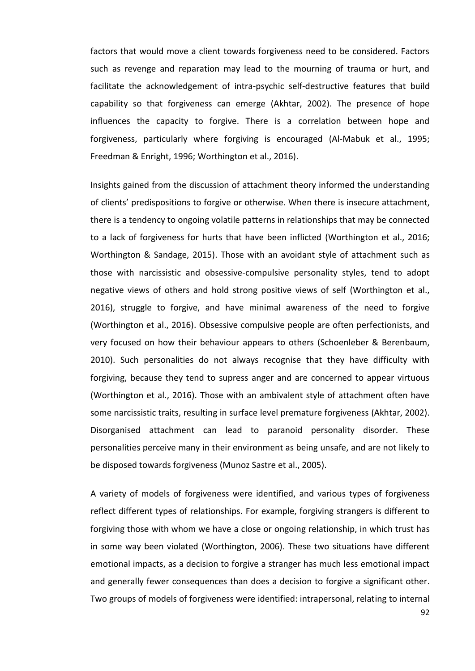factors that would move a client towards forgiveness need to be considered. Factors such as revenge and reparation may lead to the mourning of trauma or hurt, and facilitate the acknowledgement of intra-psychic self-destructive features that build capability so that forgiveness can emerge (Akhtar, 2002). The presence of hope influences the capacity to forgive. There is a correlation between hope and forgiveness, particularly where forgiving is encouraged (Al-Mabuk et al., 1995; Freedman & Enright, 1996; Worthington et al., 2016).

Insights gained from the discussion of attachment theory informed the understanding of clients' predispositions to forgive or otherwise. When there is insecure attachment, there is a tendency to ongoing volatile patterns in relationships that may be connected to a lack of forgiveness for hurts that have been inflicted (Worthington et al., 2016; Worthington & Sandage, 2015). Those with an avoidant style of attachment such as those with narcissistic and obsessive-compulsive personality styles, tend to adopt negative views of others and hold strong positive views of self (Worthington et al., 2016), struggle to forgive, and have minimal awareness of the need to forgive (Worthington et al., 2016). Obsessive compulsive people are often perfectionists, and very focused on how their behaviour appears to others (Schoenleber & Berenbaum, 2010). Such personalities do not always recognise that they have difficulty with forgiving, because they tend to supress anger and are concerned to appear virtuous (Worthington et al., 2016). Those with an ambivalent style of attachment often have some narcissistic traits, resulting in surface level premature forgiveness (Akhtar, 2002). Disorganised attachment can lead to paranoid personality disorder. These personalities perceive many in their environment as being unsafe, and are not likely to be disposed towards forgiveness (Munoz Sastre et al., 2005).

A variety of models of forgiveness were identified, and various types of forgiveness reflect different types of relationships. For example, forgiving strangers is different to forgiving those with whom we have a close or ongoing relationship, in which trust has in some way been violated (Worthington, 2006). These two situations have different emotional impacts, as a decision to forgive a stranger has much less emotional impact and generally fewer consequences than does a decision to forgive a significant other. Two groups of models of forgiveness were identified: intrapersonal, relating to internal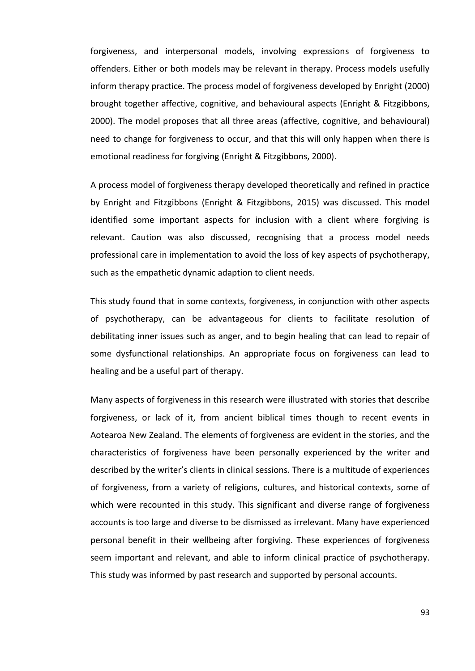forgiveness, and interpersonal models, involving expressions of forgiveness to offenders. Either or both models may be relevant in therapy. Process models usefully inform therapy practice. The process model of forgiveness developed by Enright (2000) brought together affective, cognitive, and behavioural aspects (Enright & Fitzgibbons, 2000). The model proposes that all three areas (affective, cognitive, and behavioural) need to change for forgiveness to occur, and that this will only happen when there is emotional readiness for forgiving (Enright & Fitzgibbons, 2000).

A process model of forgiveness therapy developed theoretically and refined in practice by Enright and Fitzgibbons (Enright & Fitzgibbons, 2015) was discussed. This model identified some important aspects for inclusion with a client where forgiving is relevant. Caution was also discussed, recognising that a process model needs professional care in implementation to avoid the loss of key aspects of psychotherapy, such as the empathetic dynamic adaption to client needs.

This study found that in some contexts, forgiveness, in conjunction with other aspects of psychotherapy, can be advantageous for clients to facilitate resolution of debilitating inner issues such as anger, and to begin healing that can lead to repair of some dysfunctional relationships. An appropriate focus on forgiveness can lead to healing and be a useful part of therapy.

Many aspects of forgiveness in this research were illustrated with stories that describe forgiveness, or lack of it, from ancient biblical times though to recent events in Aotearoa New Zealand. The elements of forgiveness are evident in the stories, and the characteristics of forgiveness have been personally experienced by the writer and described by the writer's clients in clinical sessions. There is a multitude of experiences of forgiveness, from a variety of religions, cultures, and historical contexts, some of which were recounted in this study. This significant and diverse range of forgiveness accounts is too large and diverse to be dismissed as irrelevant. Many have experienced personal benefit in their wellbeing after forgiving. These experiences of forgiveness seem important and relevant, and able to inform clinical practice of psychotherapy. This study was informed by past research and supported by personal accounts.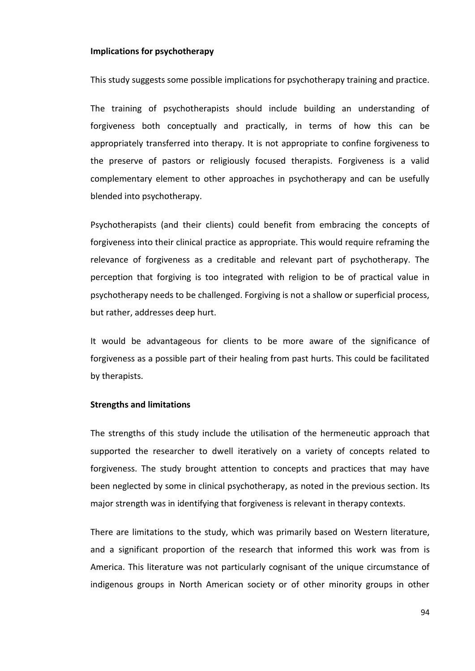#### **Implications for psychotherapy**

This study suggests some possible implications for psychotherapy training and practice.

The training of psychotherapists should include building an understanding of forgiveness both conceptually and practically, in terms of how this can be appropriately transferred into therapy. It is not appropriate to confine forgiveness to the preserve of pastors or religiously focused therapists. Forgiveness is a valid complementary element to other approaches in psychotherapy and can be usefully blended into psychotherapy.

Psychotherapists (and their clients) could benefit from embracing the concepts of forgiveness into their clinical practice as appropriate. This would require reframing the relevance of forgiveness as a creditable and relevant part of psychotherapy. The perception that forgiving is too integrated with religion to be of practical value in psychotherapy needs to be challenged. Forgiving is not a shallow or superficial process, but rather, addresses deep hurt.

It would be advantageous for clients to be more aware of the significance of forgiveness as a possible part of their healing from past hurts. This could be facilitated by therapists.

## **Strengths and limitations**

The strengths of this study include the utilisation of the hermeneutic approach that supported the researcher to dwell iteratively on a variety of concepts related to forgiveness. The study brought attention to concepts and practices that may have been neglected by some in clinical psychotherapy, as noted in the previous section. Its major strength was in identifying that forgiveness is relevant in therapy contexts.

There are limitations to the study, which was primarily based on Western literature, and a significant proportion of the research that informed this work was from is America. This literature was not particularly cognisant of the unique circumstance of indigenous groups in North American society or of other minority groups in other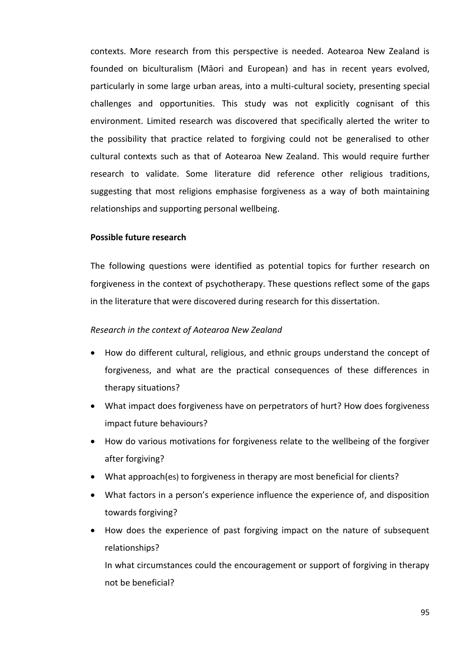contexts. More research from this perspective is needed. Aotearoa New Zealand is founded on biculturalism (Māori and European) and has in recent years evolved, particularly in some large urban areas, into a multi-cultural society, presenting special challenges and opportunities. This study was not explicitly cognisant of this environment. Limited research was discovered that specifically alerted the writer to the possibility that practice related to forgiving could not be generalised to other cultural contexts such as that of Aotearoa New Zealand. This would require further research to validate. Some literature did reference other religious traditions, suggesting that most religions emphasise forgiveness as a way of both maintaining relationships and supporting personal wellbeing.

### **Possible future research**

The following questions were identified as potential topics for further research on forgiveness in the context of psychotherapy. These questions reflect some of the gaps in the literature that were discovered during research for this dissertation.

### *Research in the context of Aotearoa New Zealand*

- How do different cultural, religious, and ethnic groups understand the concept of forgiveness, and what are the practical consequences of these differences in therapy situations?
- What impact does forgiveness have on perpetrators of hurt? How does forgiveness impact future behaviours?
- How do various motivations for forgiveness relate to the wellbeing of the forgiver after forgiving?
- What approach(es) to forgiveness in therapy are most beneficial for clients?
- What factors in a person's experience influence the experience of, and disposition towards forgiving?
- How does the experience of past forgiving impact on the nature of subsequent relationships?

In what circumstances could the encouragement or support of forgiving in therapy not be beneficial?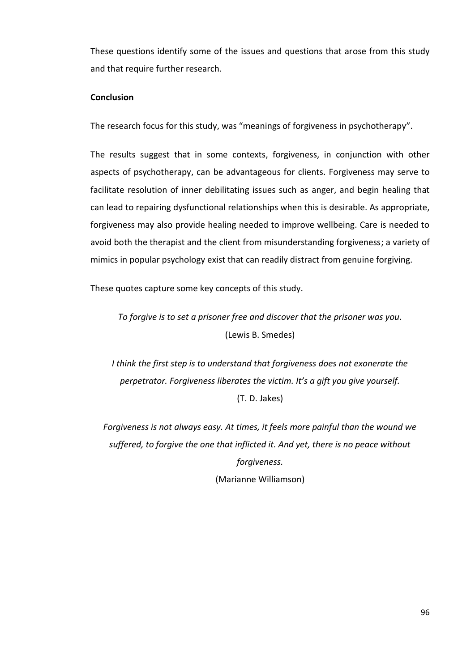These questions identify some of the issues and questions that arose from this study and that require further research.

# **Conclusion**

The research focus for this study, was "meanings of forgiveness in psychotherapy".

The results suggest that in some contexts, forgiveness, in conjunction with other aspects of psychotherapy, can be advantageous for clients. Forgiveness may serve to facilitate resolution of inner debilitating issues such as anger, and begin healing that can lead to repairing dysfunctional relationships when this is desirable. As appropriate, forgiveness may also provide healing needed to improve wellbeing. Care is needed to avoid both the therapist and the client from misunderstanding forgiveness; a variety of mimics in popular psychology exist that can readily distract from genuine forgiving.

These quotes capture some key concepts of this study.

*To forgive is to set a prisoner free and discover that the prisoner was you.* (Lewis B. Smedes)

*I think the first step is to understand that forgiveness does not exonerate the perpetrator. Forgiveness liberates the victim. It's a gift you give yourself.* (T. D. Jakes)

*Forgiveness is not always easy. At times, it feels more painful than the wound we suffered, to forgive the one that inflicted it. And yet, there is no peace without forgiveness.* (Marianne Williamson)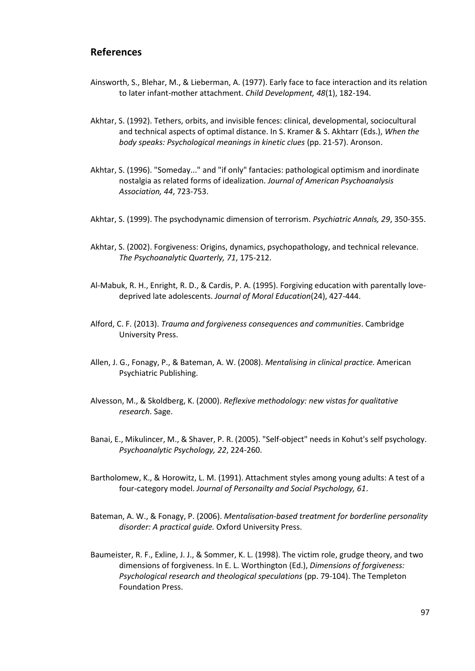# **References**

- Ainsworth, S., Blehar, M., & Lieberman, A. (1977). Early face to face interaction and its relation to later infant-mother attachment. *Child Development, 48*(1), 182-194.
- Akhtar, S. (1992). Tethers, orbits, and invisible fences: clinical, developmental, sociocultural and technical aspects of optimal distance. In S. Kramer & S. Akhtarr (Eds.), *When the body speaks: Psychological meanings in kinetic clues* (pp. 21-57). Aronson.
- Akhtar, S. (1996). "Someday..." and "if only" fantacies: pathological optimism and inordinate nostalgia as related forms of idealization. *Journal of American Psychoanalysis Association, 44*, 723-753.
- Akhtar, S. (1999). The psychodynamic dimension of terrorism. *Psychiatric Annals, 29*, 350-355.
- Akhtar, S. (2002). Forgiveness: Origins, dynamics, psychopathology, and technical relevance. *The Psychoanalytic Quarterly, 71*, 175-212.
- Al-Mabuk, R. H., Enright, R. D., & Cardis, P. A. (1995). Forgiving education with parentally lovedeprived late adolescents. *Journal of Moral Education*(24), 427-444.
- Alford, C. F. (2013). *Trauma and forgiveness consequences and communities*. Cambridge University Press.
- Allen, J. G., Fonagy, P., & Bateman, A. W. (2008). *Mentalising in clinical practice.* American Psychiatric Publishing.
- Alvesson, M., & Skoldberg, K. (2000). *Reflexive methodology: new vistas for qualitative research*. Sage.
- Banai, E., Mikulincer, M., & Shaver, P. R. (2005). "Self-object" needs in Kohut's self psychology. *Psychoanalytic Psychology, 22*, 224-260.
- Bartholomew, K., & Horowitz, L. M. (1991). Attachment styles among young adults: A test of a four-category model. *Journal of Personailty and Social Psychology, 61*.
- Bateman, A. W., & Fonagy, P. (2006). *Mentalisation-based treatment for borderline personality disorder: A practical guide.* Oxford University Press.
- Baumeister, R. F., Exline, J. J., & Sommer, K. L. (1998). The victim role, grudge theory, and two dimensions of forgiveness. In E. L. Worthington (Ed.), *Dimensions of forgiveness: Psychological research and theological speculations* (pp. 79-104). The Templeton Foundation Press.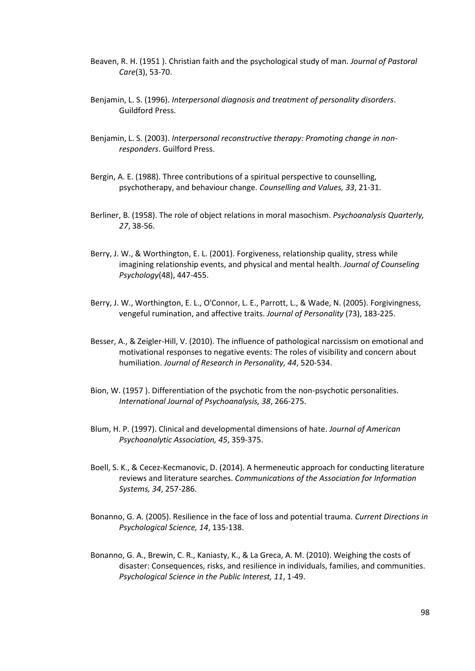- Beaven, R. H. (1951 ). Christian faith and the psychological study of man. *Journal of Pastoral Care*(3), 53-70.
- Benjamin, L. S. (1996). *Interpersonal diagnosis and treatment of personality disorders*. Guildford Press.
- Benjamin, L. S. (2003). *Interpersonal reconstructive therapy: Promoting change in nonresponders*. Guilford Press.
- Bergin, A. E. (1988). Three contributions of a spiritual perspective to counselling, psychotherapy, and behaviour change. *Counselling and Values, 33*, 21-31.
- Berliner, B. (1958). The role of object relations in moral masochism. *Psychoanalysis Quarterly, 27*, 38-56.
- Berry, J. W., & Worthington, E. L. (2001). Forgiveness, relationship quality, stress while imagining relationship events, and physical and mental health. *Journal of Counseling Psychology*(48), 447-455.
- Berry, J. W., Worthington, E. L., O'Connor, L. E., Parrott, L., & Wade, N. (2005). Forgivingness, vengeful rumination, and affective traits. *Journal of Personality* (73), 183-225.
- Besser, A., & Zeigler-Hill, V. (2010). The influence of pathological narcissism on emotional and motivational responses to negative events: The roles of visibility and concern about humiliation. *Journal of Research in Personality, 44*, 520-534.
- Bion, W. (1957 ). Differentiation of the psychotic from the non-psychotic personalities. *International Journal of Psychoanalysis, 38*, 266-275.
- Blum, H. P. (1997). Clinical and developmental dimensions of hate. *Journal of American Psychoanalytic Association, 45*, 359-375.
- Boell, S. K., & Cecez-Kecmanovic, D. (2014). A hermeneutic approach for conducting literature reviews and literature searches. *Communications of the Association for Information Systems, 34*, 257-286.
- Bonanno, G. A. (2005). Resilience in the face of loss and potential trauma. *Current Directions in Psychological Science, 14*, 135-138.
- Bonanno, G. A., Brewin, C. R., Kaniasty, K., & La Greca, A. M. (2010). Weighing the costs of disaster: Consequences, risks, and resilience in individuals, families, and communities. *Psychological Science in the Public Interest, 11*, 1-49.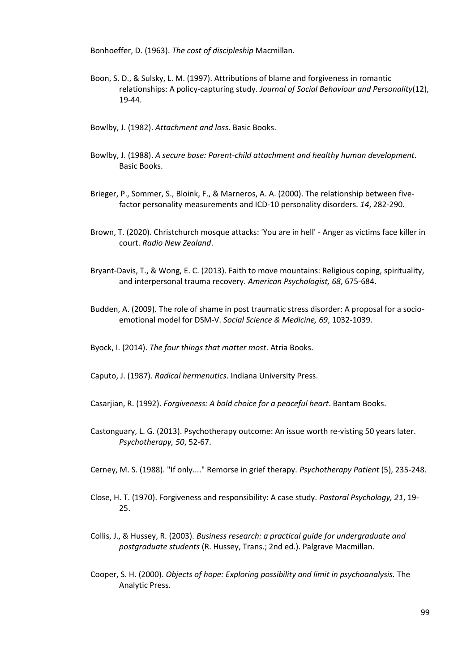Bonhoeffer, D. (1963). *The cost of discipleship* Macmillan.

- Boon, S. D., & Sulsky, L. M. (1997). Attributions of blame and forgiveness in romantic relationships: A policy-capturing study. *Journal of Social Behaviour and Personality*(12), 19-44.
- Bowlby, J. (1982). *Attachment and loss*. Basic Books.
- Bowlby, J. (1988). *A secure base: Parent-child attachment and healthy human development*. Basic Books.
- Brieger, P., Sommer, S., Bloink, F., & Marneros, A. A. (2000). The relationship between fivefactor personality measurements and ICD-10 personality disorders. *14*, 282-290.
- Brown, T. (2020). Christchurch mosque attacks: 'You are in hell' Anger as victims face killer in court. *Radio New Zealand*.
- Bryant-Davis, T., & Wong, E. C. (2013). Faith to move mountains: Religious coping, spirituality, and interpersonal trauma recovery. *American Psychologist, 68*, 675-684.
- Budden, A. (2009). The role of shame in post traumatic stress disorder: A proposal for a socioemotional model for DSM-V. *Social Science & Medicine, 69*, 1032-1039.

Byock, I. (2014). *The four things that matter most*. Atria Books.

Caputo, J. (1987). *Radical hermenutics*. Indiana University Press.

- Casarjian, R. (1992). *Forgiveness: A bold choice for a peaceful heart*. Bantam Books.
- Castonguary, L. G. (2013). Psychotherapy outcome: An issue worth re-visting 50 years later. *Psychotherapy, 50*, 52-67.
- Cerney, M. S. (1988). "If only...." Remorse in grief therapy. *Psychotherapy Patient* (5), 235-248.
- Close, H. T. (1970). Forgiveness and responsibility: A case study. *Pastoral Psychology, 21*, 19- 25.
- Collis, J., & Hussey, R. (2003). *Business research: a practical guide for undergraduate and postgraduate students* (R. Hussey, Trans.; 2nd ed.). Palgrave Macmillan.
- Cooper, S. H. (2000). *Objects of hope: Exploring possibility and limit in psychoanalysis.* The Analytic Press.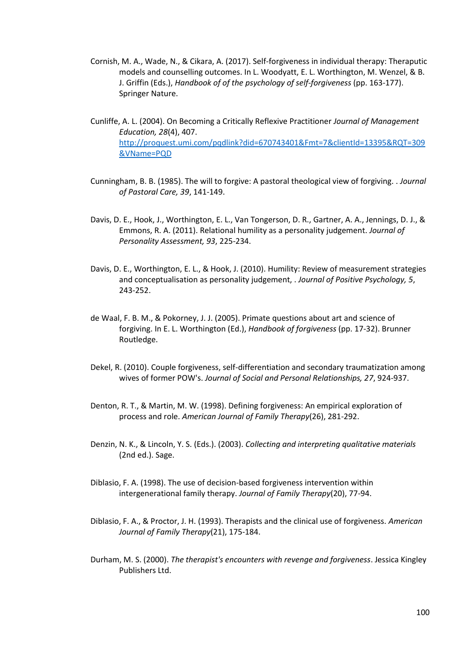- Cornish, M. A., Wade, N., & Cikara, A. (2017). Self-forgiveness in individual therapy: Theraputic models and counselling outcomes. In L. Woodyatt, E. L. Worthington, M. Wenzel, & B. J. Griffin (Eds.), *Handbook of of the psychology of self-forgiveness* (pp. 163-177). Springer Nature.
- Cunliffe, A. L. (2004). On Becoming a Critically Reflexive Practitioner *Journal of Management Education, 28*(4), 407. [http://proquest.umi.com/pqdlink?did=670743401&Fmt=7&clientId=13395&RQT=309](http://proquest.umi.com/pqdlink?did=670743401&Fmt=7&clientId=13395&RQT=309&VName=PQD) [&VName=PQD](http://proquest.umi.com/pqdlink?did=670743401&Fmt=7&clientId=13395&RQT=309&VName=PQD)
- Cunningham, B. B. (1985). The will to forgive: A pastoral theological view of forgiving. . *Journal of Pastoral Care, 39*, 141-149.
- Davis, D. E., Hook, J., Worthington, E. L., Van Tongerson, D. R., Gartner, A. A., Jennings, D. J., & Emmons, R. A. (2011). Relational humility as a personality judgement. *Journal of Personality Assessment, 93*, 225-234.
- Davis, D. E., Worthington, E. L., & Hook, J. (2010). Humility: Review of measurement strategies and conceptualisation as personality judgement, . *Journal of Positive Psychology, 5*, 243-252.
- de Waal, F. B. M., & Pokorney, J. J. (2005). Primate questions about art and science of forgiving. In E. L. Worthington (Ed.), *Handbook of forgiveness* (pp. 17-32). Brunner Routledge.
- Dekel, R. (2010). Couple forgiveness, self-differentiation and secondary traumatization among wives of former POW's. *Journal of Social and Personal Relationships, 27*, 924-937.
- Denton, R. T., & Martin, M. W. (1998). Defining forgiveness: An empirical exploration of process and role. *American Journal of Family Therapy*(26), 281-292.
- Denzin, N. K., & Lincoln, Y. S. (Eds.). (2003). *Collecting and interpreting qualitative materials* (2nd ed.). Sage.
- Diblasio, F. A. (1998). The use of decision-based forgiveness intervention within intergenerational family therapy. *Journal of Family Therapy*(20), 77-94.
- Diblasio, F. A., & Proctor, J. H. (1993). Therapists and the clinical use of forgiveness. *American Journal of Family Therapy*(21), 175-184.
- Durham, M. S. (2000). *The therapist's encounters with revenge and forgiveness*. Jessica Kingley Publishers Ltd.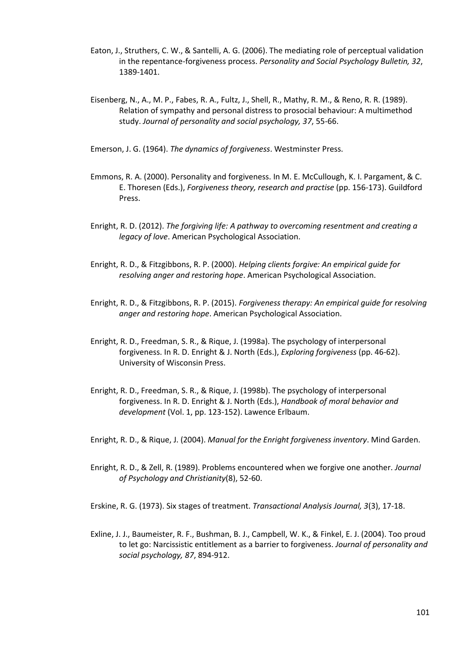- Eaton, J., Struthers, C. W., & Santelli, A. G. (2006). The mediating role of perceptual validation in the repentance-forgiveness process. *Personality and Social Psychology Bulletin, 32*, 1389-1401.
- Eisenberg, N., A., M. P., Fabes, R. A., Fultz, J., Shell, R., Mathy, R. M., & Reno, R. R. (1989). Relation of sympathy and personal distress to prosocial behaviour: A multimethod study. *Journal of personality and social psychology, 37*, 55-66.

Emerson, J. G. (1964). *The dynamics of forgiveness*. Westminster Press.

- Emmons, R. A. (2000). Personality and forgiveness. In M. E. McCullough, K. I. Pargament, & C. E. Thoresen (Eds.), *Forgiveness theory, research and practise* (pp. 156-173). Guildford Press.
- Enright, R. D. (2012). *The forgiving life: A pathway to overcoming resentment and creating a legacy of love*. American Psychological Association.
- Enright, R. D., & Fitzgibbons, R. P. (2000). *Helping clients forgive: An empirical guide for resolving anger and restoring hope*. American Psychological Association.
- Enright, R. D., & Fitzgibbons, R. P. (2015). *Forgiveness therapy: An empirical guide for resolving anger and restoring hope*. American Psychological Association.
- Enright, R. D., Freedman, S. R., & Rique, J. (1998a). The psychology of interpersonal forgiveness. In R. D. Enright & J. North (Eds.), *Exploring forgiveness* (pp. 46-62). University of Wisconsin Press.
- Enright, R. D., Freedman, S. R., & Rique, J. (1998b). The psychology of interpersonal forgiveness. In R. D. Enright & J. North (Eds.), *Handbook of moral behavior and development* (Vol. 1, pp. 123-152). Lawence Erlbaum.
- Enright, R. D., & Rique, J. (2004). *Manual for the Enright forgiveness inventory*. Mind Garden.
- Enright, R. D., & Zell, R. (1989). Problems encountered when we forgive one another. *Journal of Psychology and Christianity*(8), 52-60.
- Erskine, R. G. (1973). Six stages of treatment. *Transactional Analysis Journal, 3*(3), 17-18.
- Exline, J. J., Baumeister, R. F., Bushman, B. J., Campbell, W. K., & Finkel, E. J. (2004). Too proud to let go: Narcissistic entitlement as a barrier to forgiveness. *Journal of personality and social psychology, 87*, 894-912.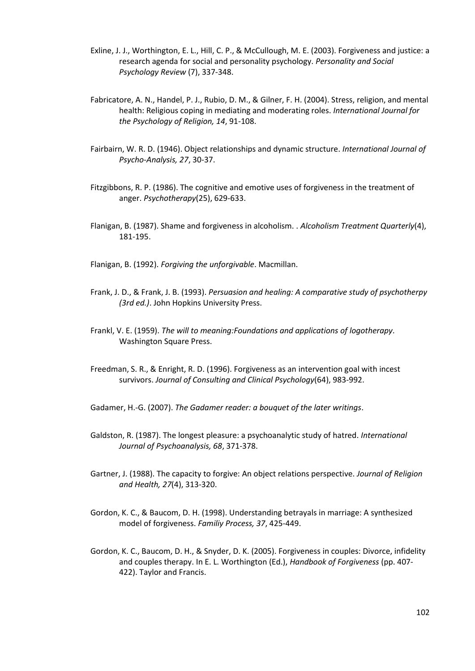- Exline, J. J., Worthington, E. L., Hill, C. P., & McCullough, M. E. (2003). Forgiveness and justice: a research agenda for social and personality psychology. *Personality and Social Psychology Review* (7), 337-348.
- Fabricatore, A. N., Handel, P. J., Rubio, D. M., & Gilner, F. H. (2004). Stress, religion, and mental health: Religious coping in mediating and moderating roles. *International Journal for the Psychology of Religion, 14*, 91-108.
- Fairbairn, W. R. D. (1946). Object relationships and dynamic structure. *International Journal of Psycho-Analysis, 27*, 30-37.
- Fitzgibbons, R. P. (1986). The cognitive and emotive uses of forgiveness in the treatment of anger. *Psychotherapy*(25), 629-633.
- Flanigan, B. (1987). Shame and forgiveness in alcoholism. . *Alcoholism Treatment Quarterly*(4), 181-195.
- Flanigan, B. (1992). *Forgiving the unforgivable*. Macmillan.
- Frank, J. D., & Frank, J. B. (1993). *Persuasion and healing: A comparative study of psychotherpy (3rd ed.)*. John Hopkins University Press.
- Frankl, V. E. (1959). *The will to meaning:Foundations and applications of logotherapy*. Washington Square Press.
- Freedman, S. R., & Enright, R. D. (1996). Forgiveness as an intervention goal with incest survivors. *Journal of Consulting and Clinical Psychology*(64), 983-992.
- Gadamer, H.-G. (2007). *The Gadamer reader: a bouquet of the later writings*.
- Galdston, R. (1987). The longest pleasure: a psychoanalytic study of hatred. *International Journal of Psychoanalysis, 68*, 371-378.
- Gartner, J. (1988). The capacity to forgive: An object relations perspective. *Journal of Religion and Health, 27*(4), 313-320.
- Gordon, K. C., & Baucom, D. H. (1998). Understanding betrayals in marriage: A synthesized model of forgiveness. *Familiy Process, 37*, 425-449.
- Gordon, K. C., Baucom, D. H., & Snyder, D. K. (2005). Forgiveness in couples: Divorce, infidelity and couples therapy. In E. L. Worthington (Ed.), *Handbook of Forgiveness* (pp. 407- 422). Taylor and Francis.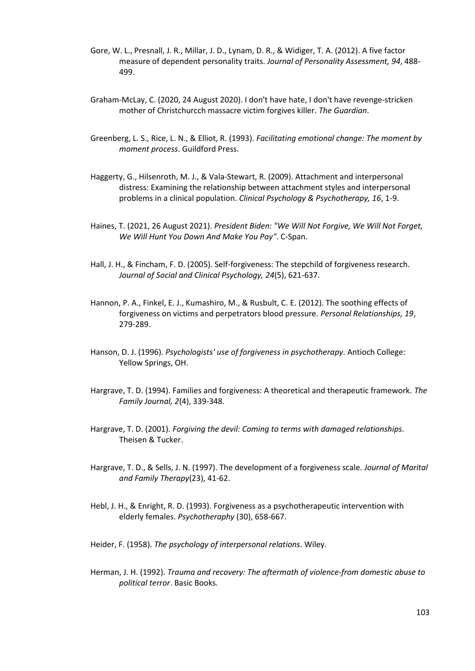- Gore, W. L., Presnall, J. R., Millar, J. D., Lynam, D. R., & Widiger, T. A. (2012). A five factor measure of dependent personality traits. *Journal of Personality Assessment, 94*, 488- 499.
- Graham-McLay, C. (2020, 24 August 2020). I don't have hate, I don't have revenge-stricken mother of Christchurcch massacre victim forgives killer. *The Guardian*.
- Greenberg, L. S., Rice, L. N., & Elliot, R. (1993). *Facilitating emotional change: The moment by moment process*. Guildford Press.
- Haggerty, G., Hilsenroth, M. J., & Vala-Stewart, R. (2009). Attachment and interpersonal distress: Examining the relationship between attachment styles and interpersonal problems in a clinical population. *Clinical Psychology & Psychotherapy, 16*, 1-9.
- Haines, T. (2021, 26 August 2021). *President Biden: "We Will Not Forgive, We Will Not Forget, We Will Hunt You Down And Make You Pay"*. C-Span.
- Hall, J. H., & Fincham, F. D. (2005). Self-forgiveness: The stepchild of forgiveness research. *Journal of Social and Clinical Psychology, 24*(5), 621-637.
- Hannon, P. A., Finkel, E. J., Kumashiro, M., & Rusbult, C. E. (2012). The soothing effects of forgiveness on victims and perpetrators blood pressure. *Personal Relationships, 19*, 279-289.
- Hanson, D. J. (1996). *Psychologists' use of forgiveness in psychotherapy*. Antioch College: Yellow Springs, OH.
- Hargrave, T. D. (1994). Families and forgiveness: A theoretical and therapeutic framework. *The Family Journal, 2*(4), 339-348.
- Hargrave, T. D. (2001). *Forgiving the devil: Coming to terms with damaged relationships.* Theisen & Tucker.
- Hargrave, T. D., & Sells, J. N. (1997). The development of a forgiveness scale. *Journal of Marital and Family Therapy*(23), 41-62.
- Hebl, J. H., & Enright, R. D. (1993). Forgiveness as a psychotherapeutic intervention with elderly females. *Psychotheraphy* (30), 658-667.
- Heider, F. (1958). *The psychology of interpersonal relations*. Wiley.
- Herman, J. H. (1992). *Trauma and recovery: The aftermath of violence-from domestic abuse to political terror*. Basic Books.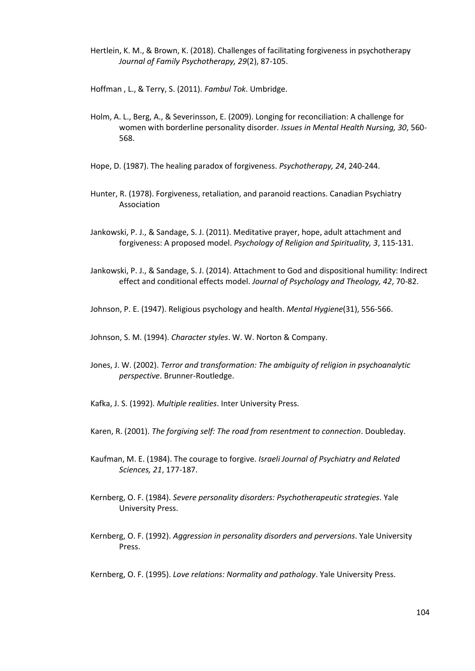Hertlein, K. M., & Brown, K. (2018). Challenges of facilitating forgiveness in psychotherapy *Journal of Family Psychotherapy, 29*(2), 87-105.

Hoffman , L., & Terry, S. (2011). *Fambul Tok*. Umbridge.

- Holm, A. L., Berg, A., & Severinsson, E. (2009). Longing for reconciliation: A challenge for women with borderline personality disorder. *Issues in Mental Health Nursing, 30*, 560- 568.
- Hope, D. (1987). The healing paradox of forgiveness. *Psychotherapy, 24*, 240-244.
- Hunter, R. (1978). Forgiveness, retaliation, and paranoid reactions. Canadian Psychiatry Association
- Jankowski, P. J., & Sandage, S. J. (2011). Meditative prayer, hope, adult attachment and forgiveness: A proposed model. *Psychology of Religion and Spirituality, 3*, 115-131.
- Jankowski, P. J., & Sandage, S. J. (2014). Attachment to God and dispositional humility: Indirect effect and conditional effects model. *Journal of Psychology and Theology, 42*, 70-82.

Johnson, P. E. (1947). Religious psychology and health. *Mental Hygiene*(31), 556-566.

Johnson, S. M. (1994). *Character styles*. W. W. Norton & Company.

- Jones, J. W. (2002). *Terror and transformation: The ambiguity of religion in psychoanalytic perspective*. Brunner-Routledge.
- Kafka, J. S. (1992). *Multiple realities*. Inter University Press.
- Karen, R. (2001). *The forgiving self: The road from resentment to connection*. Doubleday.
- Kaufman, M. E. (1984). The courage to forgive. *Israeli Journal of Psychiatry and Related Sciences, 21*, 177-187.
- Kernberg, O. F. (1984). *Severe personality disorders: Psychotherapeutic strategies*. Yale University Press.
- Kernberg, O. F. (1992). *Aggression in personality disorders and perversions*. Yale University Press.

Kernberg, O. F. (1995). *Love relations: Normality and pathology*. Yale University Press.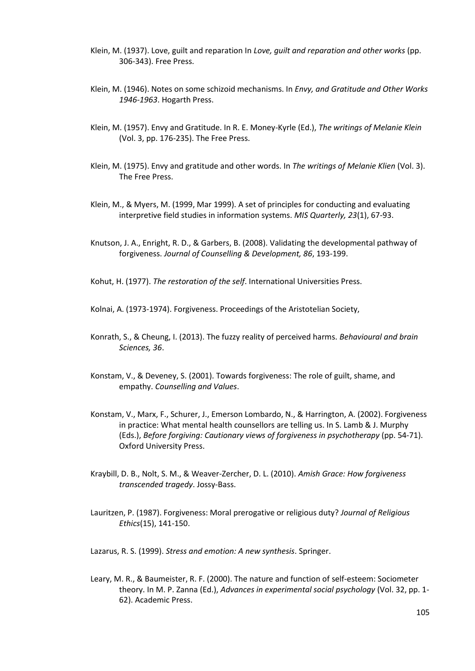- Klein, M. (1937). Love, guilt and reparation In *Love, guilt and reparation and other works* (pp. 306-343). Free Press.
- Klein, M. (1946). Notes on some schizoid mechanisms. In *Envy, and Gratitude and Other Works 1946-1963*. Hogarth Press.
- Klein, M. (1957). Envy and Gratitude. In R. E. Money-Kyrle (Ed.), *The writings of Melanie Klein* (Vol. 3, pp. 176-235). The Free Press.
- Klein, M. (1975). Envy and gratitude and other words. In *The writings of Melanie Klien* (Vol. 3). The Free Press.
- Klein, M., & Myers, M. (1999, Mar 1999). A set of principles for conducting and evaluating interpretive field studies in information systems. *MIS Quarterly, 23*(1), 67-93.
- Knutson, J. A., Enright, R. D., & Garbers, B. (2008). Validating the developmental pathway of forgiveness. *Journal of Counselling & Development, 86*, 193-199.
- Kohut, H. (1977). *The restoration of the self*. International Universities Press.
- Kolnai, A. (1973-1974). Forgiveness. Proceedings of the Aristotelian Society,
- Konrath, S., & Cheung, I. (2013). The fuzzy reality of perceived harms. *Behavioural and brain Sciences, 36*.
- Konstam, V., & Deveney, S. (2001). Towards forgiveness: The role of guilt, shame, and empathy. *Counselling and Values*.
- Konstam, V., Marx, F., Schurer, J., Emerson Lombardo, N., & Harrington, A. (2002). Forgiveness in practice: What mental health counsellors are telling us. In S. Lamb & J. Murphy (Eds.), *Before forgiving: Cautionary views of forgiveness in psychotherapy* (pp. 54-71). Oxford University Press.
- Kraybill, D. B., Nolt, S. M., & Weaver-Zercher, D. L. (2010). *Amish Grace: How forgiveness transcended tragedy*. Jossy-Bass.
- Lauritzen, P. (1987). Forgiveness: Moral prerogative or religious duty? *Journal of Religious Ethics*(15), 141-150.

Lazarus, R. S. (1999). *Stress and emotion: A new synthesis*. Springer.

Leary, M. R., & Baumeister, R. F. (2000). The nature and function of self-esteem: Sociometer theory. In M. P. Zanna (Ed.), *Advances in experimental social psychology* (Vol. 32, pp. 1- 62). Academic Press.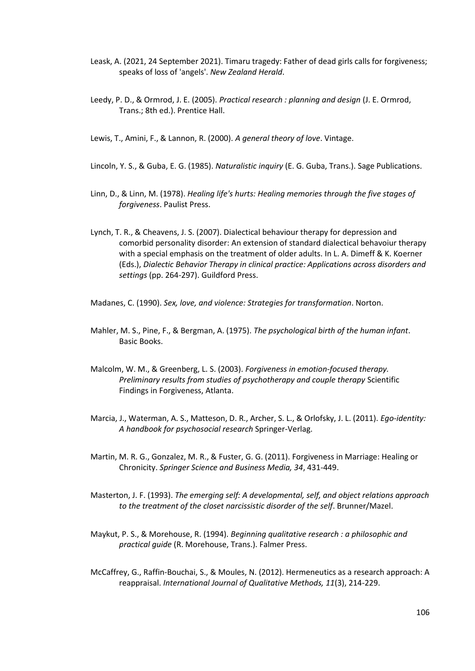- Leask, A. (2021, 24 September 2021). Timaru tragedy: Father of dead girls calls for forgiveness; speaks of loss of 'angels'. *New Zealand Herald*.
- Leedy, P. D., & Ormrod, J. E. (2005). *Practical research : planning and design* (J. E. Ormrod, Trans.; 8th ed.). Prentice Hall.
- Lewis, T., Amini, F., & Lannon, R. (2000). *A general theory of love*. Vintage.
- Lincoln, Y. S., & Guba, E. G. (1985). *Naturalistic inquiry* (E. G. Guba, Trans.). Sage Publications.
- Linn, D., & Linn, M. (1978). *Healing life's hurts: Healing memories through the five stages of forgiveness*. Paulist Press.
- Lynch, T. R., & Cheavens, J. S. (2007). Dialectical behaviour therapy for depression and comorbid personality disorder: An extension of standard dialectical behavoiur therapy with a special emphasis on the treatment of older adults. In L. A. Dimeff & K. Koerner (Eds.), *Dialectic Behavior Therapy in clinical practice: Applications across disorders and settings* (pp. 264-297). Guildford Press.

Madanes, C. (1990). *Sex, love, and violence: Strategies for transformation*. Norton.

- Mahler, M. S., Pine, F., & Bergman, A. (1975). *The psychological birth of the human infant*. Basic Books.
- Malcolm, W. M., & Greenberg, L. S. (2003). *Forgiveness in emotion-focused therapy. Preliminary results from studies of psychotherapy and couple therapy* Scientific Findings in Forgiveness, Atlanta.
- Marcia, J., Waterman, A. S., Matteson, D. R., Archer, S. L., & Orlofsky, J. L. (2011). *Ego-identity: A handbook for psychosocial research* Springer-Verlag.
- Martin, M. R. G., Gonzalez, M. R., & Fuster, G. G. (2011). Forgiveness in Marriage: Healing or Chronicity. *Springer Science and Business Media, 34*, 431-449.
- Masterton, J. F. (1993). *The emerging self: A developmental, self, and object relations approach to the treatment of the closet narcissistic disorder of the self*. Brunner/Mazel.
- Maykut, P. S., & Morehouse, R. (1994). *Beginning qualitative research : a philosophic and practical guide* (R. Morehouse, Trans.). Falmer Press.
- McCaffrey, G., Raffin-Bouchai, S., & Moules, N. (2012). Hermeneutics as a research approach: A reappraisal. *International Journal of Qualitative Methods, 11*(3), 214-229.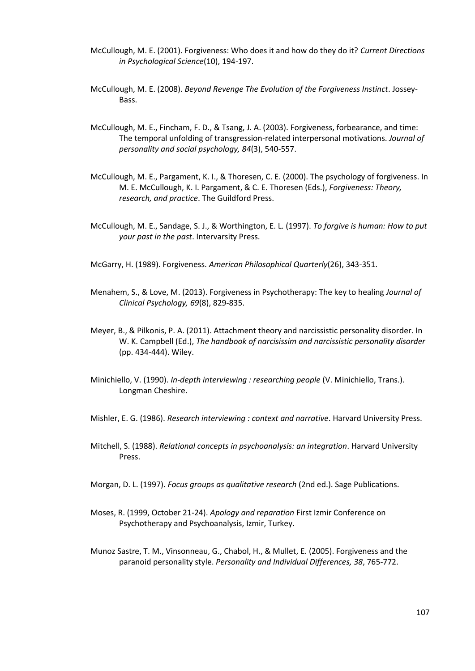- McCullough, M. E. (2001). Forgiveness: Who does it and how do they do it? *Current Directions in Psychological Science*(10), 194-197.
- McCullough, M. E. (2008). *Beyond Revenge The Evolution of the Forgiveness Instinct*. Jossey-Bass.
- McCullough, M. E., Fincham, F. D., & Tsang, J. A. (2003). Forgiveness, forbearance, and time: The temporal unfolding of transgression-related interpersonal motivations. *Journal of personality and social psychology, 84*(3), 540-557.
- McCullough, M. E., Pargament, K. I., & Thoresen, C. E. (2000). The psychology of forgiveness. In M. E. McCullough, K. I. Pargament, & C. E. Thoresen (Eds.), *Forgiveness: Theory, research, and practice*. The Guildford Press.
- McCullough, M. E., Sandage, S. J., & Worthington, E. L. (1997). *To forgive is human: How to put your past in the past*. Intervarsity Press.

McGarry, H. (1989). Forgiveness. *American Philosophical Quarterly*(26), 343-351.

- Menahem, S., & Love, M. (2013). Forgiveness in Psychotherapy: The key to healing *Journal of Clinical Psychology, 69*(8), 829-835.
- Meyer, B., & Pilkonis, P. A. (2011). Attachment theory and narcissistic personality disorder. In W. K. Campbell (Ed.), *The handbook of narcisissim and narcissistic personality disorder* (pp. 434-444). Wiley.
- Minichiello, V. (1990). *In-depth interviewing : researching people* (V. Minichiello, Trans.). Longman Cheshire.
- Mishler, E. G. (1986). *Research interviewing : context and narrative*. Harvard University Press.
- Mitchell, S. (1988). *Relational concepts in psychoanalysis: an integration*. Harvard University Press.
- Morgan, D. L. (1997). *Focus groups as qualitative research* (2nd ed.). Sage Publications.
- Moses, R. (1999, October 21-24). *Apology and reparation* First Izmir Conference on Psychotherapy and Psychoanalysis, Izmir, Turkey.
- Munoz Sastre, T. M., Vinsonneau, G., Chabol, H., & Mullet, E. (2005). Forgiveness and the paranoid personality style. *Personality and Individual Differences, 38*, 765-772.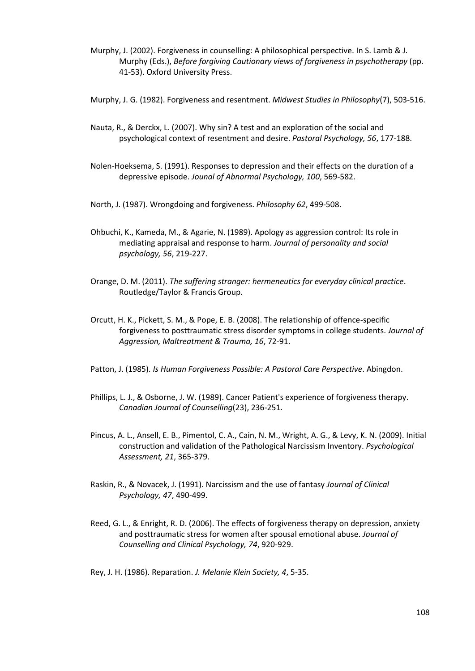- Murphy, J. (2002). Forgiveness in counselling: A philosophical perspective. In S. Lamb & J. Murphy (Eds.), *Before forgiving Cautionary views of forgiveness in psychotherapy* (pp. 41-53). Oxford University Press.
- Murphy, J. G. (1982). Forgiveness and resentment. *Midwest Studies in Philosophy*(7), 503-516.
- Nauta, R., & Derckx, L. (2007). Why sin? A test and an exploration of the social and psychological context of resentment and desire. *Pastoral Psychology, 56*, 177-188.
- Nolen-Hoeksema, S. (1991). Responses to depression and their effects on the duration of a depressive episode. *Jounal of Abnormal Psychology, 100*, 569-582.
- North, J. (1987). Wrongdoing and forgiveness. *Philosophy 62*, 499-508.
- Ohbuchi, K., Kameda, M., & Agarie, N. (1989). Apology as aggression control: Its role in mediating appraisal and response to harm. *Journal of personality and social psychology, 56*, 219-227.
- Orange, D. M. (2011). *The suffering stranger: hermeneutics for everyday clinical practice*. Routledge/Taylor & Francis Group.
- Orcutt, H. K., Pickett, S. M., & Pope, E. B. (2008). The relationship of offence-specific forgiveness to posttraumatic stress disorder symptoms in college students. *Journal of Aggression, Maltreatment & Trauma, 16*, 72-91.
- Patton, J. (1985). *Is Human Forgiveness Possible: A Pastoral Care Perspective*. Abingdon.
- Phillips, L. J., & Osborne, J. W. (1989). Cancer Patient's experience of forgiveness therapy. *Canadian Journal of Counselling*(23), 236-251.
- Pincus, A. L., Ansell, E. B., Pimentol, C. A., Cain, N. M., Wright, A. G., & Levy, K. N. (2009). Initial construction and validation of the Pathological Narcissism Inventory. *Psychological Assessment, 21*, 365-379.
- Raskin, R., & Novacek, J. (1991). Narcissism and the use of fantasy *Journal of Clinical Psychology, 47*, 490-499.
- Reed, G. L., & Enright, R. D. (2006). The effects of forgiveness therapy on depression, anxiety and posttraumatic stress for women after spousal emotional abuse. *Journal of Counselling and Clinical Psychology, 74*, 920-929.
- Rey, J. H. (1986). Reparation. *J. Melanie Klein Society, 4*, 5-35.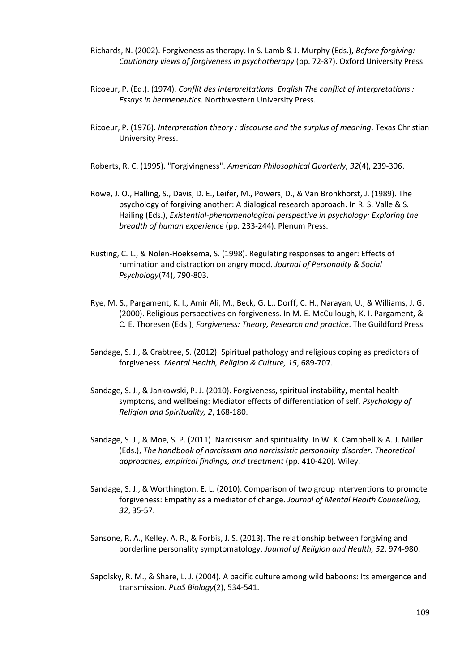- Richards, N. (2002). Forgiveness as therapy. In S. Lamb & J. Murphy (Eds.), *Before forgiving: Cautionary views of forgiveness in psychotherapy* (pp. 72-87). Oxford University Press.
- Ricoeur, P. (Ed.). (1974). *Conflit des interpreÌtations. English The conflict of interpretations : Essays in hermeneutics*. Northwestern University Press.
- Ricoeur, P. (1976). *Interpretation theory : discourse and the surplus of meaning*. Texas Christian University Press.
- Roberts, R. C. (1995). "Forgivingness". *American Philosophical Quarterly, 32*(4), 239-306.
- Rowe, J. O., Halling, S., Davis, D. E., Leifer, M., Powers, D., & Van Bronkhorst, J. (1989). The psychology of forgiving another: A dialogical research approach. In R. S. Valle & S. Hailing (Eds.), *Existential-phenomenological perspective in psychology: Exploring the breadth of human experience* (pp. 233-244). Plenum Press.
- Rusting, C. L., & Nolen-Hoeksema, S. (1998). Regulating responses to anger: Effects of rumination and distraction on angry mood. *Journal of Personality & Social Psychology*(74), 790-803.
- Rye, M. S., Pargament, K. I., Amir Ali, M., Beck, G. L., Dorff, C. H., Narayan, U., & Williams, J. G. (2000). Religious perspectives on forgiveness. In M. E. McCullough, K. I. Pargament, & C. E. Thoresen (Eds.), *Forgiveness: Theory, Research and practice*. The Guildford Press.
- Sandage, S. J., & Crabtree, S. (2012). Spiritual pathology and religious coping as predictors of forgiveness. *Mental Health, Religion & Culture, 15*, 689-707.
- Sandage, S. J., & Jankowski, P. J. (2010). Forgiveness, spiritual instability, mental health symptons, and wellbeing: Mediator effects of differentiation of self. *Psychology of Religion and Spirituality, 2*, 168-180.
- Sandage, S. J., & Moe, S. P. (2011). Narcissism and spirituality. In W. K. Campbell & A. J. Miller (Eds.), *The handbook of narcissism and narcissistic personality disorder: Theoretical approaches, empirical findings, and treatment* (pp. 410-420). Wiley.
- Sandage, S. J., & Worthington, E. L. (2010). Comparison of two group interventions to promote forgiveness: Empathy as a mediator of change. *Journal of Mental Health Counselling, 32*, 35-57.
- Sansone, R. A., Kelley, A. R., & Forbis, J. S. (2013). The relationship between forgiving and borderline personality symptomatology. *Journal of Religion and Health, 52*, 974-980.
- Sapolsky, R. M., & Share, L. J. (2004). A pacific culture among wild baboons: Its emergence and transmission. *PLoS Biology*(2), 534-541.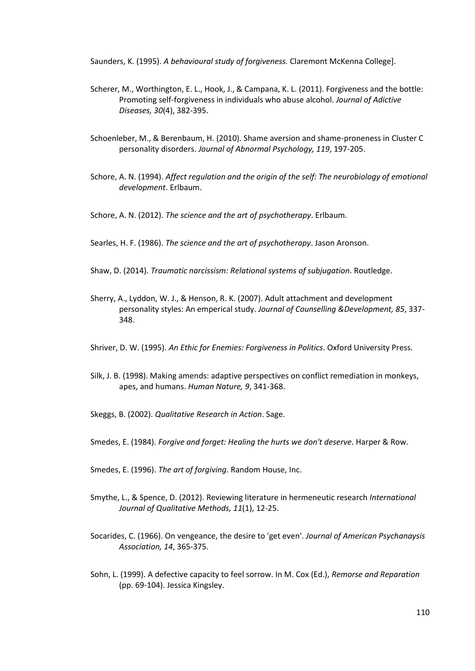Saunders, K. (1995). *A behavioural study of forgiveness.* Claremont McKenna College].

- Scherer, M., Worthington, E. L., Hook, J., & Campana, K. L. (2011). Forgiveness and the bottle: Promoting self-forgiveness in individuals who abuse alcohol. *Journal of Adictive Diseases, 30*(4), 382-395.
- Schoenleber, M., & Berenbaum, H. (2010). Shame aversion and shame-proneness in Cluster C personality disorders. *Journal of Abnormal Psychology, 119*, 197-205.
- Schore, A. N. (1994). *Affect regulation and the origin of the self: The neurobiology of emotional development*. Erlbaum.
- Schore, A. N. (2012). *The science and the art of psychotherapy*. Erlbaum.
- Searles, H. F. (1986). *The science and the art of psychotherapy*. Jason Aronson.
- Shaw, D. (2014). *Traumatic narcissism: Relational systems of subjugation*. Routledge.
- Sherry, A., Lyddon, W. J., & Henson, R. K. (2007). Adult attachment and development personality styles: An emperical study. *Journal of Counselling &Development, 85*, 337- 348.
- Shriver, D. W. (1995). *An Ethic for Enemies: Forgiveness in Politics*. Oxford University Press.
- Silk, J. B. (1998). Making amends: adaptive perspectives on conflict remediation in monkeys, apes, and humans. *Human Nature, 9*, 341-368.
- Skeggs, B. (2002). *Qualitative Research in Action*. Sage.
- Smedes, E. (1984). *Forgive and forget: Healing the hurts we don't deserve*. Harper & Row.
- Smedes, E. (1996). *The art of forgiving*. Random House, Inc.
- Smythe, L., & Spence, D. (2012). Reviewing literature in hermeneutic research *International Journal of Qualitative Methods, 11*(1), 12-25.
- Socarides, C. (1966). On vengeance, the desire to 'get even'. *Journal of American Psychanaysis Association, 14*, 365-375.
- Sohn, L. (1999). A defective capacity to feel sorrow. In M. Cox (Ed.), *Remorse and Reparation* (pp. 69-104). Jessica Kingsley.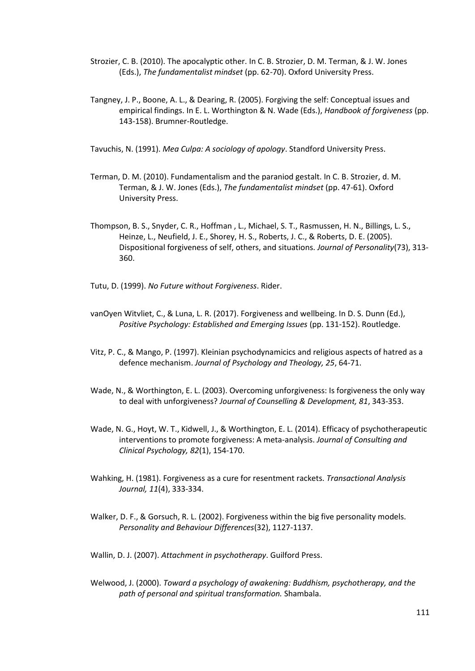- Strozier, C. B. (2010). The apocalyptic other. In C. B. Strozier, D. M. Terman, & J. W. Jones (Eds.), *The fundamentalist mindset* (pp. 62-70). Oxford University Press.
- Tangney, J. P., Boone, A. L., & Dearing, R. (2005). Forgiving the self: Conceptual issues and empirical findings. In E. L. Worthington & N. Wade (Eds.), *Handbook of forgiveness* (pp. 143-158). Brumner-Routledge.

Tavuchis, N. (1991). *Mea Culpa: A sociology of apology*. Standford University Press.

- Terman, D. M. (2010). Fundamentalism and the paraniod gestalt. In C. B. Strozier, d. M. Terman, & J. W. Jones (Eds.), *The fundamentalist mindset* (pp. 47-61). Oxford University Press.
- Thompson, B. S., Snyder, C. R., Hoffman , L., Michael, S. T., Rasmussen, H. N., Billings, L. S., Heinze, L., Neufield, J. E., Shorey, H. S., Roberts, J. C., & Roberts, D. E. (2005). Dispositional forgiveness of self, others, and situations. *Journal of Personality*(73), 313- 360.
- Tutu, D. (1999). *No Future without Forgiveness*. Rider.
- vanOyen Witvliet, C., & Luna, L. R. (2017). Forgiveness and wellbeing. In D. S. Dunn (Ed.), *Positive Psychology: Established and Emerging Issues* (pp. 131-152). Routledge.
- Vitz, P. C., & Mango, P. (1997). Kleinian psychodynamicics and religious aspects of hatred as a defence mechanism. *Journal of Psychology and Theology, 25*, 64-71.
- Wade, N., & Worthington, E. L. (2003). Overcoming unforgiveness: Is forgiveness the only way to deal with unforgiveness? *Journal of Counselling & Development, 81*, 343-353.
- Wade, N. G., Hoyt, W. T., Kidwell, J., & Worthington, E. L. (2014). Efficacy of psychotherapeutic interventions to promote forgiveness: A meta-analysis. *Journal of Consulting and Clinical Psychology, 82*(1), 154-170.
- Wahking, H. (1981). Forgiveness as a cure for resentment rackets. *Transactional Analysis Journal, 11*(4), 333-334.
- Walker, D. F., & Gorsuch, R. L. (2002). Forgiveness within the big five personality models. *Personality and Behaviour Differences*(32), 1127-1137.
- Wallin, D. J. (2007). *Attachment in psychotherapy*. Guilford Press.
- Welwood, J. (2000). *Toward a psychology of awakening: Buddhism, psychotherapy, and the path of personal and spiritual transformation.* Shambala.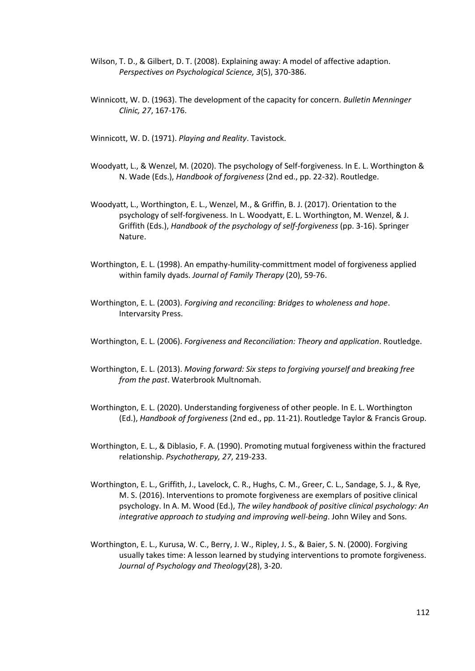- Wilson, T. D., & Gilbert, D. T. (2008). Explaining away: A model of affective adaption. *Perspectives on Psychological Science, 3*(5), 370-386.
- Winnicott, W. D. (1963). The development of the capacity for concern. *Bulletin Menninger Clinic, 27*, 167-176.

Winnicott, W. D. (1971). *Playing and Reality*. Tavistock.

- Woodyatt, L., & Wenzel, M. (2020). The psychology of Self-forgiveness. In E. L. Worthington & N. Wade (Eds.), *Handbook of forgiveness* (2nd ed., pp. 22-32). Routledge.
- Woodyatt, L., Worthington, E. L., Wenzel, M., & Griffin, B. J. (2017). Orientation to the psychology of self-forgiveness. In L. Woodyatt, E. L. Worthington, M. Wenzel, & J. Griffith (Eds.), *Handbook of the psychology of self-forgiveness* (pp. 3-16). Springer Nature.
- Worthington, E. L. (1998). An empathy-humility-committment model of forgiveness applied within family dyads. *Journal of Family Therapy* (20), 59-76.
- Worthington, E. L. (2003). *Forgiving and reconciling: Bridges to wholeness and hope*. Intervarsity Press.
- Worthington, E. L. (2006). *Forgiveness and Reconciliation: Theory and application*. Routledge.
- Worthington, E. L. (2013). *Moving forward: Six steps to forgiving yourself and breaking free from the past*. Waterbrook Multnomah.
- Worthington, E. L. (2020). Understanding forgiveness of other people. In E. L. Worthington (Ed.), *Handbook of forgiveness* (2nd ed., pp. 11-21). Routledge Taylor & Francis Group.
- Worthington, E. L., & Diblasio, F. A. (1990). Promoting mutual forgiveness within the fractured relationship. *Psychotherapy, 27*, 219-233.
- Worthington, E. L., Griffith, J., Lavelock, C. R., Hughs, C. M., Greer, C. L., Sandage, S. J., & Rye, M. S. (2016). Interventions to promote forgiveness are exemplars of positive clinical psychology. In A. M. Wood (Ed.), *The wiley handbook of positive clinical psychology: An integrative approach to studying and improving well-being*. John Wiley and Sons.
- Worthington, E. L., Kurusa, W. C., Berry, J. W., Ripley, J. S., & Baier, S. N. (2000). Forgiving usually takes time: A lesson learned by studying interventions to promote forgiveness. *Journal of Psychology and Theology*(28), 3-20.